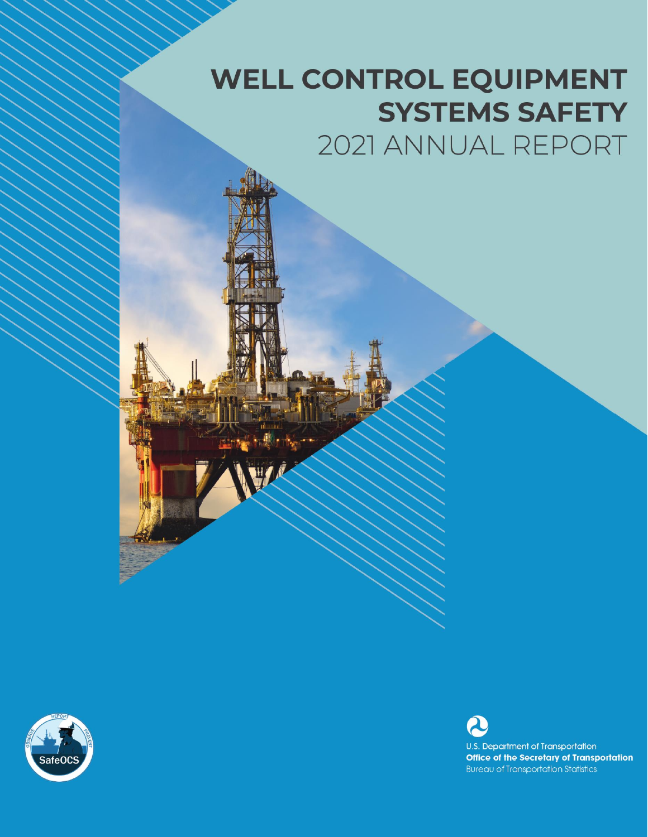# **WELL CONTROL EQUIPMENT SYSTEMS SAFETY** 2021 ANNUAL REPORT



U.S. Department of Transportation **Office of the Secretary of Transportation Bureau of Transportation Statistics**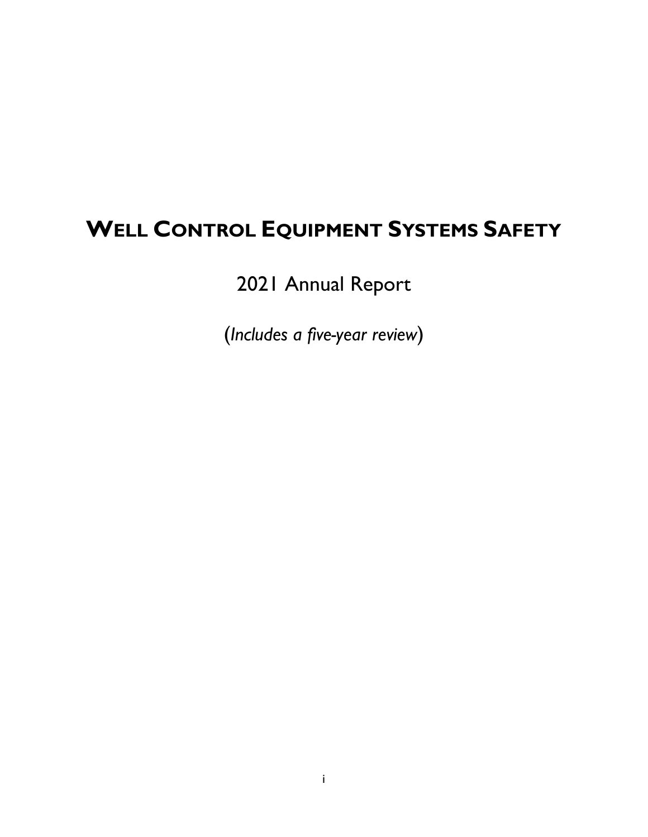# **WELL CONTROL EQUIPMENT SYSTEMS SAFETY**

2021 Annual Report

(*Includes a five-year review*)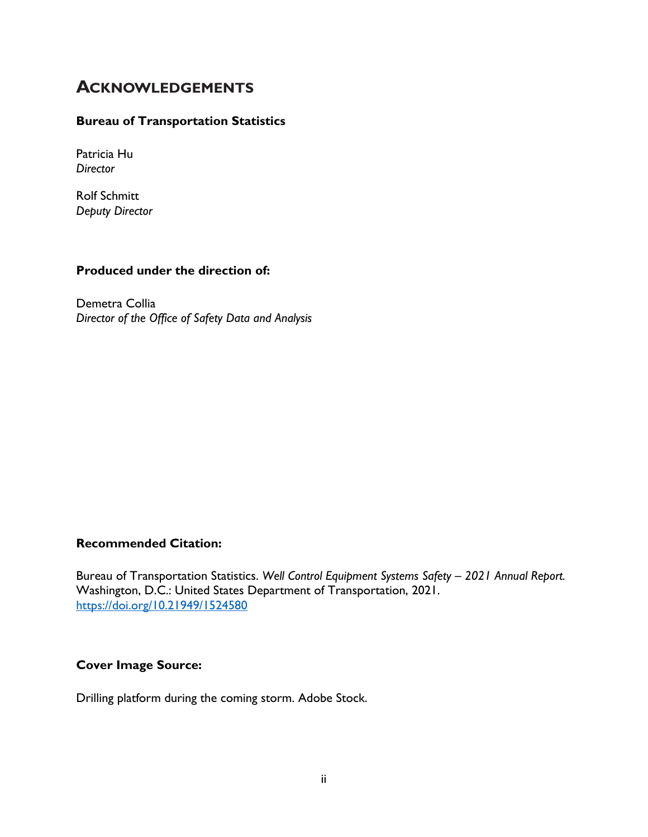# **ACKNOWLEDGEMENTS**

#### **Bureau of Transportation Statistics**

Patricia Hu *Director*

Rolf Schmitt *Deputy Director*

#### **Produced under the direction of:**

Demetra Collia *Director of the Office of Safety Data and Analysis*

#### **Recommended Citation:**

Bureau of Transportation Statistics. *Well Control Equipment Systems Safety – 2021 Annual Report.* Washington, D.C.: United States Department of Transportation, 2021. <https://doi.org/10.21949/1524580>

## **Cover Image Source:**

Drilling platform during the coming storm. Adobe Stock.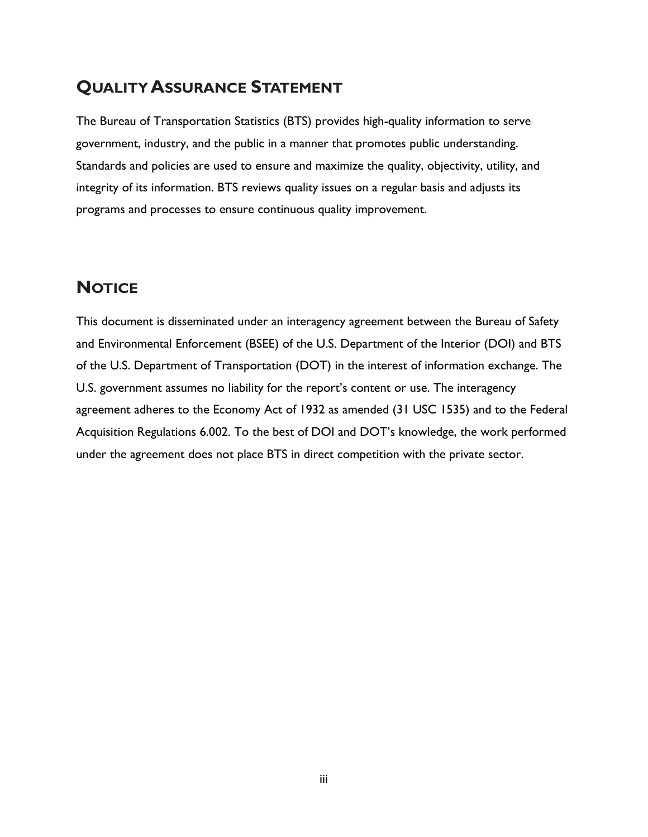# **QUALITY ASSURANCE STATEMENT**

The Bureau of Transportation Statistics (BTS) provides high-quality information to serve government, industry, and the public in a manner that promotes public understanding. Standards and policies are used to ensure and maximize the quality, objectivity, utility, and integrity of its information. BTS reviews quality issues on a regular basis and adjusts its programs and processes to ensure continuous quality improvement.

# **NOTICE**

This document is disseminated under an interagency agreement between the Bureau of Safety and Environmental Enforcement (BSEE) of the U.S. Department of the Interior (DOI) and BTS of the U.S. Department of Transportation (DOT) in the interest of information exchange. The U.S. government assumes no liability for the report's content or use. The interagency agreement adheres to the Economy Act of 1932 as amended (31 USC 1535) and to the Federal Acquisition Regulations 6.002. To the best of DOI and DOT's knowledge, the work performed under the agreement does not place BTS in direct competition with the private sector.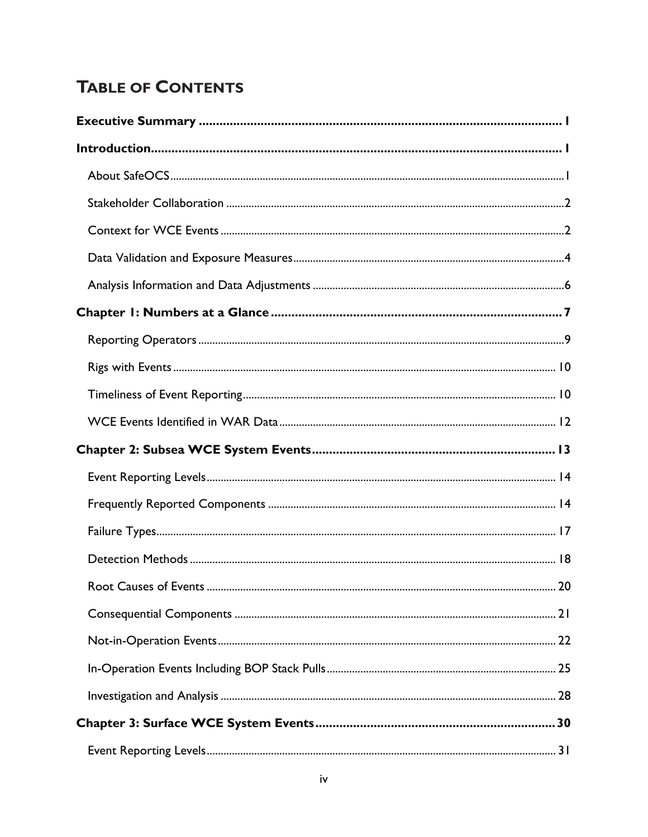# **TABLE OF CONTENTS**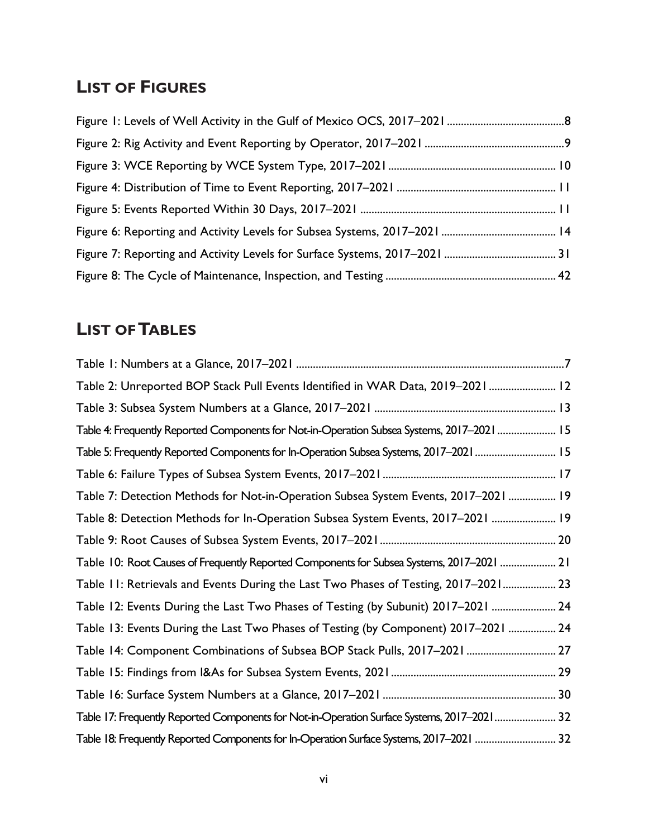# **LIST OF FIGURES**

# **LIST OF TABLES**

| Table 2: Unreported BOP Stack Pull Events Identified in WAR Data, 2019-2021 12              |
|---------------------------------------------------------------------------------------------|
|                                                                                             |
| Table 4: Frequently Reported Components for Not-in-Operation Subsea Systems, 2017-2021  15  |
| Table 5: Frequently Reported Components for In-Operation Subsea Systems, 2017–2021 15       |
|                                                                                             |
| Table 7: Detection Methods for Not-in-Operation Subsea System Events, 2017-2021  19         |
| Table 8: Detection Methods for In-Operation Subsea System Events, 2017-2021  19             |
|                                                                                             |
| Table 10: Root Causes of Frequently Reported Components for Subsea Systems, 2017–2021  21   |
| Table 11: Retrievals and Events During the Last Two Phases of Testing, 2017–2021 23         |
| Table 12: Events During the Last Two Phases of Testing (by Subunit) 2017-2021  24           |
| Table 13: Events During the Last Two Phases of Testing (by Component) 2017-2021  24         |
| Table 14: Component Combinations of Subsea BOP Stack Pulls, 2017-2021  27                   |
|                                                                                             |
|                                                                                             |
| Table 17: Frequently Reported Components for Not-in-Operation Surface Systems, 2017-2021 32 |
| Table 18: Frequently Reported Components for In-Operation Surface Systems, 2017–2021  32    |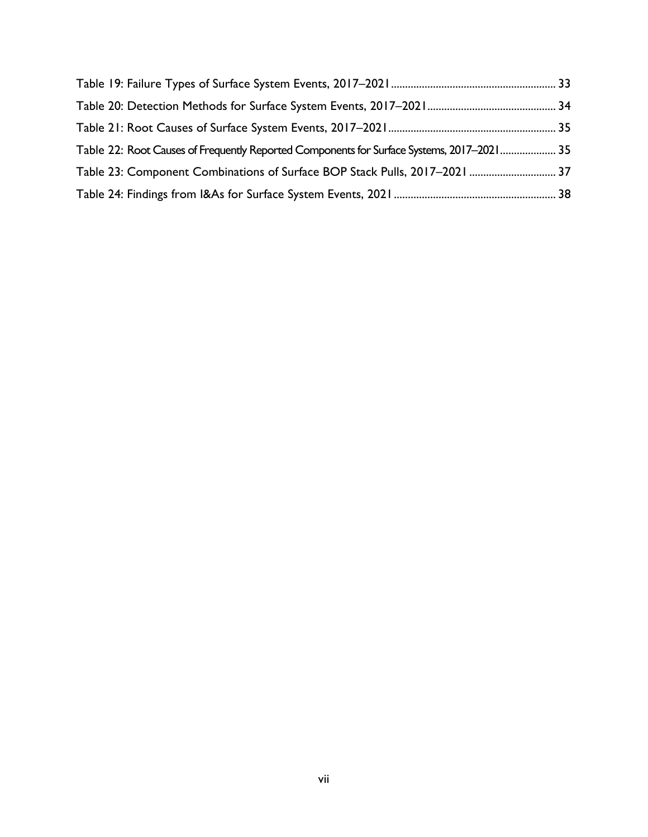| Table 22: Root Causes of Frequently Reported Components for Surface Systems, 2017–2021 35 |  |
|-------------------------------------------------------------------------------------------|--|
| Table 23: Component Combinations of Surface BOP Stack Pulls, 2017-2021  37                |  |
|                                                                                           |  |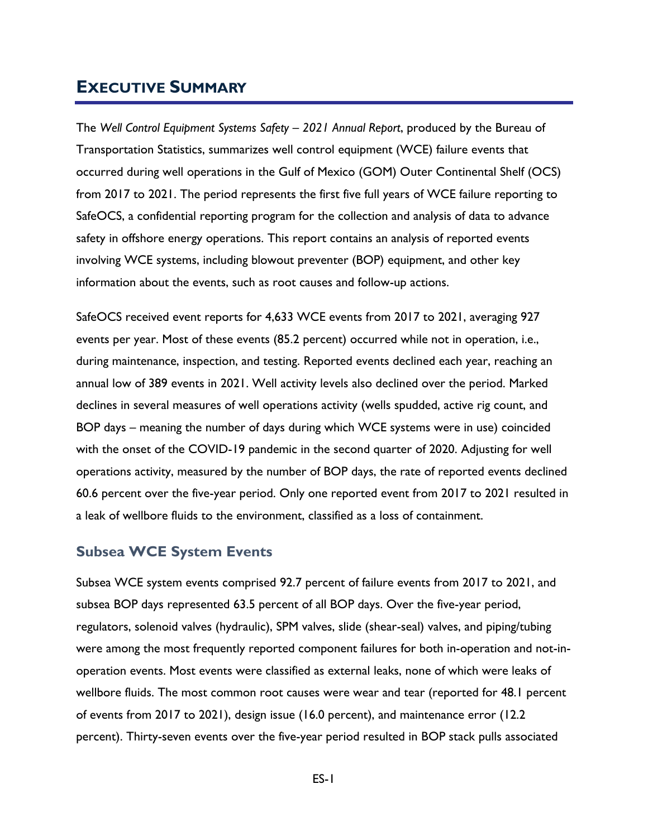# <span id="page-8-0"></span>**EXECUTIVE SUMMARY**

The *Well Control Equipment Systems Safety – 2021 Annual Report*, produced by the Bureau of Transportation Statistics, summarizes well control equipment (WCE) failure events that occurred during well operations in the Gulf of Mexico (GOM) Outer Continental Shelf (OCS) from 2017 to 2021. The period represents the first five full years of WCE failure reporting to SafeOCS, a confidential reporting program for the collection and analysis of data to advance safety in offshore energy operations. This report contains an analysis of reported events involving WCE systems, including blowout preventer (BOP) equipment, and other key information about the events, such as root causes and follow-up actions.

SafeOCS received event reports for 4,633 WCE events from 2017 to 2021, averaging 927 events per year. Most of these events (85.2 percent) occurred while not in operation, i.e., during maintenance, inspection, and testing. Reported events declined each year, reaching an annual low of 389 events in 2021. Well activity levels also declined over the period. Marked declines in several measures of well operations activity (wells spudded, active rig count, and BOP days – meaning the number of days during which WCE systems were in use) coincided with the onset of the COVID-19 pandemic in the second quarter of 2020. Adjusting for well operations activity, measured by the number of BOP days, the rate of reported events declined 60.6 percent over the five-year period. Only one reported event from 2017 to 2021 resulted in a leak of wellbore fluids to the environment, classified as a loss of containment.

## **Subsea WCE System Events**

Subsea WCE system events comprised 92.7 percent of failure events from 2017 to 2021, and subsea BOP days represented 63.5 percent of all BOP days. Over the five-year period, regulators, solenoid valves (hydraulic), SPM valves, slide (shear-seal) valves, and piping/tubing were among the most frequently reported component failures for both in-operation and not-inoperation events. Most events were classified as external leaks, none of which were leaks of wellbore fluids. The most common root causes were wear and tear (reported for 48.1 percent of events from 2017 to 2021), design issue (16.0 percent), and maintenance error (12.2 percent). Thirty-seven events over the five-year period resulted in BOP stack pulls associated

ES-1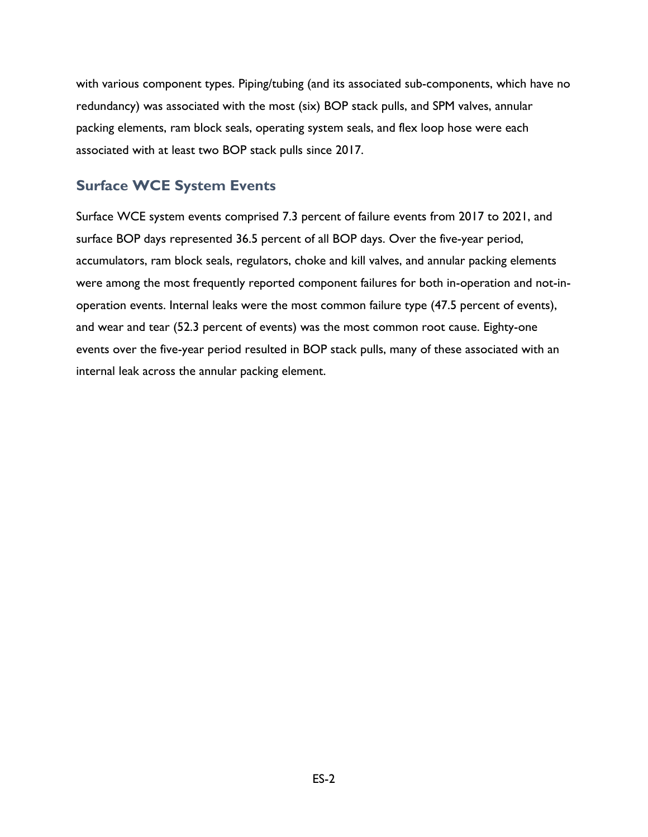with various component types. Piping/tubing (and its associated sub-components, which have no redundancy) was associated with the most (six) BOP stack pulls, and SPM valves, annular packing elements, ram block seals, operating system seals, and flex loop hose were each associated with at least two BOP stack pulls since 2017.

# **Surface WCE System Events**

Surface WCE system events comprised 7.3 percent of failure events from 2017 to 2021, and surface BOP days represented 36.5 percent of all BOP days. Over the five-year period, accumulators, ram block seals, regulators, choke and kill valves, and annular packing elements were among the most frequently reported component failures for both in-operation and not-inoperation events. Internal leaks were the most common failure type (47.5 percent of events), and wear and tear (52.3 percent of events) was the most common root cause. Eighty-one events over the five-year period resulted in BOP stack pulls, many of these associated with an internal leak across the annular packing element.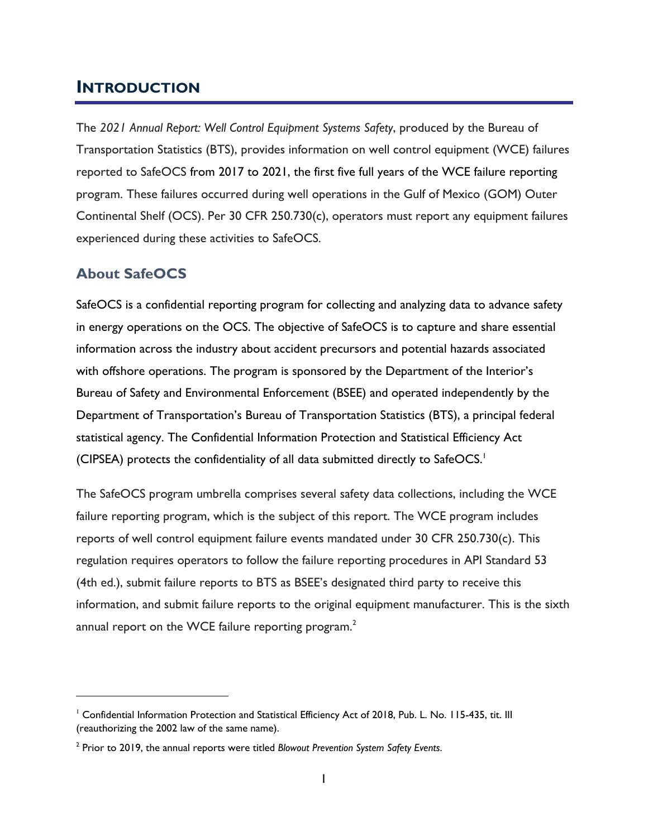# <span id="page-10-0"></span>**INTRODUCTION**

The *2021 Annual Report: Well Control Equipment Systems Safety*, produced by the Bureau of Transportation Statistics (BTS), provides information on well control equipment (WCE) failures reported to SafeOCS from 2017 to 2021, the first five full years of the WCE failure reporting program. These failures occurred during well operations in the Gulf of Mexico (GOM) Outer Continental Shelf (OCS). Per 30 CFR 250.730(c), operators must report any equipment failures experienced during these activities to SafeOCS.

## <span id="page-10-1"></span>**About SafeOCS**

SafeOCS is a confidential reporting program for collecting and analyzing data to advance safety in energy operations on the OCS. The objective of SafeOCS is to capture and share essential information across the industry about accident precursors and potential hazards associated with offshore operations. The program is sponsored by the Department of the Interior's Bureau of Safety and Environmental Enforcement (BSEE) and operated independently by the Department of Transportation's Bureau of Transportation Statistics (BTS), a principal federal statistical agency. The Confidential Information Protection and Statistical Efficiency Act (CIPSEA) protects the confidentiality of all data submitted directly to  $SafeOCS$ .<sup>1</sup>

The SafeOCS program umbrella comprises several safety data collections, including the WCE failure reporting program, which is the subject of this report. The WCE program includes reports of well control equipment failure events mandated under 30 CFR 250.730(c). This regulation requires operators to follow the failure reporting procedures in API Standard 53 (4th ed.), submit failure reports to BTS as BSEE's designated third party to receive this information, and submit failure reports to the original equipment manufacturer. This is the sixth annual report on the WCE failure reporting program. $<sup>2</sup>$ </sup>

<sup>&</sup>lt;sup>1</sup> Confidential Information Protection and Statistical Efficiency Act of 2018, Pub. L. No. 115-435, tit. III (reauthorizing the 2002 law of the same name).

<sup>2</sup> Prior to 2019, the annual reports were titled *Blowout Prevention System Safety Events*.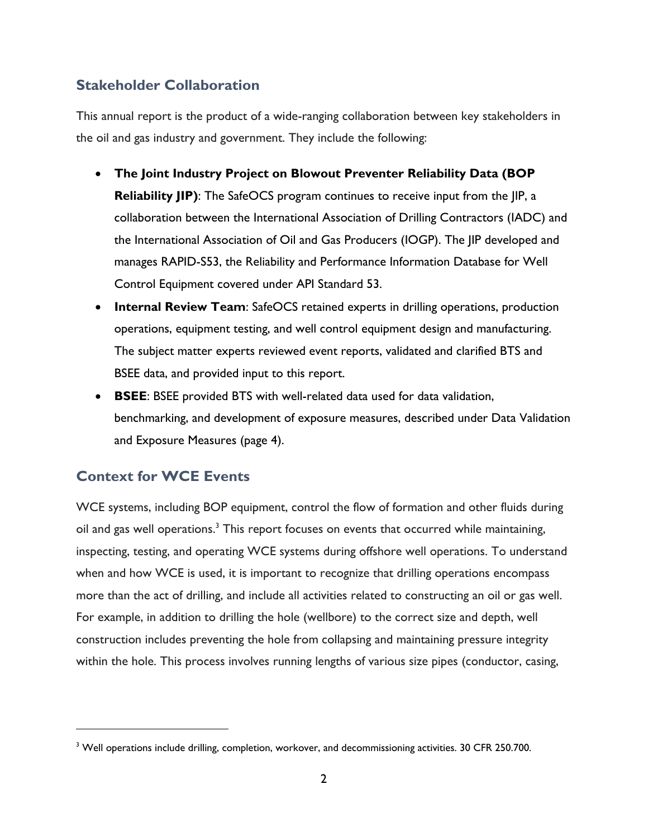# <span id="page-11-0"></span>**Stakeholder Collaboration**

This annual report is the product of a wide-ranging collaboration between key stakeholders in the oil and gas industry and government. They include the following:

- **The Joint Industry Project on Blowout Preventer Reliability Data (BOP Reliability JIP**): The SafeOCS program continues to receive input from the JIP, a collaboration between the International Association of Drilling Contractors (IADC) and the International Association of Oil and Gas Producers (IOGP). The JIP developed and manages RAPID-S53, the Reliability and Performance Information Database for Well Control Equipment covered under API Standard 53.
- **Internal Review Team**: SafeOCS retained experts in drilling operations, production operations, equipment testing, and well control equipment design and manufacturing. The subject matter experts reviewed event reports, validated and clarified BTS and BSEE data, and provided input to this report.
- **BSEE**: BSEE provided BTS with well-related data used for data validation, benchmarking, and development of exposure measures, described under Data Validation and Exposure Measures (page [4\)](#page-13-0).

# <span id="page-11-1"></span>**Context for WCE Events**

WCE systems, including BOP equipment, control the flow of formation and other fluids during oil and gas well operations.<sup>3</sup> This report focuses on events that occurred while maintaining, inspecting, testing, and operating WCE systems during offshore well operations. To understand when and how WCE is used, it is important to recognize that drilling operations encompass more than the act of drilling, and include all activities related to constructing an oil or gas well. For example, in addition to drilling the hole (wellbore) to the correct size and depth, well construction includes preventing the hole from collapsing and maintaining pressure integrity within the hole. This process involves running lengths of various size pipes (conductor, casing,

<sup>&</sup>lt;sup>3</sup> Well operations include drilling, completion, workover, and decommissioning activities. 30 CFR 250.700.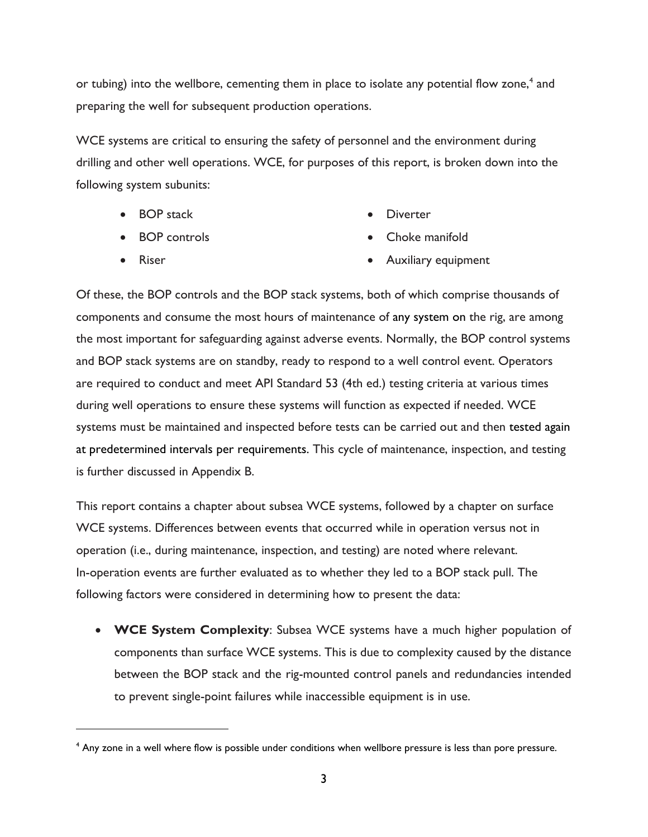or tubing) into the wellbore, cementing them in place to isolate any potential flow zone,<sup>4</sup> and preparing the well for subsequent production operations.

WCE systems are critical to ensuring the safety of personnel and the environment during drilling and other well operations. WCE, for purposes of this report, is broken down into the following system subunits:

- BOP stack
	- BOP controls

• Diverter

• Riser

- Choke manifold
- Auxiliary equipment

Of these, the BOP controls and the BOP stack systems, both of which comprise thousands of components and consume the most hours of maintenance of any system on the rig, are among the most important for safeguarding against adverse events. Normally, the BOP control systems and BOP stack systems are on standby, ready to respond to a well control event. Operators are required to conduct and meet API Standard 53 (4th ed.) testing criteria at various times during well operations to ensure these systems will function as expected if needed. WCE systems must be maintained and inspected before tests can be carried out and then tested again at predetermined intervals per requirements. This cycle of maintenance, inspection, and testing is further discussed in Appendix B.

This report contains a chapter about subsea WCE systems, followed by a chapter on surface WCE systems. Differences between events that occurred while in operation versus not in operation (i.e., during maintenance, inspection, and testing) are noted where relevant. In-operation events are further evaluated as to whether they led to a BOP stack pull. The following factors were considered in determining how to present the data:

• **WCE System Complexity**: Subsea WCE systems have a much higher population of components than surface WCE systems. This is due to complexity caused by the distance between the BOP stack and the rig-mounted control panels and redundancies intended to prevent single-point failures while inaccessible equipment is in use.

<sup>&</sup>lt;sup>4</sup> Any zone in a well where flow is possible under conditions when wellbore pressure is less than pore pressure.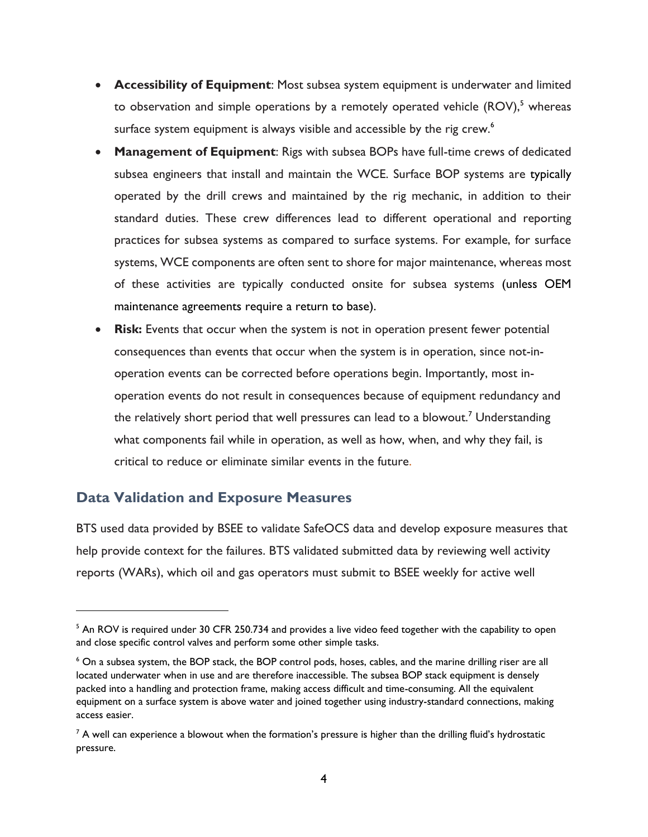- **Accessibility of Equipment**: Most subsea system equipment is underwater and limited to observation and simple operations by a remotely operated vehicle  $(ROV)$ ,<sup>5</sup> whereas surface system equipment is always visible and accessible by the rig crew.<sup>6</sup>
- **Management of Equipment**: Rigs with subsea BOPs have full-time crews of dedicated subsea engineers that install and maintain the WCE. Surface BOP systems are typically operated by the drill crews and maintained by the rig mechanic, in addition to their standard duties. These crew differences lead to different operational and reporting practices for subsea systems as compared to surface systems. For example, for surface systems, WCE components are often sent to shore for major maintenance, whereas most of these activities are typically conducted onsite for subsea systems (unless OEM maintenance agreements require a return to base).
- **Risk:** Events that occur when the system is not in operation present fewer potential consequences than events that occur when the system is in operation, since not-inoperation events can be corrected before operations begin. Importantly, most inoperation events do not result in consequences because of equipment redundancy and the relatively short period that well pressures can lead to a blowout.<sup>7</sup> Understanding what components fail while in operation, as well as how, when, and why they fail, is critical to reduce or eliminate similar events in the future.

## <span id="page-13-0"></span>**Data Validation and Exposure Measures**

BTS used data provided by BSEE to validate SafeOCS data and develop exposure measures that help provide context for the failures. BTS validated submitted data by reviewing well activity reports (WARs), which oil and gas operators must submit to BSEE weekly for active well

<sup>&</sup>lt;sup>5</sup> An ROV is required under 30 CFR 250.734 and provides a live video feed together with the capability to open and close specific control valves and perform some other simple tasks.

<sup>&</sup>lt;sup>6</sup> On a subsea system, the BOP stack, the BOP control pods, hoses, cables, and the marine drilling riser are all located underwater when in use and are therefore inaccessible. The subsea BOP stack equipment is densely packed into a handling and protection frame, making access difficult and time-consuming. All the equivalent equipment on a surface system is above water and joined together using industry-standard connections, making access easier.

 $^7$  A well can experience a blowout when the formation's pressure is higher than the drilling fluid's hydrostatic pressure.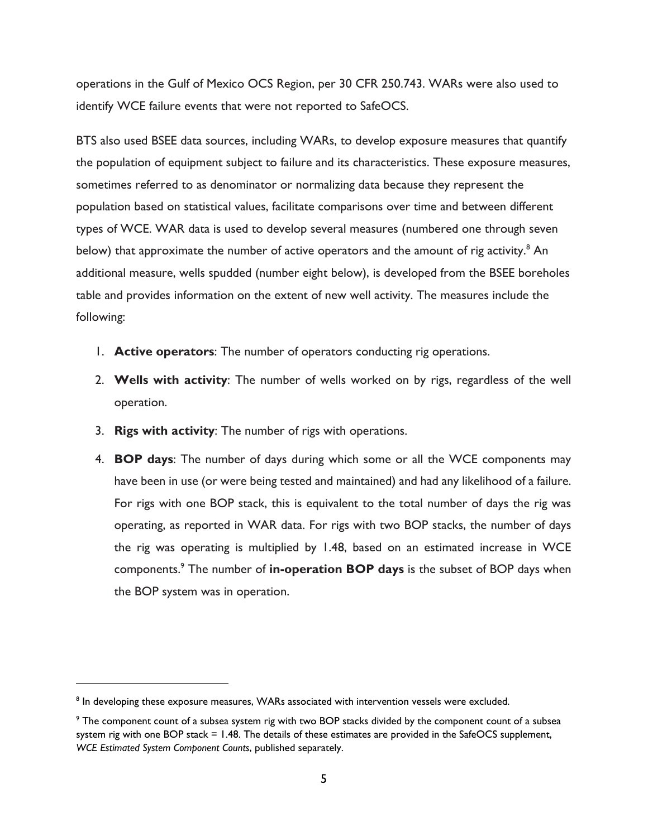operations in the Gulf of Mexico OCS Region, per 30 CFR 250.743. WARs were also used to identify WCE failure events that were not reported to SafeOCS.

BTS also used BSEE data sources, including WARs, to develop exposure measures that quantify the population of equipment subject to failure and its characteristics. These exposure measures, sometimes referred to as denominator or normalizing data because they represent the population based on statistical values, facilitate comparisons over time and between different types of WCE. WAR data is used to develop several measures (numbered one through seven below) that approximate the number of active operators and the amount of rig activity.<sup>8</sup> An additional measure, wells spudded (number eight below), is developed from the BSEE boreholes table and provides information on the extent of new well activity. The measures include the following:

- 1. **Active operators**: The number of operators conducting rig operations.
- 2. **Wells with activity**: The number of wells worked on by rigs, regardless of the well operation.
- 3. **Rigs with activity**: The number of rigs with operations.
- 4. **BOP days**: The number of days during which some or all the WCE components may have been in use (or were being tested and maintained) and had any likelihood of a failure. For rigs with one BOP stack, this is equivalent to the total number of days the rig was operating, as reported in WAR data. For rigs with two BOP stacks, the number of days the rig was operating is multiplied by 1.48, based on an estimated increase in WCE components.<sup>9</sup> The number of **in-operation BOP days** is the subset of BOP days when the BOP system was in operation.

 $8$  In developing these exposure measures, WARs associated with intervention vessels were excluded.

<sup>&</sup>lt;sup>9</sup> The component count of a subsea system rig with two BOP stacks divided by the component count of a subsea system rig with one BOP stack = 1.48. The details of these estimates are provided in the SafeOCS supplement, *WCE Estimated System Component Counts*, published separately.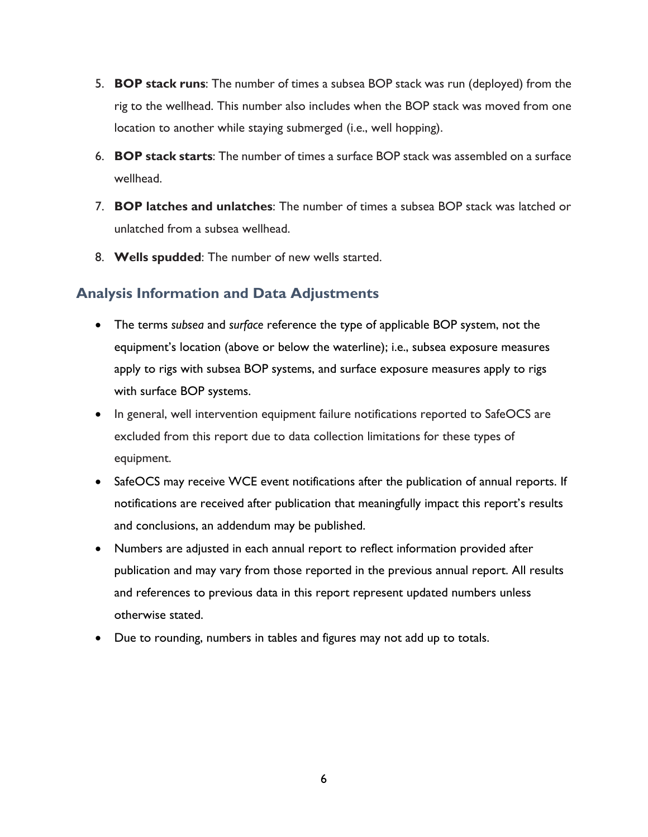- 5. **BOP stack runs**: The number of times a subsea BOP stack was run (deployed) from the rig to the wellhead. This number also includes when the BOP stack was moved from one location to another while staying submerged (i.e., well hopping).
- 6. **BOP stack starts**: The number of times a surface BOP stack was assembled on a surface wellhead.
- 7. **BOP latches and unlatches**: The number of times a subsea BOP stack was latched or unlatched from a subsea wellhead.
- 8. **Wells spudded**: The number of new wells started.

# <span id="page-15-0"></span>**Analysis Information and Data Adjustments**

- The terms *subsea* and *surface* reference the type of applicable BOP system, not the equipment's location (above or below the waterline); i.e., subsea exposure measures apply to rigs with subsea BOP systems, and surface exposure measures apply to rigs with surface BOP systems.
- In general, well intervention equipment failure notifications reported to SafeOCS are excluded from this report due to data collection limitations for these types of equipment.
- SafeOCS may receive WCE event notifications after the publication of annual reports. If notifications are received after publication that meaningfully impact this report's results and conclusions, an addendum may be published.
- Numbers are adjusted in each annual report to reflect information provided after publication and may vary from those reported in the previous annual report. All results and references to previous data in this report represent updated numbers unless otherwise stated.
- Due to rounding, numbers in tables and figures may not add up to totals.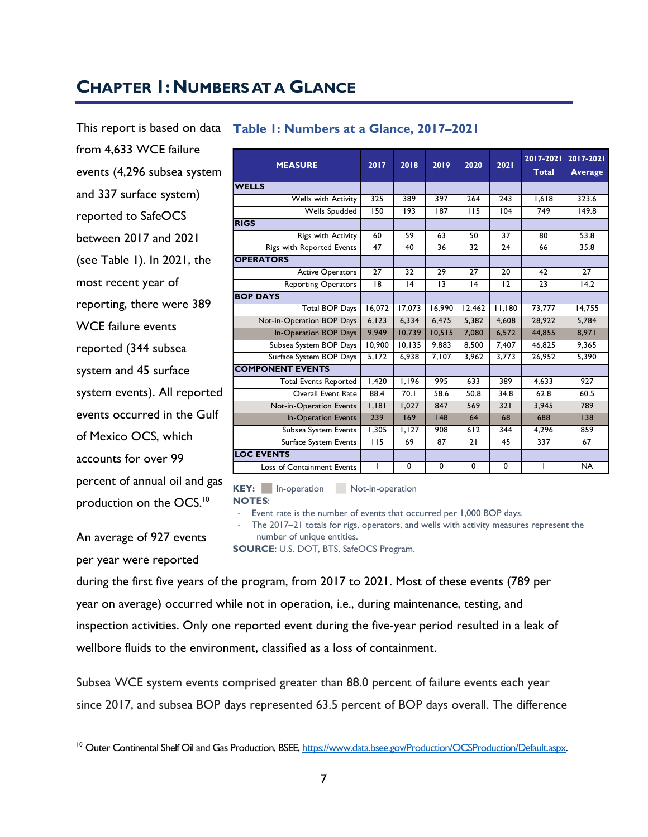# <span id="page-16-0"></span>**CHAPTER 1:NUMBERS AT A GLANCE**

This report is based on data from 4,633 WCE failure events (4,296 subsea system and 337 surface system) reported to SafeOCS between 2017 and 2021 (see [Table 1\)](#page-16-1). In 2021, the most recent year of reporting, there were 389 WCE failure events reported (344 subsea system and 45 surface system events). All reported events occurred in the Gulf of Mexico OCS, which accounts for over 99 percent of annual oil and gas production on the OCS.<sup>10</sup>

An average of 927 events

per year were reported

#### <span id="page-16-1"></span>**Table 1: Numbers at a Glance, 2017–2021 MEASURE 2017 2018 2019 2020 2021 2017-2021 Total 2017-2021 Average WELLS** SURE 2017 2018 2019 2020 2021 2017-2021 2017-20<br>
Total Average Total Average 2017<br>
Wells Spudded 150 193 187 115 104 749 149.8 1 1 Otal Average<br>
1 1 Otal Average 150 193 187 115 104 749 149.8<br>
264 243 1,618 323.6<br>
264 243 1,618 323.6<br>
264 243 1,618 149.8 **RIGS** vells with Activity 325 389 397 264 243 1,618 323.6<br>
Wells Spudded 150 193 187 115 104 749 149.8<br>
Rigs with Activity 60 59 63 50 37 80 53.8<br>
Reported Events 47 40 36 32 24 66 35.8 Wells Spudded 150 193 187 115 104 749 149.8<br>
Rigs with Activity 60 59 63 50 37 80 53.8<br>
Rigs with Reported Events 47 40 36 32 24 66 35.8<br>
TOBS **OPERATORS** Rigs with Activity 60 59 63 50 37 80 53.8<br>
Reported Events 47 40 36 32 24 66 35.8<br>
Active Operators 27 32 29 27 20 42 27<br>
Operators 18 14 13 14 12 23 14 vith Reported Events 47 40 36 32 24 66 35.8<br>
S<br>
Active Operators 27 32 29 27 20 42 27<br>
Reporting Operators 18 14 13 14 12 23 14.2 **BOP DAYS** Total BOP Days 16,072 17,073 16,990 12,462 11,180 73,777 14,755 Reporting Operators 18 14 13 14 12 23 14.2<br>
14 12 23 14.2<br>
16,900 12,462 11,180 73,777 14,755<br>
Not-in-Operation BOP Days 6,123 6,334 6,475 5,382 4,608 28,922 5,784<br>
10-Operation BOP Days 9,949 10,739 10,515 7,080 6,572 44, 14,755 16,072 17,073 16,990 12,462 11,180 13,777 14,755<br>
16,090 12,462 11,180 13,777 14,755<br>
16,008 28,922 5,784<br>
16.Operation BOP Days 9,949 10,739 10,515 7,080 6,572 44,855 8,971<br>
16,988 8,572 44,855 8,971<br>
16,990 10,135 Total BOP Days 16,072 17,073 16,990 12,462 11,180 73,777 14,755<br>
t-in-Operation BOP Days 6,123 6,334 6,475 5,382 4,608 28,922 5,784<br>
In-Operation BOP Days 9,949 10,739 10,515 7,080 6,572 44,855 8,971<br>
Subsea System BOP Day t-in-Operation BOP Days 6,123 6,334 6,475 5,382 4,608 28,922 5,784<br>
In-Operation BOP Days 9,949 10,739 10,515 7,080 6,572 44,855 8,971<br>
Subsea System BOP Days 10,900 10,135 9,883 8,500 7,407 46,825 9,365<br>
Surface System BO **COMPONENT EVENTS** Sea System BOP Days 10,900 10,135 9,883 8,500 7,407 46,825 9,365<br>
Tace System BOP Days 5,172 6,938 7,107 3,962 3,773 26,952 5,390<br>
NT EVENTS<br>
Total Events Reported 1,420 1,196 995 633 389 4,633 927<br>
Overall Event Rate 88.4 System BOP Days 5,172 6,938 7,107 3,962 3,773 26,952 5,390<br> **EVENTS**<br>
al Events Reported 1,420 1,196 995 633 389 4,633 927<br>
Overall Event Rate 88.4 70.1 58.6 50.8 34.8 62.8 60.5<br>
- Operation Events 1,181 1,077 847 569 321 NENT EVENTS<br>
Total Events Reported 1,420 1,196 995 633 389 4,633 927<br>
Overall Event Rate 88.4 70.1 58.6 50.8 34.8 62.8 60.5<br>
Not-in-Operation Events 1,181 1,027 847 569 321 3,945 789<br>
In-Operation Events 239 169 148 64 68 11 Events Reported 1,420 1,196 995 633 389 4,633 927<br>
1. Overall Event Rate 88.4 70.1 58.6 50.8 34.8 62.8 60.5<br>
1. Operation Events 1,181 1,027 847 569 321 3,945 789<br>
1. Operation Events 239 169 148 64 68 688 138 Overall Event Rate 88.4 70.1 58.6 50.8 34.8 62.8 60.5<br>
t-in-Operation Events 1,181 1,027 847 569 321 3,945 789<br>
In-Operation Events 239 169 148 64 68 688 138<br>
Subsea System Events 1,305 1,127 908 612 344 4,296 859<br>
Surface t-in-Operation Events 1,181 1,027 847 569 321 3,945 789<br>
In-Operation Events 239 169 148 64 68 688 138<br>
Subsea System Events 1,305 1,127 908 612 344 4,296 859<br>
Surface System Events 115 69 87 21 45 337 67<br> **FS LOC EVENTS** Subsea System Events 1,305 1,127 908 612 344 4,296 859<br>
Surface System Events 115 69 87 21 45 337 67<br>
VENTS<br>
Loss of Containment Events 1 0 0 0 0 0 1 NA

KEY: In-operation Not-in-operation

**NOTES**:

Event rate is the number of events that occurred per 1,000 BOP days.

The 2017–21 totals for rigs, operators, and wells with activity measures represent the number of unique entities.

**SOURCE**: U.S. DOT, BTS, SafeOCS Program.

during the first five years of the program, from 2017 to 2021. Most of these events (789 per year on average) occurred while not in operation, i.e., during maintenance, testing, and inspection activities. Only one reported event during the five-year period resulted in a leak of wellbore fluids to the environment, classified as a loss of containment.

Subsea WCE system events comprised greater than 88.0 percent of failure events each year since 2017, and subsea BOP days represented 63.5 percent of BOP days overall. The difference

<sup>&</sup>lt;sup>10</sup> Outer Continental Shelf Oil and Gas Production, BSEE[, https://www.data.bsee.gov/Production/OCSProduction/Default.aspx.](https://www.data.bsee.gov/Production/OCSProduction/Default.aspx)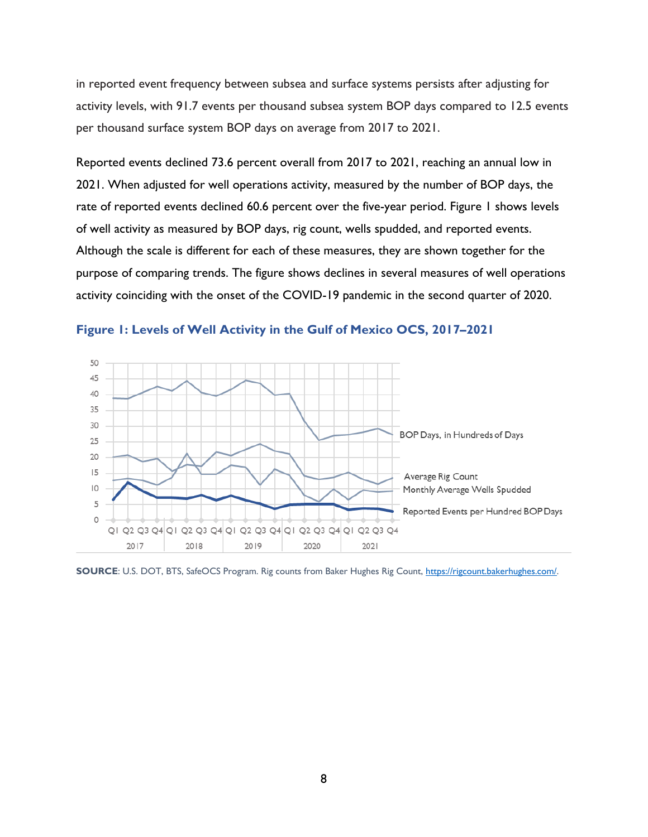in reported event frequency between subsea and surface systems persists after adjusting for activity levels, with 91.7 events per thousand subsea system BOP days compared to 12.5 events per thousand surface system BOP days on average from 2017 to 2021.

Reported events declined 73.6 percent overall from 2017 to 2021, reaching an annual low in 2021. When adjusted for well operations activity, measured by the number of BOP days, the rate of reported events declined 60.6 percent over the five-year period. [Figure 1](#page-17-0) shows levels of well activity as measured by BOP days, rig count, wells spudded, and reported events. Although the scale is different for each of these measures, they are shown together for the purpose of comparing trends. The figure shows declines in several measures of well operations activity coinciding with the onset of the COVID-19 pandemic in the second quarter of 2020.



<span id="page-17-0"></span>**Figure 1: Levels of Well Activity in the Gulf of Mexico OCS, 2017–2021**

**SOURCE**: U.S. DOT, BTS, SafeOCS Program. Rig counts from Baker Hughes Rig Count, [https://rigcount.bakerhughes.com/.](https://rigcount.bakerhughes.com/)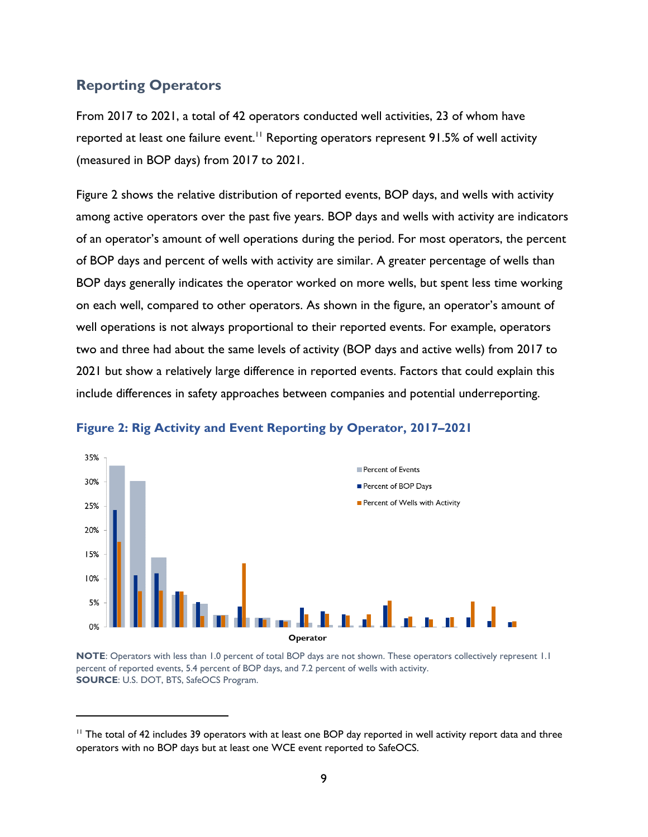# <span id="page-18-0"></span>**Reporting Operators**

From 2017 to 2021, a total of 42 operators conducted well activities, 23 of whom have reported at least one failure event.<sup>11</sup> Reporting operators represent 91.5% of well activity (measured in BOP days) from 2017 to 2021.

[Figure 2](#page-18-1) shows the relative distribution of reported events, BOP days, and wells with activity among active operators over the past five years. BOP days and wells with activity are indicators of an operator's amount of well operations during the period. For most operators, the percent of BOP days and percent of wells with activity are similar. A greater percentage of wells than BOP days generally indicates the operator worked on more wells, but spent less time working on each well, compared to other operators. As shown in the figure, an operator's amount of well operations is not always proportional to their reported events. For example, operators two and three had about the same levels of activity (BOP days and active wells) from 2017 to 2021 but show a relatively large difference in reported events. Factors that could explain this include differences in safety approaches between companies and potential underreporting.



#### <span id="page-18-1"></span>**Figure 2: Rig Activity and Event Reporting by Operator, 2017–2021**

**NOTE**: Operators with less than 1.0 percent of total BOP days are not shown. These operators collectively represent 1.1 percent of reported events, 5.4 percent of BOP days, and 7.2 percent of wells with activity. **SOURCE**: U.S. DOT, BTS, SafeOCS Program.

 $11$  The total of 42 includes 39 operators with at least one BOP day reported in well activity report data and three operators with no BOP days but at least one WCE event reported to SafeOCS.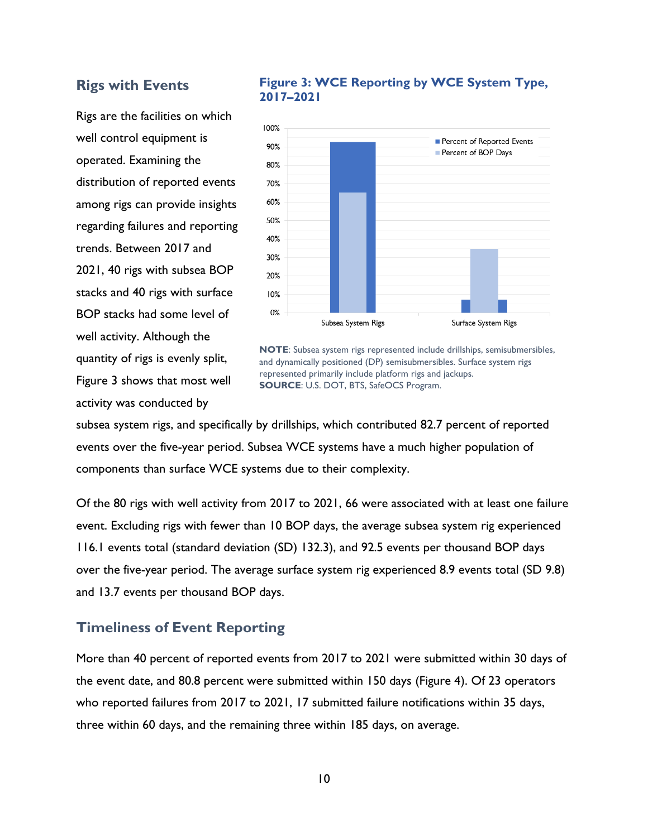#### <span id="page-19-0"></span>**Rigs with Events**

Rigs are the facilities on which well control equipment is operated. Examining the distribution of reported events among rigs can provide insights regarding failures and reporting trends. Between 2017 and 2021, 40 rigs with subsea BOP stacks and 40 rigs with surface BOP stacks had some level of well activity. Although the quantity of rigs is evenly split, [Figure 3](#page-19-2) shows that most well activity was conducted by

#### <span id="page-19-2"></span>**Figure 3: WCE Reporting by WCE System Type, 2017–2021**



**NOTE**: Subsea system rigs represented include drillships, semisubmersibles, and dynamically positioned (DP) semisubmersibles. Surface system rigs represented primarily include platform rigs and jackups. **SOURCE**: U.S. DOT, BTS, SafeOCS Program.

subsea system rigs, and specifically by drillships, which contributed 82.7 percent of reported events over the five-year period. Subsea WCE systems have a much higher population of components than surface WCE systems due to their complexity.

Of the 80 rigs with well activity from 2017 to 2021, 66 were associated with at least one failure event. Excluding rigs with fewer than 10 BOP days, the average subsea system rig experienced 116.1 events total (standard deviation (SD) 132.3), and 92.5 events per thousand BOP days over the five-year period. The average surface system rig experienced 8.9 events total (SD 9.8) and 13.7 events per thousand BOP days.

#### <span id="page-19-1"></span>**Timeliness of Event Reporting**

More than 40 percent of reported events from 2017 to 2021 were submitted within 30 days of the event date, and 80.8 percent were submitted within 150 days [\(Figure 4\)](#page-20-0). Of 23 operators who reported failures from 2017 to 2021, 17 submitted failure notifications within 35 days, three within 60 days, and the remaining three within 185 days, on average.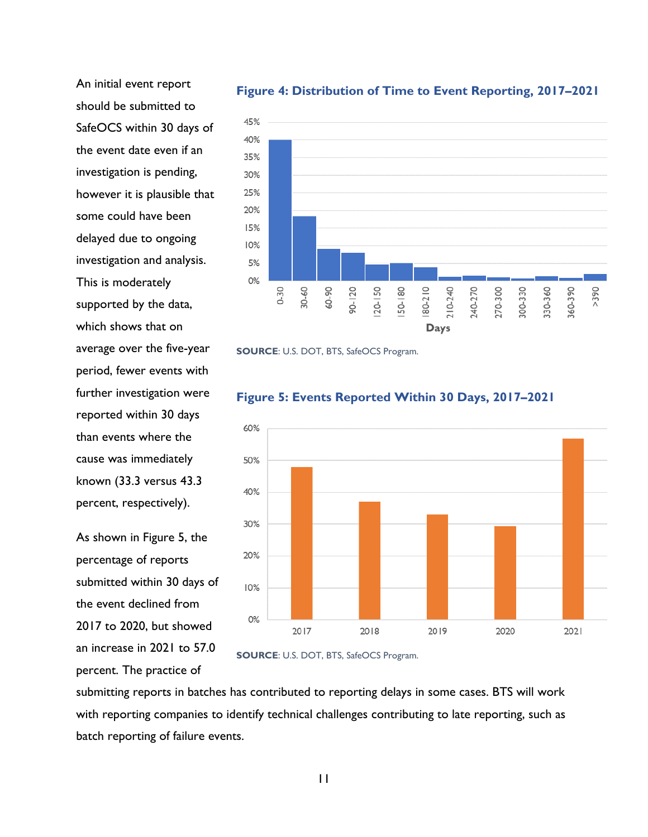An initial event report should be submitted to SafeOCS within 30 days of the event date even if an investigation is pending, however it is plausible that some could have been delayed due to ongoing investigation and analysis. This is moderately supported by the data, which shows that on average over the five-year period, fewer events with further investigation were reported within 30 days than events where the cause was immediately known (33.3 versus 43.3 percent, respectively).

As shown in [Figure 5,](#page-20-1) the percentage of reports submitted within 30 days of the event declined from 2017 to 2020, but showed an increase in 2021 to 57.0 percent. The practice of



#### <span id="page-20-0"></span>**Figure 4: Distribution of Time to Event Reporting, 2017–2021**





#### <span id="page-20-1"></span>**Figure 5: Events Reported Within 30 Days, 2017–2021**

submitting reports in batches has contributed to reporting delays in some cases. BTS will work with reporting companies to identify technical challenges contributing to late reporting, such as batch reporting of failure events.

**SOURCE**: U.S. DOT, BTS, SafeOCS Program.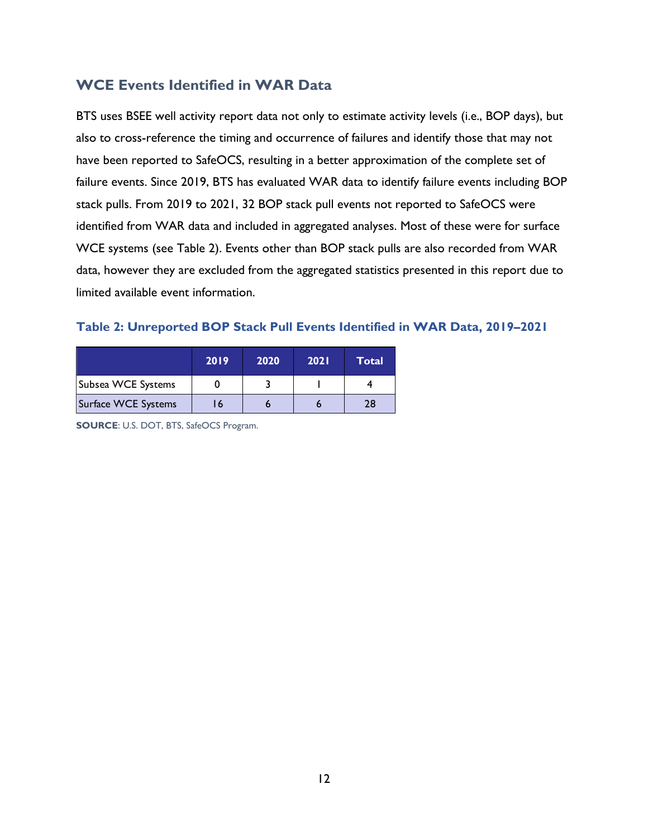# <span id="page-21-0"></span>**WCE Events Identified in WAR Data**

BTS uses BSEE well activity report data not only to estimate activity levels (i.e., BOP days), but also to cross-reference the timing and occurrence of failures and identify those that may not have been reported to SafeOCS, resulting in a better approximation of the complete set of failure events. Since 2019, BTS has evaluated WAR data to identify failure events including BOP stack pulls. From 2019 to 2021, 32 BOP stack pull events not reported to SafeOCS were identified from WAR data and included in aggregated analyses. Most of these were for surface WCE systems (see [Table 2\)](#page-21-1). Events other than BOP stack pulls are also recorded from WAR data, however they are excluded from the aggregated statistics presented in this report due to limited available event information.

#### <span id="page-21-1"></span>**Table 2: Unreported BOP Stack Pull Events Identified in WAR Data, 2019–2021**

|                     | 2019 | 2020 | 2021 | Total |
|---------------------|------|------|------|-------|
| Subsea WCE Systems  |      |      |      |       |
| Surface WCE Systems | 16   |      |      | 28    |

**SOURCE**: U.S. DOT, BTS, SafeOCS Program.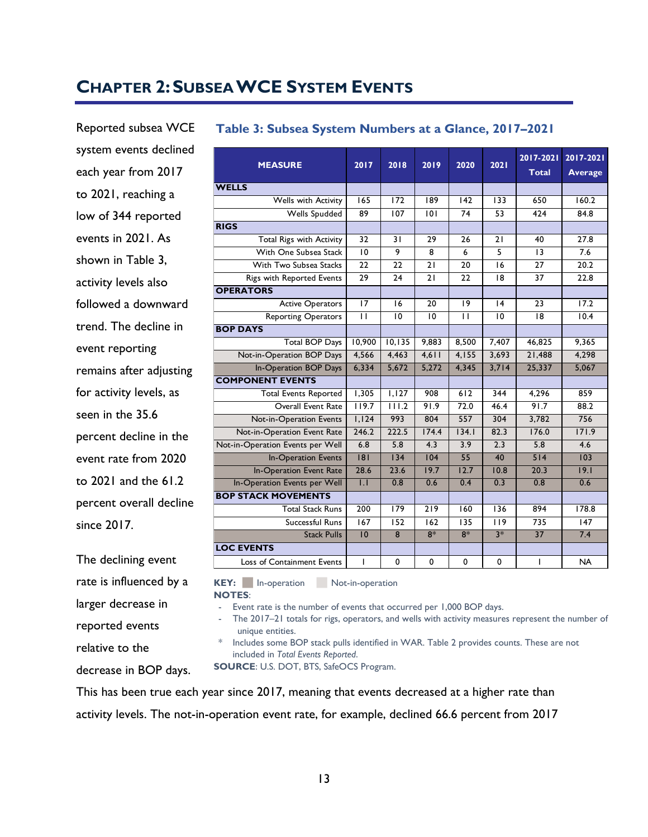# <span id="page-22-0"></span>**CHAPTER 2:SUBSEA WCE SYSTEM EVENTS**

Reported subsea WCE system events declined each year from 2017 to 2021, reaching a low of 344 reported events in 2021. As shown in [Table 3,](#page-22-1)  activity levels also followed a downward trend. The decline in event reporting remains after adjusting for activity levels, as seen in the 35.6 percent decline in the event rate from 2020 to 2021 and the 61.2 percent overall decline since 2017.

The declining event rate is influenced by a larger decrease in reported events relative to the decrease in BOP days.

<span id="page-22-1"></span>

| Table 3: Subsea System Numbers at a Glance, 2017-2021 |                         |                    |                  |                 |                  |                           |                             |  |  |
|-------------------------------------------------------|-------------------------|--------------------|------------------|-----------------|------------------|---------------------------|-----------------------------|--|--|
| <b>MEASURE</b>                                        | 2017                    | 2018               | 2019             | 2020            | 2021             | 2017-2021<br><b>Total</b> | 2017-2021<br><b>Average</b> |  |  |
| <b>WELLS</b>                                          |                         |                    |                  |                 |                  |                           |                             |  |  |
| <b>Wells with Activity</b>                            | $\overline{165}$        | $\overline{172}$   | $\overline{189}$ | 142             | $\overline{133}$ | 650                       | 160.2                       |  |  |
| <b>Wells Spudded</b>                                  | $\overline{89}$         | 107                | 0                | 74              | 53               | 424                       | 84.8                        |  |  |
| <b>RIGS</b>                                           |                         |                    |                  |                 |                  |                           |                             |  |  |
| <b>Total Rigs with Activity</b>                       | $\overline{32}$         | $\overline{31}$    | 29               | 26              | 21               | 40                        | 27.8                        |  |  |
| With One Subsea Stack                                 | $\overline{10}$         | 9                  | 8                | 6               | 5                | 3                         | 7.6                         |  |  |
| With Two Subsea Stacks                                | $\overline{22}$         | $\overline{22}$    | $\overline{21}$  | $\overline{20}$ | 16               | $\overline{27}$           | 20.2                        |  |  |
| Rigs with Reported Events                             | 29                      | 24                 | 21               | 22              | 8                | 37                        | 22.8                        |  |  |
| <b>OPERATORS</b>                                      |                         |                    |                  |                 |                  |                           |                             |  |  |
| <b>Active Operators</b>                               | $\overline{17}$         | 16                 | 20               | 19              | 4                | 23                        | $\overline{17.2}$           |  |  |
| <b>Reporting Operators</b>                            | $\overline{\mathbf{1}}$ | 10                 | 10               | $\mathbf{H}$    | 10               | 8                         | 10.4                        |  |  |
| <b>BOP DAYS</b>                                       |                         |                    |                  |                 |                  |                           |                             |  |  |
| <b>Total BOP Days</b>                                 | 10,900                  | 10, 135            | 9.883            | 8,500           | 7,407            | 46,825                    | 9,365                       |  |  |
| Not-in-Operation BOP Days                             | 4,566                   | 4,463              | 4,611            | 4,155           | 3,693            | 21,488                    | 4,298                       |  |  |
| In-Operation BOP Days                                 | 6,334                   | 5,672              | 5,272            | 4,345           | 3,714            | 25,337                    | 5,067                       |  |  |
| <b>COMPONENT EVENTS</b>                               |                         |                    |                  |                 |                  |                           |                             |  |  |
| <b>Total Events Reported</b>                          | 1,305                   | 1,127              | 908              | 612             | 344              | 4,296                     | 859                         |  |  |
| Overall Event Rate                                    | $\overline{119.7}$      | $\overline{111.2}$ | 91.9             | 72.0            | 46.4             | 91.7                      | 88.2                        |  |  |
| Not-in-Operation Events                               | 1,124                   | 993                | 804              | 557             | 304              | 3,782                     | 756                         |  |  |
| Not-in-Operation Event Rate                           | 246.2                   | 222.5              | 174.4            | 134.1           | 82.3             | 176.0                     | 171.9                       |  |  |
| Not-in-Operation Events per Well                      | 6.8                     | 5.8                | 4.3              | 3.9             | 2.3              | 5.8                       | 4.6                         |  |  |
| <b>In-Operation Events</b>                            | 8                       | 34                 | 04               | 55              | 40               | 514                       | 103                         |  |  |
| <b>In-Operation Event Rate</b>                        | 28.6                    | 23.6               | 19.7             | 12.7            | 10.8             | 20.3                      | 19.1                        |  |  |
| In-Operation Events per Well                          | $\overline{1}$ .        | 0.8                | 0.6              | 0.4             | 0.3              | 0.8                       | 0.6                         |  |  |
| <b>BOP STACK MOVEMENTS</b>                            |                         |                    |                  |                 |                  |                           |                             |  |  |
| <b>Total Stack Runs</b>                               | 200                     | 179                | 219              | 160             | 136              | 894                       | 178.8                       |  |  |
| Successful Runs                                       | $\overline{167}$        | 152                | 162              | 135             | 119              | 735                       | 147                         |  |  |
| <b>Stack Pulls</b>                                    | $\overline{10}$         | $\overline{8}$     | $8*$             | $8*$            | $3*$             | $\overline{37}$           | 7.4                         |  |  |
| <b>LOC EVENTS</b>                                     |                         |                    |                  |                 |                  |                           |                             |  |  |
| Loss of Containment Events                            | $\mathsf{I}$            | 0                  | 0                | 0               | $\mathbf 0$      | I                         | <b>NA</b>                   |  |  |

**KEY:** In-operation Not-in-operation

#### **NOTES**:

- Event rate is the number of events that occurred per 1,000 BOP days.

- The 2017–21 totals for rigs, operators, and wells with activity measures represent the number of unique entities.

\* Includes some BOP stack pulls identified in WAR. [Table 2](#page-21-1) provides counts. These are not included in *Total Events Reported*.

**SOURCE**: U.S. DOT, BTS, SafeOCS Program.

This has been true each year since 2017, meaning that events decreased at a higher rate than activity levels. The not-in-operation event rate, for example, declined 66.6 percent from 2017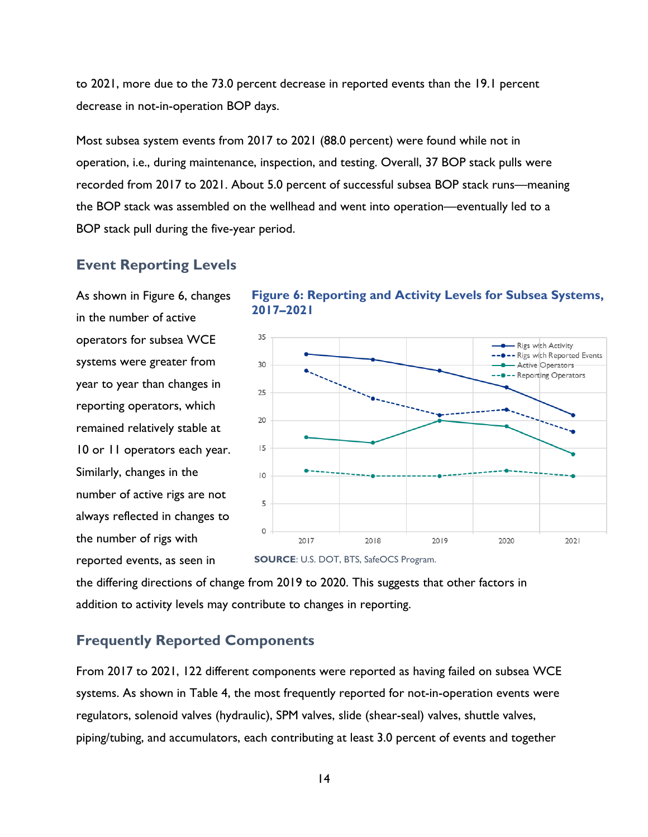to 2021, more due to the 73.0 percent decrease in reported events than the 19.1 percent decrease in not-in-operation BOP days.

Most subsea system events from 2017 to 2021 (88.0 percent) were found while not in operation, i.e., during maintenance, inspection, and testing. Overall, 37 BOP stack pulls were recorded from 2017 to 2021. About 5.0 percent of successful subsea BOP stack runs—meaning the BOP stack was assembled on the wellhead and went into operation—eventually led to a BOP stack pull during the five-year period.

#### <span id="page-23-0"></span>**Event Reporting Levels**

As shown in [Figure 6,](#page-23-2) changes in the number of active operators for subsea WCE systems were greater from year to year than changes in reporting operators, which remained relatively stable at 10 or 11 operators each year. Similarly, changes in the number of active rigs are not always reflected in changes to the number of rigs with reported events, as seen in

<span id="page-23-2"></span>



the differing directions of change from 2019 to 2020. This suggests that other factors in addition to activity levels may contribute to changes in reporting.

#### <span id="page-23-1"></span>**Frequently Reported Components**

From 2017 to 2021, 122 different components were reported as having failed on subsea WCE systems. As shown in [Table 4,](#page-24-0) the most frequently reported for not-in-operation events were regulators, solenoid valves (hydraulic), SPM valves, slide (shear-seal) valves, shuttle valves, piping/tubing, and accumulators, each contributing at least 3.0 percent of events and together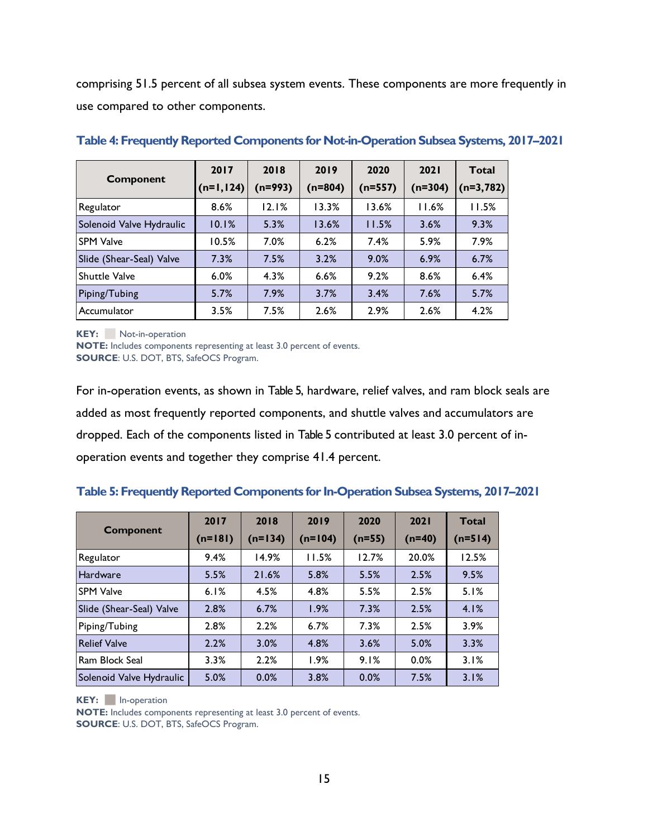comprising 51.5 percent of all subsea system events. These components are more frequently in use compared to other components.

| Component                | 2017        | 2018      | 2019      | 2020      | <b>2021</b> | <b>Total</b> |
|--------------------------|-------------|-----------|-----------|-----------|-------------|--------------|
|                          | $(n=1,124)$ | $(n=993)$ | $(n=804)$ | $(n=557)$ | $(n=304)$   | $(n=3,782)$  |
| Regulator                | 8.6%        | 12.1%     | 13.3%     | 13.6%     | 11.6%       | 11.5%        |
| Solenoid Valve Hydraulic | 10.1%       | 5.3%      | 13.6%     | 11.5%     | 3.6%        | 9.3%         |
| <b>SPM Valve</b>         | 10.5%       | 7.0%      | 6.2%      | 7.4%      | 5.9%        | 7.9%         |
| Slide (Shear-Seal) Valve | 7.3%        | 7.5%      | 3.2%      | 9.0%      | 6.9%        | 6.7%         |
| Shuttle Valve            | 6.0%        | 4.3%      | 6.6%      | 9.2%      | 8.6%        | 6.4%         |
| Piping/Tubing            | 5.7%        | 7.9%      | 3.7%      | 3.4%      | 7.6%        | 5.7%         |
| Accumulator              | 3.5%        | 7.5%      | 2.6%      | 2.9%      | 2.6%        | 4.2%         |

#### <span id="page-24-0"></span>**Table 4: Frequently Reported Components for Not-in-Operation Subsea Systems, 2017–2021**

**KEY:** Not-in-operation

**NOTE:** Includes components representing at least 3.0 percent of events. **SOURCE**: U.S. DOT, BTS, SafeOCS Program.

For in-operation events, as shown in [Table 5,](#page-24-1) hardware, relief valves, and ram block seals are added as most frequently reported components, and shuttle valves and accumulators are dropped. Each of the components listed in [Table 5](#page-24-1) contributed at least 3.0 percent of inoperation events and together they comprise 41.4 percent.

#### <span id="page-24-1"></span>**Table 5: Frequently Reported Components for In-Operation Subsea Systems, 2017–2021**

| <b>Component</b>         | 2017<br>$(n=181)$ | 2018<br>$(n=134)$ | 2019<br>$(n=104)$ | 2020<br>$(n=55)$ | 2021<br>$(n=40)$ | <b>Total</b><br>$(n=514)$ |
|--------------------------|-------------------|-------------------|-------------------|------------------|------------------|---------------------------|
| Regulator                | 9.4%              | 14.9%             | 11.5%             | 12.7%            | 20.0%            | 12.5%                     |
| Hardware                 | 5.5%              | 21.6%             | 5.8%              | 5.5%             | 2.5%             | 9.5%                      |
| <b>SPM Valve</b>         | 6.1%              | 4.5%              | 4.8%              | 5.5%             | 2.5%             | 5.1%                      |
| Slide (Shear-Seal) Valve | 2.8%              | 6.7%              | 1.9%              | 7.3%             | 2.5%             | 4.1%                      |
| Piping/Tubing            | 2.8%              | 2.2%              | 6.7%              | 7.3%             | 2.5%             | 3.9%                      |
| <b>Relief Valve</b>      | 2.2%              | 3.0%              | 4.8%              | 3.6%             | 5.0%             | 3.3%                      |
| Ram Block Seal           | 3.3%              | 2.2%              | 1.9%              | 9.1%             | 0.0%             | 3.1%                      |
| Solenoid Valve Hydraulic | 5.0%              | 0.0%              | 3.8%              | 0.0%             | 7.5%             | 3.1%                      |

**KEY:** In-operation

**NOTE:** Includes components representing at least 3.0 percent of events. **SOURCE**: U.S. DOT, BTS, SafeOCS Program.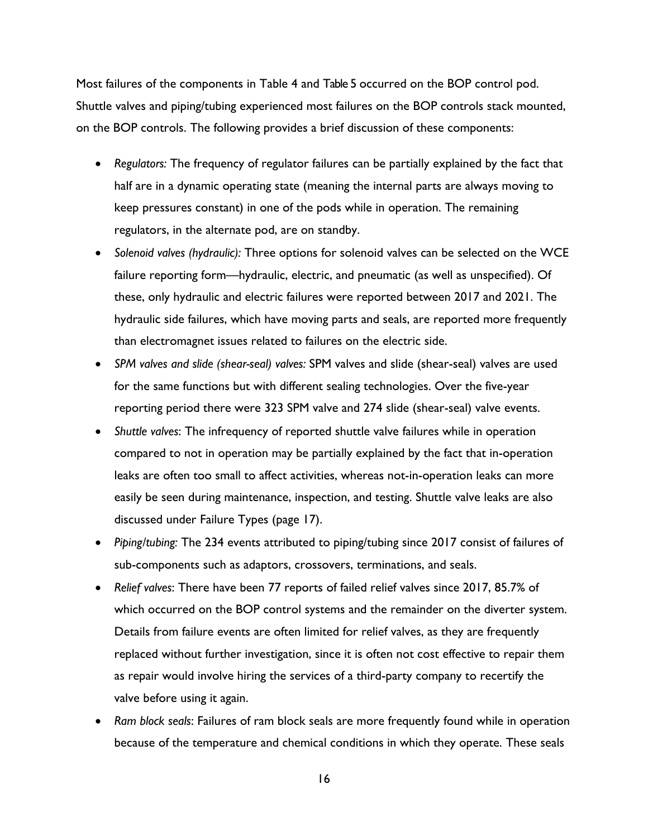Most failures of the components in [Table 4](#page-24-0) and [Table 5](#page-24-1) occurred on the BOP control pod. Shuttle valves and piping/tubing experienced most failures on the BOP controls stack mounted, on the BOP controls. The following provides a brief discussion of these components:

- *Regulators:* The frequency of regulator failures can be partially explained by the fact that half are in a dynamic operating state (meaning the internal parts are always moving to keep pressures constant) in one of the pods while in operation. The remaining regulators, in the alternate pod, are on standby.
- *Solenoid valves (hydraulic):* Three options for solenoid valves can be selected on the WCE failure reporting form—hydraulic, electric, and pneumatic (as well as unspecified). Of these, only hydraulic and electric failures were reported between 2017 and 2021. The hydraulic side failures, which have moving parts and seals, are reported more frequently than electromagnet issues related to failures on the electric side.
- *SPM valves and slide (shear-seal) valves:* SPM valves and slide (shear-seal) valves are used for the same functions but with different sealing technologies. Over the five-year reporting period there were 323 SPM valve and 274 slide (shear-seal) valve events.
- *Shuttle valves*: The infrequency of reported shuttle valve failures while in operation compared to not in operation may be partially explained by the fact that in-operation leaks are often too small to affect activities, whereas not-in-operation leaks can more easily be seen during maintenance, inspection, and testing. Shuttle valve leaks are also discussed under Failure Types (page [17\)](#page-26-0).
- *Piping/tubing:* The 234 events attributed to piping/tubing since 2017 consist of failures of sub-components such as adaptors, crossovers, terminations, and seals.
- *Relief valves*: There have been 77 reports of failed relief valves since 2017, 85.7% of which occurred on the BOP control systems and the remainder on the diverter system. Details from failure events are often limited for relief valves, as they are frequently replaced without further investigation, since it is often not cost effective to repair them as repair would involve hiring the services of a third-party company to recertify the valve before using it again.
- *Ram block seals*: Failures of ram block seals are more frequently found while in operation because of the temperature and chemical conditions in which they operate. These seals
	- 16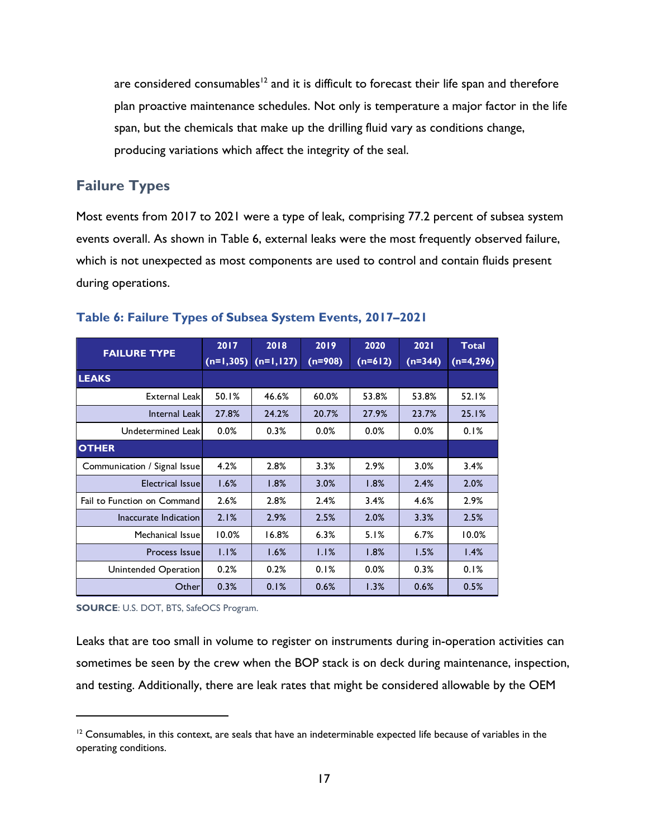are considered consumables<sup>12</sup> and it is difficult to forecast their life span and therefore plan proactive maintenance schedules. Not only is temperature a major factor in the life span, but the chemicals that make up the drilling fluid vary as conditions change, producing variations which affect the integrity of the seal.

# <span id="page-26-0"></span>**Failure Types**

Most events from 2017 to 2021 were a type of leak, comprising 77.2 percent of subsea system events overall. As shown in [Table 6,](#page-26-1) external leaks were the most frequently observed failure, which is not unexpected as most components are used to control and contain fluids present during operations.

|                              | 2017        | 2018        | 2019      | 2020      | 2021      | <b>Total</b> |
|------------------------------|-------------|-------------|-----------|-----------|-----------|--------------|
| <b>FAILURE TYPE</b>          | $(n=1,305)$ | $(n=1,127)$ | $(n=908)$ | $(n=612)$ | $(n=344)$ | $(n=4,296)$  |
| <b>LEAKS</b>                 |             |             |           |           |           |              |
| <b>External Leakl</b>        | 50.1%       | 46.6%       | 60.0%     | 53.8%     | 53.8%     | 52.1%        |
| Internal Leak                | 27.8%       | 24.2%       | 20.7%     | 27.9%     | 23.7%     | 25.1%        |
| Undetermined Leak            | 0.0%        | 0.3%        | 0.0%      | $0.0\%$   | 0.0%      | 0.1%         |
| <b>OTHER</b>                 |             |             |           |           |           |              |
| Communication / Signal Issue | 4.2%        | 2.8%        | 3.3%      | 2.9%      | 3.0%      | 3.4%         |
| Electrical Issuel            | 1.6%        | 1.8%        | 3.0%      | 1.8%      | 2.4%      | 2.0%         |
| Fail to Function on Command  | 2.6%        | 2.8%        | 2.4%      | 3.4%      | 4.6%      | 2.9%         |
| Inaccurate Indication        | 2.1%        | 2.9%        | 2.5%      | 2.0%      | 3.3%      | 2.5%         |
| Mechanical Issuel            | 10.0%       | 16.8%       | 6.3%      | 5.1%      | 6.7%      | 10.0%        |
| Process Issuel               | 1.1%        | 1.6%        | 1.1%      | 1.8%      | 1.5%      | 1.4%         |
| Unintended Operation         | 0.2%        | 0.2%        | 0.1%      | 0.0%      | 0.3%      | 0.1%         |
| Other                        | 0.3%        | 0.1%        | 0.6%      | 1.3%      | 0.6%      | 0.5%         |

#### <span id="page-26-1"></span>**Table 6: Failure Types of Subsea System Events, 2017–2021**

**SOURCE**: U.S. DOT, BTS, SafeOCS Program.

Leaks that are too small in volume to register on instruments during in-operation activities can sometimes be seen by the crew when the BOP stack is on deck during maintenance, inspection, and testing. Additionally, there are leak rates that might be considered allowable by the OEM

 $12$  Consumables, in this context, are seals that have an indeterminable expected life because of variables in the operating conditions.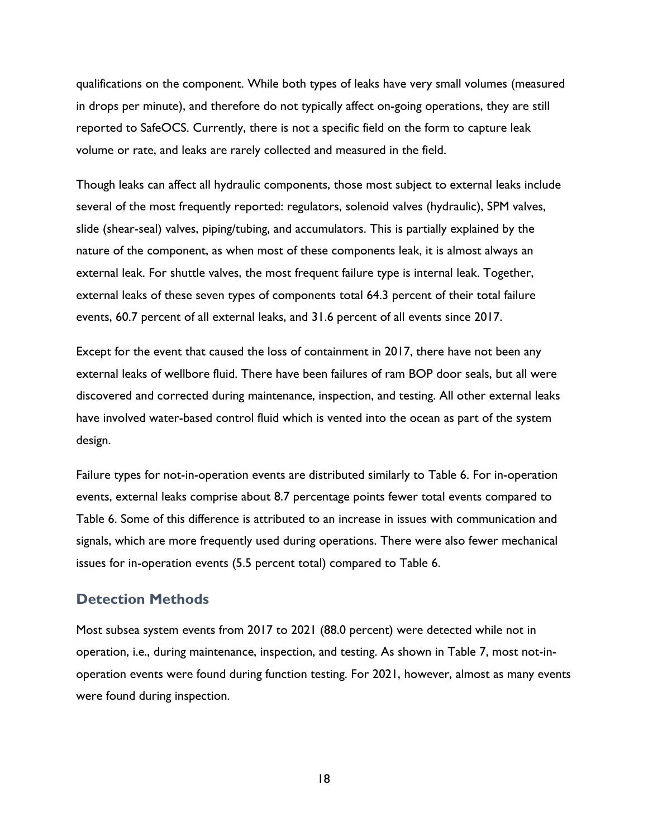qualifications on the component. While both types of leaks have very small volumes (measured in drops per minute), and therefore do not typically affect on-going operations, they are still reported to SafeOCS. Currently, there is not a specific field on the form to capture leak volume or rate, and leaks are rarely collected and measured in the field.

Though leaks can affect all hydraulic components, those most subject to external leaks include several of the most frequently reported: regulators, solenoid valves (hydraulic), SPM valves, slide (shear-seal) valves, piping/tubing, and accumulators. This is partially explained by the nature of the component, as when most of these components leak, it is almost always an external leak. For shuttle valves, the most frequent failure type is internal leak. Together, external leaks of these seven types of components total 64.3 percent of their total failure events, 60.7 percent of all external leaks, and 31.6 percent of all events since 2017.

Except for the event that caused the loss of containment in 2017, there have not been any external leaks of wellbore fluid. There have been failures of ram BOP door seals, but all were discovered and corrected during maintenance, inspection, and testing. All other external leaks have involved water-based control fluid which is vented into the ocean as part of the system design.

Failure types for not-in-operation events are distributed similarly to [Table 6.](#page-26-1) For in-operation events, external leaks comprise about 8.7 percentage points fewer total events compared to [Table 6.](#page-26-1) Some of this difference is attributed to an increase in issues with communication and signals, which are more frequently used during operations. There were also fewer mechanical issues for in-operation events (5.5 percent total) compared to [Table 6.](#page-26-1)

## <span id="page-27-0"></span>**Detection Methods**

Most subsea system events from 2017 to 2021 (88.0 percent) were detected while not in operation, i.e., during maintenance, inspection, and testing. As shown in [Table 7,](#page-28-0) most not-inoperation events were found during function testing. For 2021, however, almost as many events were found during inspection.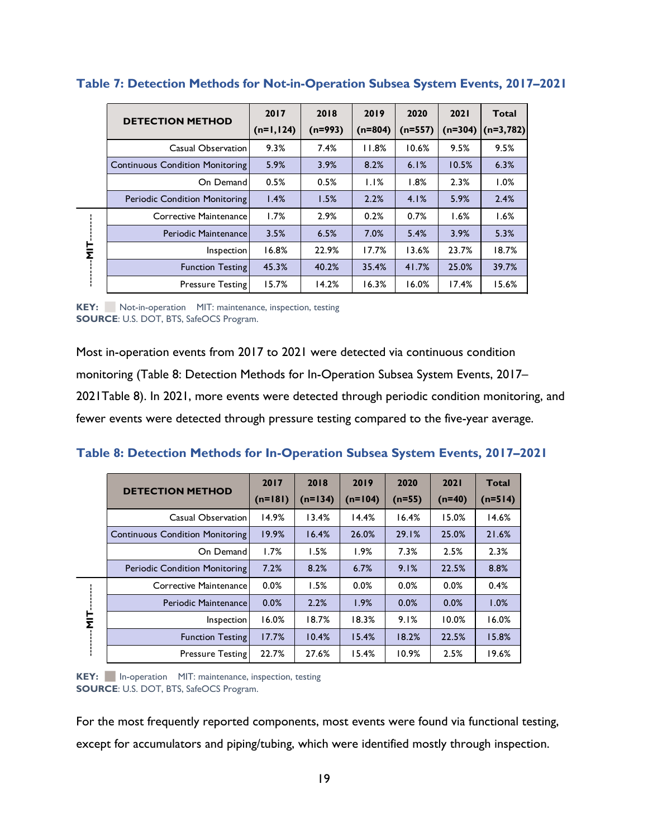|        | <b>DETECTION METHOD</b>                | 2017        | 2018      | 2019      | 2020      | 2021      | Total       |
|--------|----------------------------------------|-------------|-----------|-----------|-----------|-----------|-------------|
|        |                                        | $(n=1,124)$ | $(n=993)$ | $(n=804)$ | $(n=557)$ | $(n=304)$ | $(n=3,782)$ |
|        | Casual Observation                     | 9.3%        | 7.4%      | 11.8%     | 10.6%     | 9.5%      | 9.5%        |
|        | <b>Continuous Condition Monitoring</b> | 5.9%        | 3.9%      | 8.2%      | 6.1%      | 10.5%     | 6.3%        |
|        | On Demand                              | 0.5%        | 0.5%      | 1.1%      | 1.8%      | 2.3%      | 1.0%        |
|        | <b>Periodic Condition Monitoring</b>   | 1.4%        | 1.5%      | 2.2%      | 4.1%      | 5.9%      | 2.4%        |
|        | Corrective Maintenance                 | 1.7%        | 2.9%      | 0.2%      | 0.7%      | 1.6%      | 1.6%        |
|        | Periodic Maintenance                   | 3.5%        | 6.5%      | 7.0%      | 5.4%      | 3.9%      | 5.3%        |
| 느<br>Σ | Inspection                             | 16.8%       | 22.9%     | 17.7%     | 13.6%     | 23.7%     | 18.7%       |
|        | <b>Function Testing</b>                | 45.3%       | 40.2%     | 35.4%     | 41.7%     | 25.0%     | 39.7%       |
|        | <b>Pressure Testing</b>                | 15.7%       | 14.2%     | 16.3%     | 16.0%     | 17.4%     | 15.6%       |
|        |                                        |             |           |           |           |           |             |

#### <span id="page-28-0"></span>**Table 7: Detection Methods for Not-in-Operation Subsea System Events, 2017–2021**

**KEY:** ⬛ Not-in-operation MIT: maintenance, inspection, testing **SOURCE**: U.S. DOT, BTS, SafeOCS Program.

Most in-operation events from 2017 to 2021 were detected via continuous condition monitoring [\(Table 8: Detection Methods for In-Operation Subsea System Events, 2017](#page-28-1)– [2021Table 8\)](#page-28-1). In 2021, more events were detected through periodic condition monitoring, and fewer events were detected through pressure testing compared to the five-year average.

<span id="page-28-1"></span>

| Table 8: Detection Methods for In-Operation Subsea System Events, 2017-2021 |  |  |  |  |  |  |
|-----------------------------------------------------------------------------|--|--|--|--|--|--|
|-----------------------------------------------------------------------------|--|--|--|--|--|--|

|                          | <b>DETECTION METHOD</b>                | 2017<br>$(n=181)$ | 2018<br>$(n=134)$ | 2019<br>$(n=104)$ | 2020<br>$(n=55)$ | 2021<br>$(n=40)$ | <b>Total</b><br>$(n=514)$ |
|--------------------------|----------------------------------------|-------------------|-------------------|-------------------|------------------|------------------|---------------------------|
|                          | Casual Observation                     | 14.9%             | 13.4%             | 14.4%             | 16.4%            | 15.0%            | 14.6%                     |
|                          | <b>Continuous Condition Monitoring</b> | 19.9%             | 16.4%             | 26.0%             | 29.1%            | 25.0%            | 21.6%                     |
|                          | On Demand                              | 1.7%              | 1.5%              | 1.9%              | 7.3%             | 2.5%             | 2.3%                      |
|                          | <b>Periodic Condition Monitoring</b>   | 7.2%              | 8.2%              | 6.7%              | 9.1%             | 22.5%            | 8.8%                      |
|                          | Corrective Maintenance                 | 0.0%              | 1.5%              | 0.0%              | 0.0%             | 0.0%             | 0.4%                      |
|                          | Periodic Maintenance                   | 0.0%              | 2.2%              | 1.9%              | 0.0%             | 0.0%             | 1.0%                      |
| $\frac{1}{2}$<br>٠<br>л. | Inspection                             | 16.0%             | 18.7%             | 18.3%             | 9.1%             | 10.0%            | 16.0%                     |
|                          | <b>Function Testing</b>                | 17.7%             | 10.4%             | 15.4%             | 18.2%            | 22.5%            | 15.8%                     |
|                          | <b>Pressure Testing</b>                | 22.7%             | 27.6%             | 15.4%             | 10.9%            | 2.5%             | 19.6%                     |

**KEY:** ⬛ In-operation MIT: maintenance, inspection, testing **SOURCE**: U.S. DOT, BTS, SafeOCS Program.

For the most frequently reported components, most events were found via functional testing, except for accumulators and piping/tubing, which were identified mostly through inspection.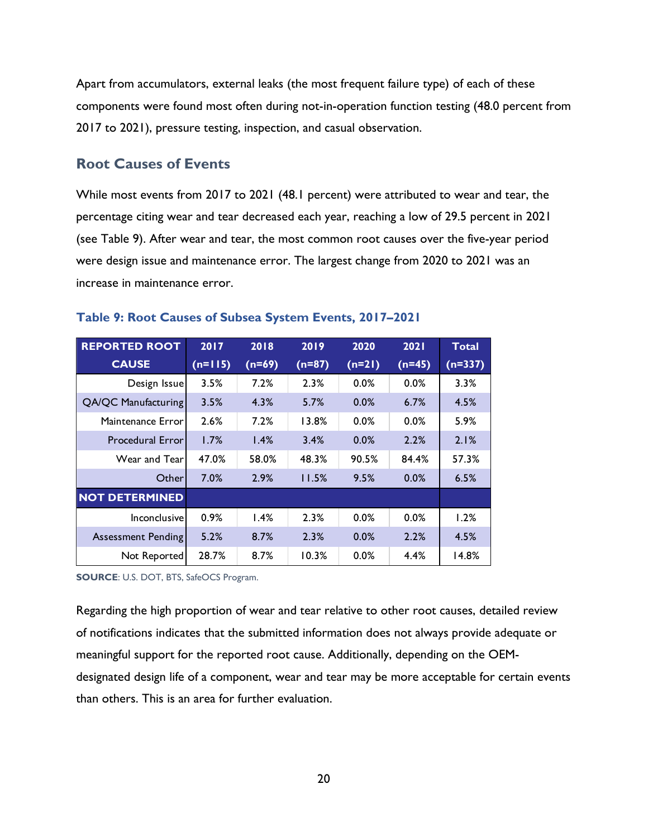Apart from accumulators, external leaks (the most frequent failure type) of each of these components were found most often during not-in-operation function testing (48.0 percent from 2017 to 2021), pressure testing, inspection, and casual observation.

## <span id="page-29-0"></span>**Root Causes of Events**

While most events from 2017 to 2021 (48.1 percent) were attributed to wear and tear, the percentage citing wear and tear decreased each year, reaching a low of 29.5 percent in 2021 (see [Table 9\)](#page-29-1). After wear and tear, the most common root causes over the five-year period were design issue and maintenance error. The largest change from 2020 to 2021 was an increase in maintenance error.

| <b>REPORTED ROOT</b>       | 2017      | 2018     | 2019     | 2020     | 2021     | <b>Total</b> |
|----------------------------|-----------|----------|----------|----------|----------|--------------|
| <b>CAUSE</b>               | $(n=115)$ | $(n=69)$ | $(n=87)$ | $(n=21)$ | $(n=45)$ | $(n=337)$    |
| Design Issue               | 3.5%      | 7.2%     | 2.3%     | 0.0%     | 0.0%     | 3.3%         |
| <b>QA/QC Manufacturing</b> | 3.5%      | 4.3%     | 5.7%     | 0.0%     | 6.7%     | 4.5%         |
| Maintenance Error          | 2.6%      | 7.2%     | 13.8%    | 0.0%     | $0.0\%$  | 5.9%         |
| <b>Procedural Error</b>    | 1.7%      | 1.4%     | 3.4%     | 0.0%     | 2.2%     | 2.1%         |
| Wear and Tearl             | 47.0%     | 58.0%    | 48.3%    | 90.5%    | 84.4%    | 57.3%        |
| Otherl                     | 7.0%      | 2.9%     | 11.5%    | 9.5%     | 0.0%     | 6.5%         |
| <b>NOT DETERMINED</b>      |           |          |          |          |          |              |
| Inconclusive               | 0.9%      | 1.4%     | 2.3%     | 0.0%     | 0.0%     | 1.2%         |
| <b>Assessment Pending</b>  | 5.2%      | 8.7%     | 2.3%     | 0.0%     | 2.2%     | 4.5%         |
| Not Reported               | 28.7%     | 8.7%     | 10.3%    | 0.0%     | 4.4%     | 14.8%        |

#### <span id="page-29-1"></span>**Table 9: Root Causes of Subsea System Events, 2017–2021**

**SOURCE**: U.S. DOT, BTS, SafeOCS Program.

Regarding the high proportion of wear and tear relative to other root causes, detailed review of notifications indicates that the submitted information does not always provide adequate or meaningful support for the reported root cause. Additionally, depending on the OEMdesignated design life of a component, wear and tear may be more acceptable for certain events than others. This is an area for further evaluation.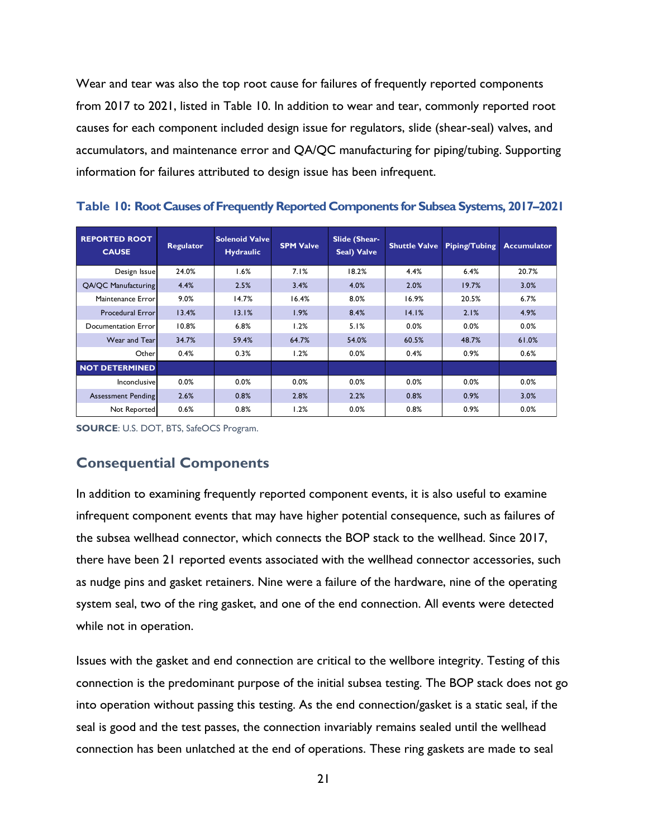Wear and tear was also the top root cause for failures of frequently reported components from 2017 to 2021, listed in [Table 10.](#page-30-1) In addition to wear and tear, commonly reported root causes for each component included design issue for regulators, slide (shear-seal) valves, and accumulators, and maintenance error and QA/QC manufacturing for piping/tubing. Supporting information for failures attributed to design issue has been infrequent.

| <b>REPORTED ROOT</b><br><b>CAUSE</b> | <b>Regulator</b> | <b>Solenoid Valve</b><br><b>Hydraulic</b> | <b>SPM Valve</b> | Slide (Shear-<br>Seal) Valve | <b>Shuttle Valve</b> | <b>Piping/Tubing</b> | <b>Accumulator</b> |
|--------------------------------------|------------------|-------------------------------------------|------------------|------------------------------|----------------------|----------------------|--------------------|
| Design Issue                         | 24.0%            | 1.6%                                      | 7.1%             | 18.2%                        | 4.4%                 | 6.4%                 | 20.7%              |
| QA/QC Manufacturing                  | 4.4%             | 2.5%                                      | 3.4%             | 4.0%                         | 2.0%                 | 19.7%                | 3.0%               |
| Maintenance Error                    | 9.0%             | 14.7%                                     | 16.4%            | 8.0%                         | 16.9%                | 20.5%                | 6.7%               |
| <b>Procedural Error</b>              | 13.4%            | 13.1%                                     | 1.9%             | 8.4%                         | 14.1%                | 2.1%                 | 4.9%               |
| Documentation Error                  | 10.8%            | 6.8%                                      | 1.2%             | 5.1%                         | 0.0%                 | 0.0%                 | 0.0%               |
| Wear and Tear                        | 34.7%            | 59.4%                                     | 64.7%            | 54.0%                        | 60.5%                | 48.7%                | 61.0%              |
| Other                                | 0.4%             | 0.3%                                      | 1.2%             | 0.0%                         | 0.4%                 | 0.9%                 | 0.6%               |
| <b>NOT DETERMINED</b>                |                  |                                           |                  |                              |                      |                      |                    |
| Inconclusive                         | 0.0%             | 0.0%                                      | 0.0%             | 0.0%                         | 0.0%                 | 0.0%                 | 0.0%               |
| <b>Assessment Pending</b>            | 2.6%             | 0.8%                                      | 2.8%             | 2.2%                         | 0.8%                 | 0.9%                 | 3.0%               |
| Not Reported                         | 0.6%             | 0.8%                                      | 1.2%             | 0.0%                         | 0.8%                 | 0.9%                 | 0.0%               |

<span id="page-30-1"></span>**Table 10: Root Causes of Frequently Reported Components for Subsea Systems, 2017–2021**

**SOURCE**: U.S. DOT, BTS, SafeOCS Program.

## <span id="page-30-0"></span>**Consequential Components**

In addition to examining frequently reported component events, it is also useful to examine infrequent component events that may have higher potential consequence, such as failures of the subsea wellhead connector, which connects the BOP stack to the wellhead. Since 2017, there have been 21 reported events associated with the wellhead connector accessories, such as nudge pins and gasket retainers. Nine were a failure of the hardware, nine of the operating system seal, two of the ring gasket, and one of the end connection. All events were detected while not in operation.

Issues with the gasket and end connection are critical to the wellbore integrity. Testing of this connection is the predominant purpose of the initial subsea testing. The BOP stack does not go into operation without passing this testing. As the end connection/gasket is a static seal, if the seal is good and the test passes, the connection invariably remains sealed until the wellhead connection has been unlatched at the end of operations. These ring gaskets are made to seal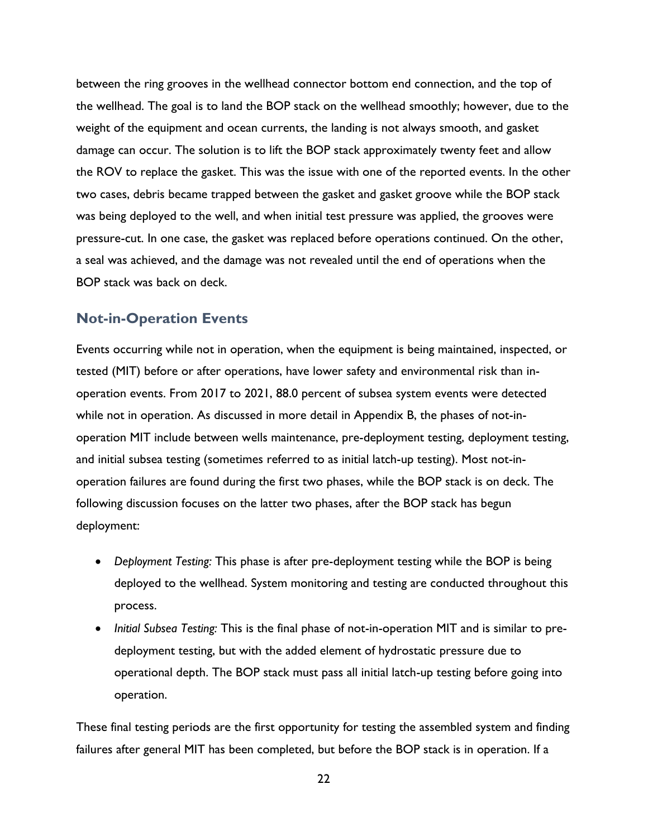between the ring grooves in the wellhead connector bottom end connection, and the top of the wellhead. The goal is to land the BOP stack on the wellhead smoothly; however, due to the weight of the equipment and ocean currents, the landing is not always smooth, and gasket damage can occur. The solution is to lift the BOP stack approximately twenty feet and allow the ROV to replace the gasket. This was the issue with one of the reported events. In the other two cases, debris became trapped between the gasket and gasket groove while the BOP stack was being deployed to the well, and when initial test pressure was applied, the grooves were pressure-cut. In one case, the gasket was replaced before operations continued. On the other, a seal was achieved, and the damage was not revealed until the end of operations when the BOP stack was back on deck.

#### <span id="page-31-0"></span>**Not-in-Operation Events**

Events occurring while not in operation, when the equipment is being maintained, inspected, or tested (MIT) before or after operations, have lower safety and environmental risk than inoperation events. From 2017 to 2021, 88.0 percent of subsea system events were detected while not in operation. As discussed in more detail in Appendix B, the phases of not-inoperation MIT include between wells maintenance, pre-deployment testing, deployment testing, and initial subsea testing (sometimes referred to as initial latch-up testing). Most not-inoperation failures are found during the first two phases, while the BOP stack is on deck. The following discussion focuses on the latter two phases, after the BOP stack has begun deployment:

- *Deployment Testing:* This phase is after pre-deployment testing while the BOP is being deployed to the wellhead. System monitoring and testing are conducted throughout this process.
- *Initial Subsea Testing:* This is the final phase of not-in-operation MIT and is similar to predeployment testing, but with the added element of hydrostatic pressure due to operational depth. The BOP stack must pass all initial latch-up testing before going into operation.

These final testing periods are the first opportunity for testing the assembled system and finding failures after general MIT has been completed, but before the BOP stack is in operation. If a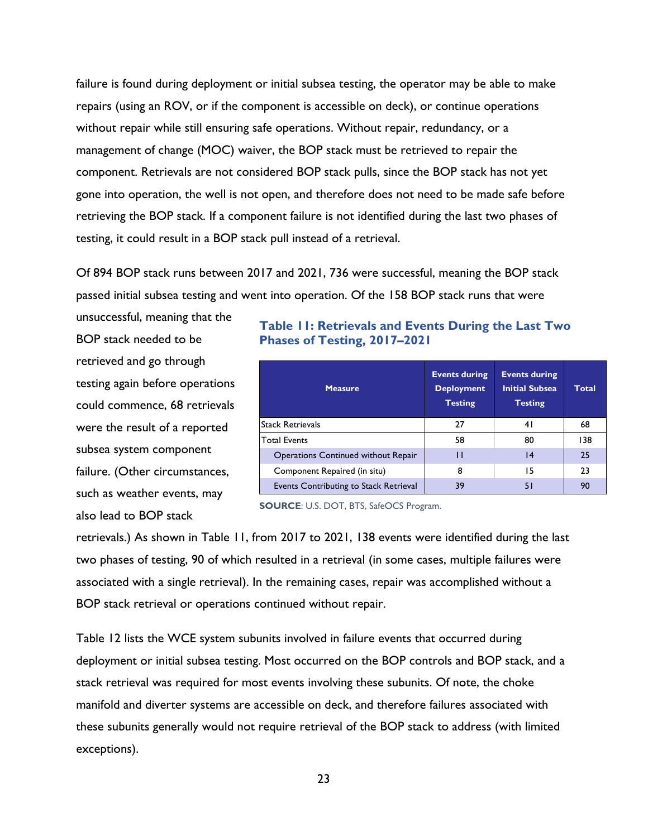failure is found during deployment or initial subsea testing, the operator may be able to make repairs (using an ROV, or if the component is accessible on deck), or continue operations without repair while still ensuring safe operations. Without repair, redundancy, or a management of change (MOC) waiver, the BOP stack must be retrieved to repair the component. Retrievals are not considered BOP stack pulls, since the BOP stack has not yet gone into operation, the well is not open, and therefore does not need to be made safe before retrieving the BOP stack. If a component failure is not identified during the last two phases of testing, it could result in a BOP stack pull instead of a retrieval.

Of 894 BOP stack runs between 2017 and 2021, 736 were successful, meaning the BOP stack passed initial subsea testing and went into operation. Of the 158 BOP stack runs that were

unsuccessful, meaning that the BOP stack needed to be retrieved and go through testing again before operations could commence, 68 retrievals were the result of a reported subsea system component failure. (Other circumstances, such as weather events, may also lead to BOP stack

#### <span id="page-32-0"></span>**Table 11: Retrievals and Events During the Last Two Phases of Testing, 2017–2021**

| <b>Measure</b>                             | <b>Events during</b><br><b>Deployment</b><br><b>Testing</b> | <b>Events during</b><br><b>Initial Subsea</b><br><b>Testing</b> | Total |
|--------------------------------------------|-------------------------------------------------------------|-----------------------------------------------------------------|-------|
| <b>Stack Retrievals</b>                    | 27                                                          | 41                                                              | 68    |
| <b>Total Events</b>                        | 58                                                          | 80                                                              | 138   |
| <b>Operations Continued without Repair</b> |                                                             | 14                                                              | 25    |
| Component Repaired (in situ)               | 8                                                           | 15                                                              | 23    |
| Events Contributing to Stack Retrieval     | 39                                                          | 51                                                              | 90    |

**SOURCE**: U.S. DOT, BTS, SafeOCS Program.

retrievals.) As shown in [Table 11,](#page-32-0) from 2017 to 2021, 138 events were identified during the last two phases of testing, 90 of which resulted in a retrieval (in some cases, multiple failures were associated with a single retrieval). In the remaining cases, repair was accomplished without a BOP stack retrieval or operations continued without repair.

[Table 12](#page-33-0) lists the WCE system subunits involved in failure events that occurred during deployment or initial subsea testing. Most occurred on the BOP controls and BOP stack, and a stack retrieval was required for most events involving these subunits. Of note, the choke manifold and diverter systems are accessible on deck, and therefore failures associated with these subunits generally would not require retrieval of the BOP stack to address (with limited exceptions).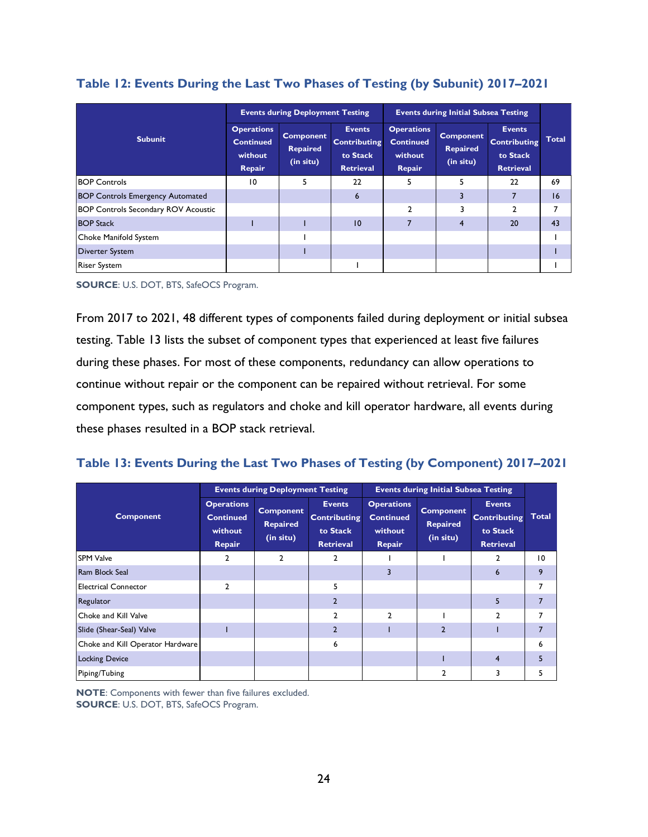|                                            |                                                            | <b>Events during Deployment Testing</b>          |                                                                      |                                                            | <b>Events during Initial Subsea Testing</b>      |                                                                      |              |
|--------------------------------------------|------------------------------------------------------------|--------------------------------------------------|----------------------------------------------------------------------|------------------------------------------------------------|--------------------------------------------------|----------------------------------------------------------------------|--------------|
| <b>Subunit</b>                             | <b>Operations</b><br><b>Continued</b><br>without<br>Repair | <b>Component</b><br><b>Repaired</b><br>(in situ) | <b>Events</b><br><b>Contributing</b><br>to Stack<br><b>Retrieval</b> | <b>Operations</b><br><b>Continued</b><br>without<br>Repair | <b>Component</b><br><b>Repaired</b><br>(in situ) | <b>Events</b><br><b>Contributing</b><br>to Stack<br><b>Retrieval</b> | <b>Total</b> |
| <b>BOP Controls</b>                        | 10                                                         | 5                                                | 22                                                                   | 5                                                          |                                                  | 22                                                                   | 69           |
| <b>BOP Controls Emergency Automated</b>    |                                                            |                                                  | 6                                                                    |                                                            |                                                  |                                                                      | 16           |
| <b>BOP Controls Secondary ROV Acoustic</b> |                                                            |                                                  |                                                                      | $\mathfrak{p}$                                             |                                                  |                                                                      |              |
| <b>BOP Stack</b>                           |                                                            |                                                  | 10                                                                   |                                                            | 4                                                | 20                                                                   | 43           |
| Choke Manifold System                      |                                                            |                                                  |                                                                      |                                                            |                                                  |                                                                      |              |
| <b>Diverter System</b>                     |                                                            |                                                  |                                                                      |                                                            |                                                  |                                                                      |              |
| <b>Riser System</b>                        |                                                            |                                                  |                                                                      |                                                            |                                                  |                                                                      |              |

#### <span id="page-33-0"></span>**Table 12: Events During the Last Two Phases of Testing (by Subunit) 2017–2021**

**SOURCE**: U.S. DOT, BTS, SafeOCS Program.

From 2017 to 2021, 48 different types of components failed during deployment or initial subsea testing. [Table 13](#page-33-1) lists the subset of component types that experienced at least five failures during these phases. For most of these components, redundancy can allow operations to continue without repair or the component can be repaired without retrieval. For some component types, such as regulators and choke and kill operator hardware, all events during these phases resulted in a BOP stack retrieval.

#### <span id="page-33-1"></span>**Table 13: Events During the Last Two Phases of Testing (by Component) 2017–2021**

|                                  |                                                            | <b>Events during Deployment Testing</b>          |                                                                      |                                                            | <b>Events during Initial Subsea Testing</b>      |                                                                      |              |
|----------------------------------|------------------------------------------------------------|--------------------------------------------------|----------------------------------------------------------------------|------------------------------------------------------------|--------------------------------------------------|----------------------------------------------------------------------|--------------|
| <b>Component</b>                 | <b>Operations</b><br><b>Continued</b><br>without<br>Repair | <b>Component</b><br><b>Repaired</b><br>(in situ) | <b>Events</b><br><b>Contributing</b><br>to Stack<br><b>Retrieval</b> | <b>Operations</b><br><b>Continued</b><br>without<br>Repair | <b>Component</b><br><b>Repaired</b><br>(in situ) | <b>Events</b><br><b>Contributing</b><br>to Stack<br><b>Retrieval</b> | <b>Total</b> |
| <b>SPM Valve</b>                 | 2                                                          | $\mathbf{2}$                                     | 2                                                                    |                                                            |                                                  | 2                                                                    | 10           |
| Ram Block Seal                   |                                                            |                                                  |                                                                      | 3                                                          |                                                  | $6\phantom{1}6$                                                      | 9            |
| <b>Electrical Connector</b>      | $\mathfrak{p}$                                             |                                                  | 5                                                                    |                                                            |                                                  |                                                                      | 7            |
| Regulator                        |                                                            |                                                  | $\overline{2}$                                                       |                                                            |                                                  | 5                                                                    |              |
| Choke and Kill Valve             |                                                            |                                                  | C.                                                                   | $\mathcal{P}$                                              |                                                  | $\mathfrak{p}$                                                       | 7            |
| Slide (Shear-Seal) Valve         |                                                            |                                                  | $\overline{2}$                                                       |                                                            | $\overline{2}$                                   |                                                                      | 7            |
| Choke and Kill Operator Hardware |                                                            |                                                  | 6                                                                    |                                                            |                                                  |                                                                      | 6            |
| <b>Locking Device</b>            |                                                            |                                                  |                                                                      |                                                            |                                                  | $\overline{4}$                                                       |              |
| Piping/Tubing                    |                                                            |                                                  |                                                                      |                                                            | 2                                                | 3                                                                    | 5            |

**NOTE**: Components with fewer than five failures excluded. **SOURCE**: U.S. DOT, BTS, SafeOCS Program.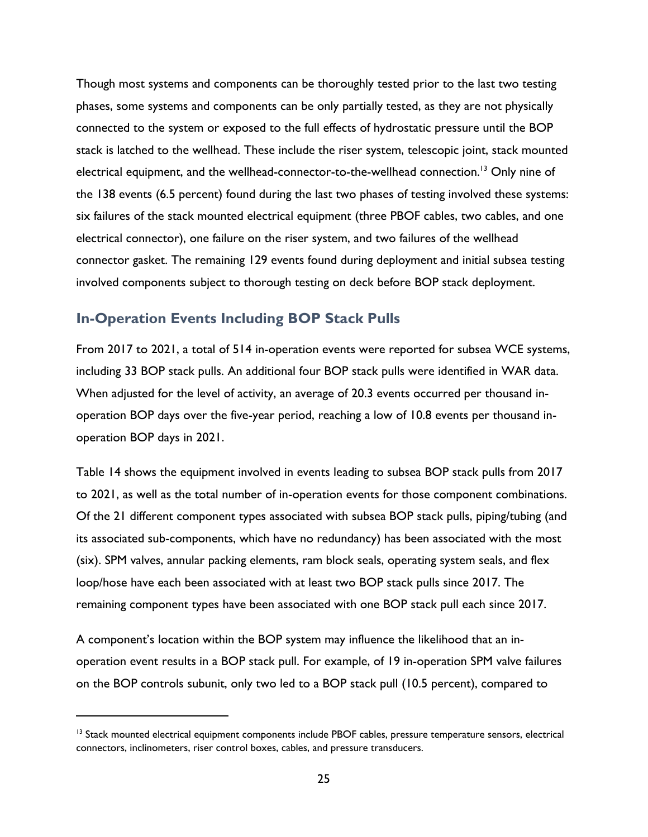Though most systems and components can be thoroughly tested prior to the last two testing phases, some systems and components can be only partially tested, as they are not physically connected to the system or exposed to the full effects of hydrostatic pressure until the BOP stack is latched to the wellhead. These include the riser system, telescopic joint, stack mounted electrical equipment, and the wellhead-connector-to-the-wellhead connection.<sup>13</sup> Only nine of the 138 events (6.5 percent) found during the last two phases of testing involved these systems: six failures of the stack mounted electrical equipment (three PBOF cables, two cables, and one electrical connector), one failure on the riser system, and two failures of the wellhead connector gasket. The remaining 129 events found during deployment and initial subsea testing involved components subject to thorough testing on deck before BOP stack deployment.

### <span id="page-34-0"></span>**In-Operation Events Including BOP Stack Pulls**

From 2017 to 2021, a total of 514 in-operation events were reported for subsea WCE systems, including 33 BOP stack pulls. An additional four BOP stack pulls were identified in WAR data. When adjusted for the level of activity, an average of 20.3 events occurred per thousand inoperation BOP days over the five-year period, reaching a low of 10.8 events per thousand inoperation BOP days in 2021.

[Table 14](#page-36-0) shows the equipment involved in events leading to subsea BOP stack pulls from 2017 to 2021, as well as the total number of in-operation events for those component combinations. Of the 21 different component types associated with subsea BOP stack pulls, piping/tubing (and its associated sub-components, which have no redundancy) has been associated with the most (six). SPM valves, annular packing elements, ram block seals, operating system seals, and flex loop/hose have each been associated with at least two BOP stack pulls since 2017. The remaining component types have been associated with one BOP stack pull each since 2017.

A component's location within the BOP system may influence the likelihood that an inoperation event results in a BOP stack pull. For example, of 19 in-operation SPM valve failures on the BOP controls subunit, only two led to a BOP stack pull (10.5 percent), compared to

<sup>&</sup>lt;sup>13</sup> Stack mounted electrical equipment components include PBOF cables, pressure temperature sensors, electrical connectors, inclinometers, riser control boxes, cables, and pressure transducers.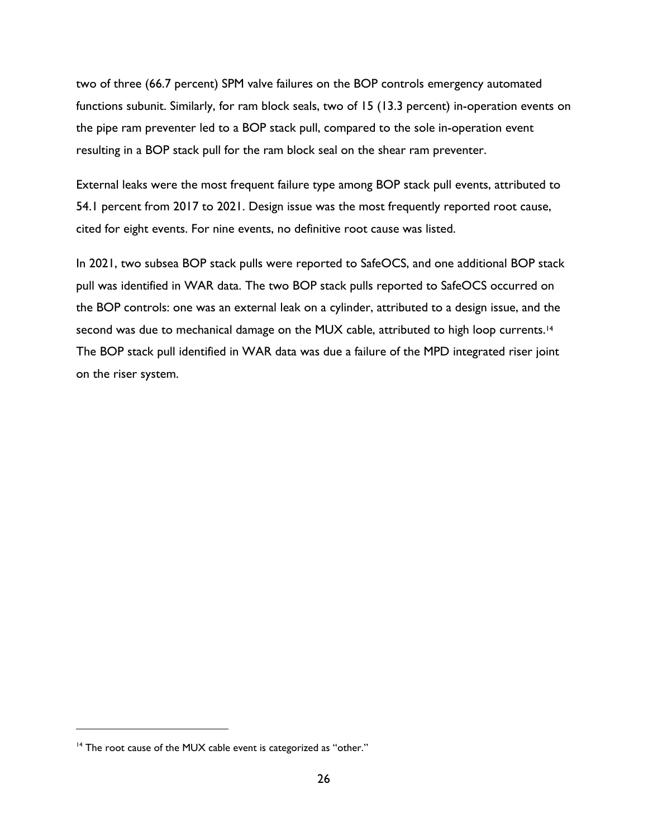two of three (66.7 percent) SPM valve failures on the BOP controls emergency automated functions subunit. Similarly, for ram block seals, two of 15 (13.3 percent) in-operation events on the pipe ram preventer led to a BOP stack pull, compared to the sole in-operation event resulting in a BOP stack pull for the ram block seal on the shear ram preventer.

External leaks were the most frequent failure type among BOP stack pull events, attributed to 54.1 percent from 2017 to 2021. Design issue was the most frequently reported root cause, cited for eight events. For nine events, no definitive root cause was listed.

In 2021, two subsea BOP stack pulls were reported to SafeOCS, and one additional BOP stack pull was identified in WAR data. The two BOP stack pulls reported to SafeOCS occurred on the BOP controls: one was an external leak on a cylinder, attributed to a design issue, and the second was due to mechanical damage on the MUX cable, attributed to high loop currents.<sup>14</sup> The BOP stack pull identified in WAR data was due a failure of the MPD integrated riser joint on the riser system.

 $14$  The root cause of the MUX cable event is categorized as "other."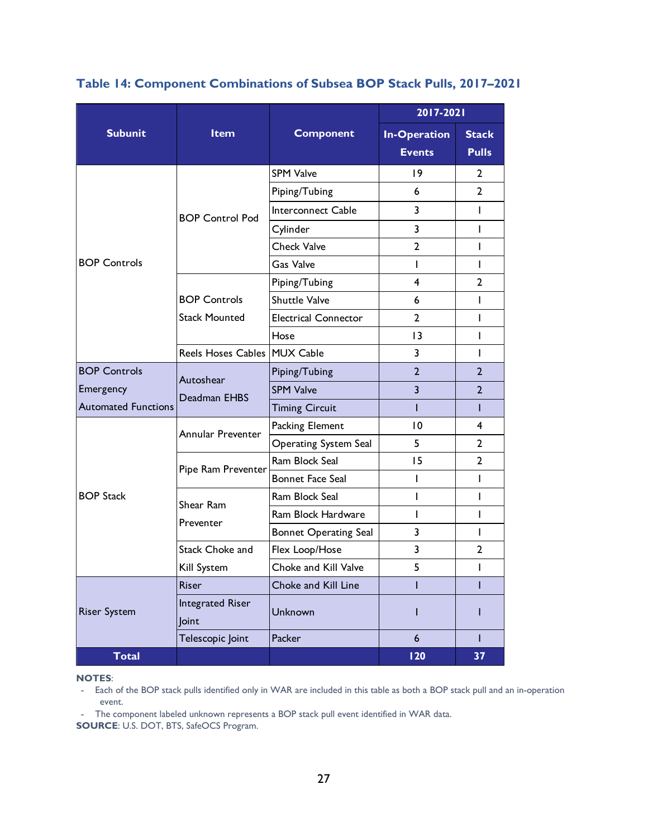|                            |                                  |                              |                     | 2017-2021<br><b>Stack</b><br><b>Pulls</b><br><b>Events</b><br> 9<br>2<br>$\mathbf{2}$<br>6<br>3<br>I<br>3<br>I<br>$\overline{2}$<br>I<br>I<br>L<br>4<br>$\overline{2}$<br>6<br>L<br>$\overline{2}$<br>I<br>13<br>I<br>3<br>I<br>$\overline{2}$<br>$\overline{2}$<br>3<br>$\overline{2}$<br>L<br>T<br>$\overline{10}$<br>4<br>5<br>$\overline{2}$<br>15<br>$\overline{2}$ |  |  |  |
|----------------------------|----------------------------------|------------------------------|---------------------|--------------------------------------------------------------------------------------------------------------------------------------------------------------------------------------------------------------------------------------------------------------------------------------------------------------------------------------------------------------------------|--|--|--|
| <b>Subunit</b>             | Item                             | <b>Component</b>             | <b>In-Operation</b> |                                                                                                                                                                                                                                                                                                                                                                          |  |  |  |
|                            |                                  | <b>SPM Valve</b>             |                     |                                                                                                                                                                                                                                                                                                                                                                          |  |  |  |
|                            |                                  | Piping/Tubing                |                     |                                                                                                                                                                                                                                                                                                                                                                          |  |  |  |
|                            | <b>BOP Control Pod</b>           | Interconnect Cable           |                     |                                                                                                                                                                                                                                                                                                                                                                          |  |  |  |
| <b>BOP Controls</b>        |                                  | Cylinder                     |                     |                                                                                                                                                                                                                                                                                                                                                                          |  |  |  |
|                            |                                  | <b>Check Valve</b>           |                     |                                                                                                                                                                                                                                                                                                                                                                          |  |  |  |
|                            |                                  | Gas Valve                    |                     |                                                                                                                                                                                                                                                                                                                                                                          |  |  |  |
|                            |                                  | Piping/Tubing                |                     |                                                                                                                                                                                                                                                                                                                                                                          |  |  |  |
|                            | <b>BOP Controls</b>              | Shuttle Valve                |                     |                                                                                                                                                                                                                                                                                                                                                                          |  |  |  |
|                            | <b>Stack Mounted</b>             | <b>Electrical Connector</b>  |                     |                                                                                                                                                                                                                                                                                                                                                                          |  |  |  |
|                            |                                  | Hose                         |                     | I<br>I<br>I<br>I<br>$\overline{2}$<br>I<br>T<br>I<br>T                                                                                                                                                                                                                                                                                                                   |  |  |  |
|                            | Reels Hoses Cables MUX Cable     |                              |                     |                                                                                                                                                                                                                                                                                                                                                                          |  |  |  |
| <b>BOP Controls</b>        | Autoshear                        | Piping/Tubing                |                     |                                                                                                                                                                                                                                                                                                                                                                          |  |  |  |
| Emergency                  | Deadman EHBS                     | <b>SPM Valve</b>             |                     |                                                                                                                                                                                                                                                                                                                                                                          |  |  |  |
| <b>Automated Functions</b> |                                  | <b>Timing Circuit</b>        |                     |                                                                                                                                                                                                                                                                                                                                                                          |  |  |  |
|                            | Annular Preventer                | Packing Element              |                     |                                                                                                                                                                                                                                                                                                                                                                          |  |  |  |
|                            |                                  | <b>Operating System Seal</b> |                     | 37                                                                                                                                                                                                                                                                                                                                                                       |  |  |  |
|                            | Pipe Ram Preventer               | Ram Block Seal               |                     |                                                                                                                                                                                                                                                                                                                                                                          |  |  |  |
|                            |                                  | <b>Bonnet Face Seal</b>      | ı                   |                                                                                                                                                                                                                                                                                                                                                                          |  |  |  |
| <b>BOP Stack</b>           | Shear Ram                        | Ram Block Seal               | L                   |                                                                                                                                                                                                                                                                                                                                                                          |  |  |  |
|                            | Preventer                        | Ram Block Hardware           | L                   |                                                                                                                                                                                                                                                                                                                                                                          |  |  |  |
|                            |                                  | <b>Bonnet Operating Seal</b> | 3                   |                                                                                                                                                                                                                                                                                                                                                                          |  |  |  |
|                            | <b>Stack Choke and</b>           | Flex Loop/Hose               | 3                   |                                                                                                                                                                                                                                                                                                                                                                          |  |  |  |
|                            | Kill System                      | Choke and Kill Valve         | 5                   |                                                                                                                                                                                                                                                                                                                                                                          |  |  |  |
|                            | <b>Riser</b>                     | Choke and Kill Line          | T                   |                                                                                                                                                                                                                                                                                                                                                                          |  |  |  |
| <b>Riser System</b>        | <b>Integrated Riser</b><br>Joint | Unknown                      | I                   |                                                                                                                                                                                                                                                                                                                                                                          |  |  |  |
|                            | Telescopic Joint                 | Packer                       | $6\overline{6}$     |                                                                                                                                                                                                                                                                                                                                                                          |  |  |  |
| <b>Total</b>               |                                  |                              | 120                 |                                                                                                                                                                                                                                                                                                                                                                          |  |  |  |

<span id="page-36-0"></span>**Table 14: Component Combinations of Subsea BOP Stack Pulls, 2017–2021**

#### **NOTES**:

- Each of the BOP stack pulls identified only in WAR are included in this table as both a BOP stack pull and an in-operation event.

- The component labeled unknown represents a BOP stack pull event identified in WAR data.

**SOURCE**: U.S. DOT, BTS, SafeOCS Program.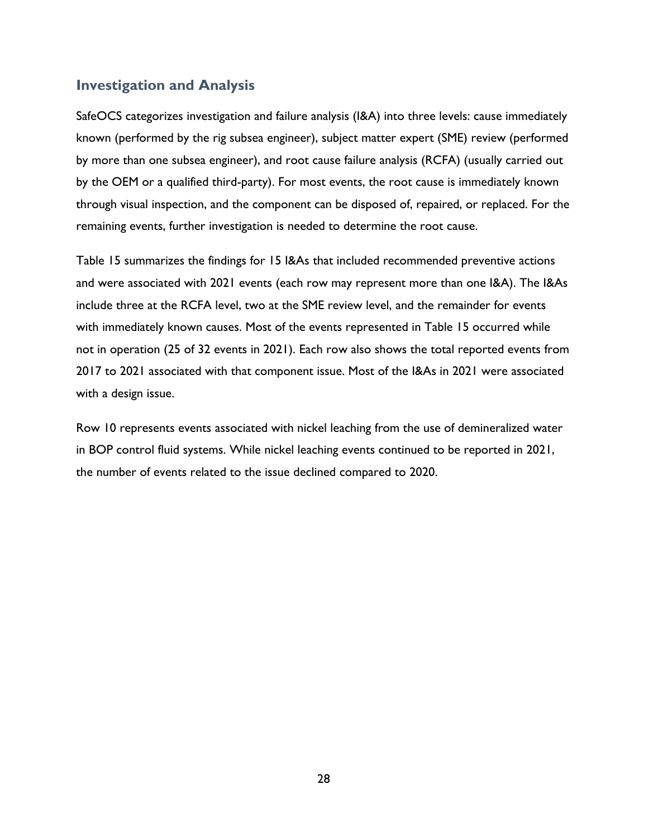# <span id="page-37-0"></span>**Investigation and Analysis**

SafeOCS categorizes investigation and failure analysis (I&A) into three levels: cause immediately known (performed by the rig subsea engineer), subject matter expert (SME) review (performed by more than one subsea engineer), and root cause failure analysis (RCFA) (usually carried out by the OEM or a qualified third-party). For most events, the root cause is immediately known through visual inspection, and the component can be disposed of, repaired, or replaced. For the remaining events, further investigation is needed to determine the root cause.

[Table 15](#page-38-0) summarizes the findings for 15 I&As that included recommended preventive actions and were associated with 2021 events (each row may represent more than one I&A). The I&As include three at the RCFA level, two at the SME review level, and the remainder for events with immediately known causes. Most of the events represented in [Table 15](#page-38-0) occurred while not in operation (25 of 32 events in 2021). Each row also shows the total reported events from 2017 to 2021 associated with that component issue. Most of the I&As in 2021 were associated with a design issue.

Row 10 represents events associated with nickel leaching from the use of demineralized water in BOP control fluid systems. While nickel leaching events continued to be reported in 2021, the number of events related to the issue declined compared to 2020.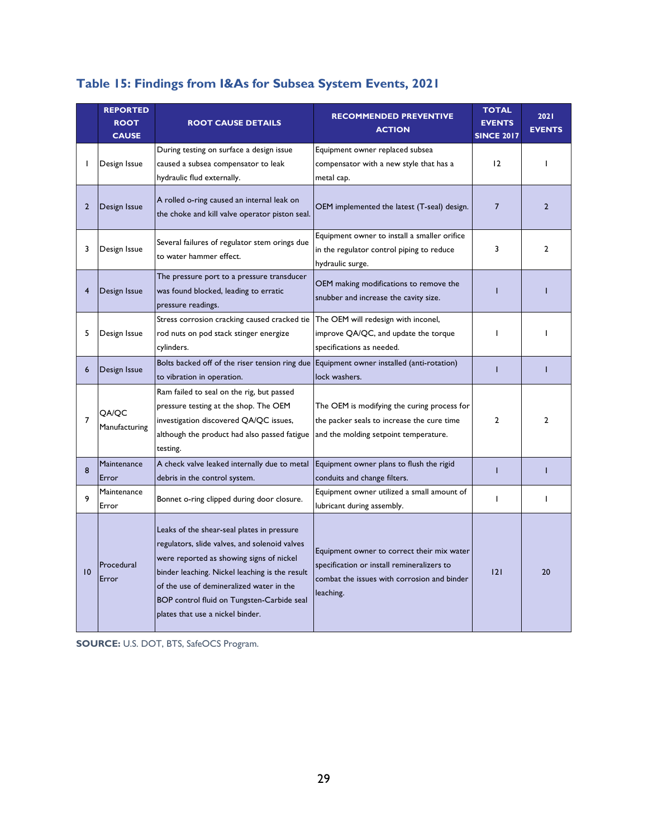|                | <b>REPORTED</b><br><b>ROOT</b><br><b>CAUSE</b> | <b>ROOT CAUSE DETAILS</b>                                                                                                                                                                                                                                                                                               | <b>RECOMMENDED PREVENTIVE</b><br><b>ACTION</b>                                                                                                       | <b>TOTAL</b><br><b>EVENTS</b><br><b>SINCE 2017</b> | 2021<br><b>EVENTS</b> |
|----------------|------------------------------------------------|-------------------------------------------------------------------------------------------------------------------------------------------------------------------------------------------------------------------------------------------------------------------------------------------------------------------------|------------------------------------------------------------------------------------------------------------------------------------------------------|----------------------------------------------------|-----------------------|
|                | Design Issue                                   | During testing on surface a design issue<br>caused a subsea compensator to leak<br>hydraulic flud externally.                                                                                                                                                                                                           | Equipment owner replaced subsea<br>compensator with a new style that has a<br>metal cap.                                                             | 12                                                 | ı                     |
| $\overline{2}$ | Design Issue                                   | A rolled o-ring caused an internal leak on<br>the choke and kill valve operator piston seal.                                                                                                                                                                                                                            | OEM implemented the latest (T-seal) design.                                                                                                          | $\overline{7}$                                     | $\overline{2}$        |
| 3              | Design Issue                                   | Several failures of regulator stem orings due<br>to water hammer effect.                                                                                                                                                                                                                                                | Equipment owner to install a smaller orifice<br>in the regulator control piping to reduce<br>hydraulic surge.                                        | 3                                                  | $\overline{2}$        |
| 4              | Design Issue                                   | The pressure port to a pressure transducer<br>was found blocked, leading to erratic<br>pressure readings.                                                                                                                                                                                                               | OEM making modifications to remove the<br>snubber and increase the cavity size.                                                                      | т                                                  |                       |
| 5              | Design Issue                                   | Stress corrosion cracking caused cracked tie The OEM will redesign with inconel,<br>rod nuts on pod stack stinger energize<br>cylinders.                                                                                                                                                                                | improve QA/QC, and update the torque<br>specifications as needed.                                                                                    | L                                                  |                       |
| 6              | Design Issue                                   | Bolts backed off of the riser tension ring due Equipment owner installed (anti-rotation)<br>to vibration in operation.                                                                                                                                                                                                  | lock washers.                                                                                                                                        | T                                                  | T                     |
| $\overline{7}$ | QA/QC<br>Manufacturing                         | Ram failed to seal on the rig, but passed<br>pressure testing at the shop. The OEM<br>investigation discovered QA/QC issues,<br>although the product had also passed fatigue<br>testing.                                                                                                                                | The OEM is modifying the curing process for<br>the packer seals to increase the cure time<br>and the molding setpoint temperature.                   | $\overline{2}$                                     | $\mathbf{2}$          |
| 8              | Maintenance<br>Error                           | A check valve leaked internally due to metal<br>debris in the control system.                                                                                                                                                                                                                                           | Equipment owner plans to flush the rigid<br>conduits and change filters.                                                                             | $\mathbf{I}$                                       | т                     |
| 9              | Maintenance<br>Error                           | Bonnet o-ring clipped during door closure.                                                                                                                                                                                                                                                                              | Equipment owner utilized a small amount of<br>lubricant during assembly.                                                                             | $\mathbf{I}$                                       | $\mathbf{I}$          |
| 10             | Procedural<br>Error                            | Leaks of the shear-seal plates in pressure<br>regulators, slide valves, and solenoid valves<br>were reported as showing signs of nickel<br>binder leaching. Nickel leaching is the result<br>of the use of demineralized water in the<br>BOP control fluid on Tungsten-Carbide seal<br>plates that use a nickel binder. | Equipment owner to correct their mix water<br>specification or install remineralizers to<br>combat the issues with corrosion and binder<br>leaching. | 2                                                  | 20                    |

# <span id="page-38-0"></span>**Table 15: Findings from I&As for Subsea System Events, 2021**

**SOURCE:** U.S. DOT, BTS, SafeOCS Program.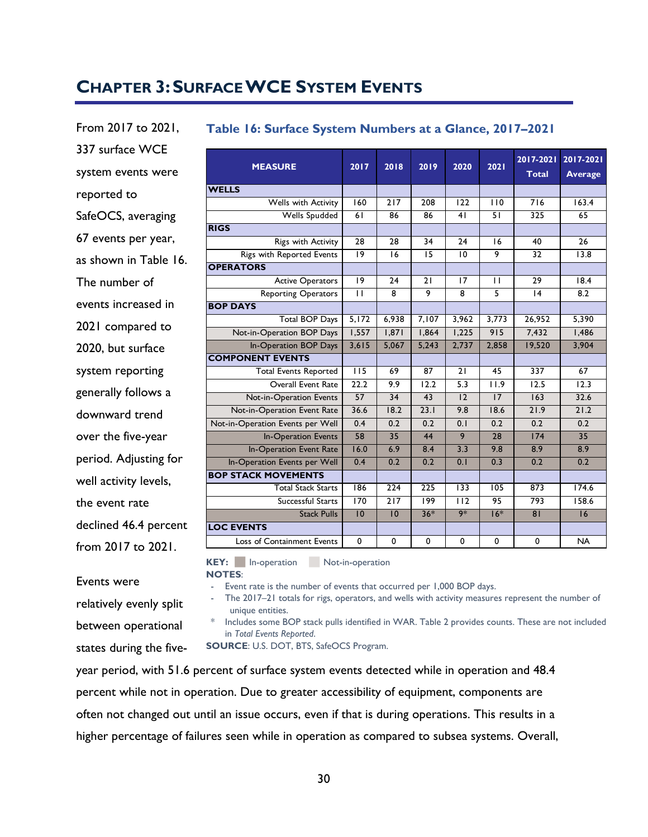# <span id="page-39-0"></span>**CHAPTER 3:SURFACE WCE SYSTEM EVENTS**

From 2017 to 2021, 337 surface WCE system events were reported to SafeOCS, averaging 67 events per year, as shown in [Table 16.](#page-39-1) The number of events increased in 2021 compared to 2020, but surface system reporting generally follows a downward trend over the five-year period. Adjusting for well activity levels, the event rate declined 46.4 percent from 2017 to 2021.

## <span id="page-39-1"></span>**Table 16: Surface System Numbers at a Glance, 2017–2021 MEASURE 2017 2018 2019 2020 2021 2017-2021 2017-2021 Total Average WELLS** ASURE 2017 2018 2019 2020 2021 2017-2021 2017-20<br>
Total Average 160 217 208 122 110 716 163.4<br>
Wells Spudded 61 86 86 41 51 325 65 Wells Spudded 61 86 86 41 51 325 65

| <b>WELLS</b>                     |                  |                  |             |                  |              |             |           |
|----------------------------------|------------------|------------------|-------------|------------------|--------------|-------------|-----------|
| Wells with Activity              | 160              | 217              | 208         | 122              | 110          | 716         | 163.4     |
| Wells Spudded                    | 61               | 86               | 86          | 41               | 51           | 325         | 65        |
| <b>RIGS</b>                      |                  |                  |             |                  |              |             |           |
| Rigs with Activity               | $\overline{28}$  | 28               | 34          | 24               | 16           | 40          | 26        |
| Rigs with Reported Events        | 19               | 16               | 15          | 10               | 9            | 32          | 13.8      |
| <b>OPERATORS</b>                 |                  |                  |             |                  |              |             |           |
| <b>Active Operators</b>          | 9                | 24               | 21          | 17               | $\mathbf{H}$ | 29          | 18.4      |
| <b>Reporting Operators</b>       | $\overline{11}$  | 8                | 9           | 8                | 5            | 4           | 8.2       |
| <b>BOP DAYS</b>                  |                  |                  |             |                  |              |             |           |
| <b>Total BOP Days</b>            | 5,172            | 6,938            | 7,107       | 3,962            | 3,773        | 26,952      | 5,390     |
| Not-in-Operation BOP Days        | 1.557            | 1,871            | 1.864       | 1,225            | 915          | 7.432       | 1,486     |
| In-Operation BOP Days            | 3,615            | 5.067            | 5,243       | 2,737            | 2,858        | 19,520      | 3,904     |
| <b>COMPONENT EVENTS</b>          |                  |                  |             |                  |              |             |           |
| <b>Total Events Reported</b>     | 115              | 69               | 87          | 21               | 45           | 337         | 67        |
| Overall Event Rate               | 22.2             | 9.9              | 12.2        | 5.3              | 11.9         | 12.5        | 12.3      |
| Not-in-Operation Events          | $\overline{57}$  | $\overline{34}$  | 43          | 12               | 17           | 163         | 32.6      |
| Not-in-Operation Event Rate      | 36.6             | 18.2             | 23.1        | 9.8              | 18.6         | 21.9        | 21.2      |
| Not-in-Operation Events per Well | 0.4              | 0.2              | 0.2         | 0.1              | 0.2          | 0.2         | 0.2       |
| <b>In-Operation Events</b>       | 58               | $\overline{35}$  | 44          | 9                | 28           | 174         | 35        |
| In-Operation Event Rate          | 16.0             | 6.9              | 8.4         | 3.3              | 9.8          | 8.9         | 8.9       |
| In-Operation Events per Well     | 0.4              | 0.2              | 0.2         | 0.1              | 0.3          | 0.2         | 0.2       |
| <b>BOP STACK MOVEMENTS</b>       |                  |                  |             |                  |              |             |           |
| <b>Total Stack Starts</b>        | $\overline{186}$ | $\overline{224}$ | 225         | $\overline{133}$ | 105          | 873         | 174.6     |
| Successful Starts                | 170              | $\overline{217}$ | 199         | $\overline{112}$ | 95           | 793         | 158.6     |
| <b>Stack Pulls</b>               | 10               | 10               | $36*$       | $9*$             | $16*$        | 81          | 16        |
| <b>LOC EVENTS</b>                |                  |                  |             |                  |              |             |           |
| Loss of Containment Events       | $\mathbf 0$      | $\mathbf 0$      | $\mathbf 0$ | 0                | 0            | $\mathbf 0$ | <b>NA</b> |

**NOTES**:

Event rate is the number of events that occurred per 1,000 BOP days.

The 2017–21 totals for rigs, operators, and wells with activity measures represent the number of unique entities.

\* Includes some BOP stack pulls identified in WAR[. Table 2](#page-21-1) provides counts. These are not included in *Total Events Reported*.

**SOURCE**: U.S. DOT, BTS, SafeOCS Program.

KEY: In-operation Not-in-operation

year period, with 51.6 percent of surface system events detected while in operation and 48.4 percent while not in operation. Due to greater accessibility of equipment, components are often not changed out until an issue occurs, even if that is during operations. This results in a higher percentage of failures seen while in operation as compared to subsea systems. Overall,

Events were relatively evenly split between operational states during the five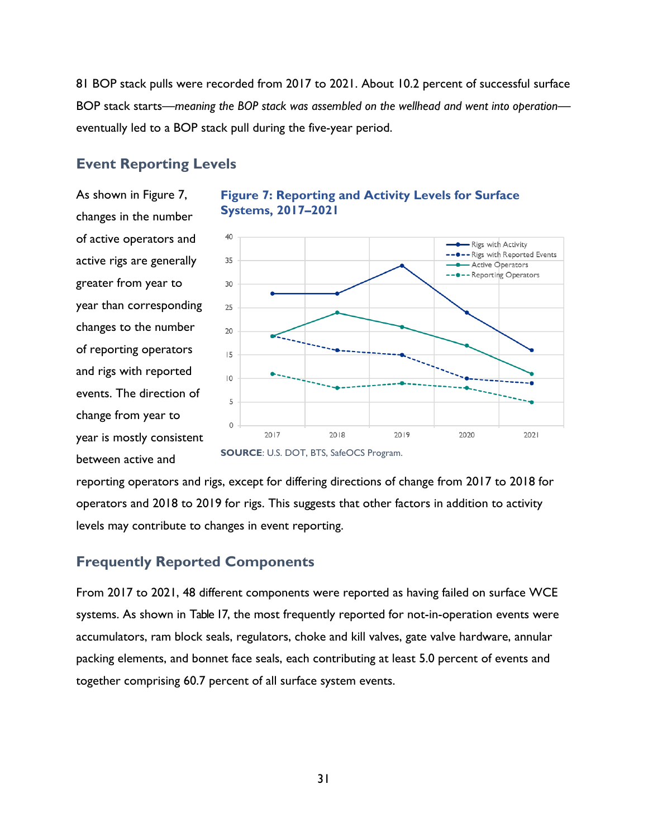81 BOP stack pulls were recorded from 2017 to 2021. About 10.2 percent of successful surface BOP stack starts—*meaning the BOP stack was assembled on the wellhead and went into operation* eventually led to a BOP stack pull during the five-year period.

## <span id="page-40-0"></span>**Event Reporting Levels**

As shown in [Figure 7,](#page-40-2) changes in the number of active operators and active rigs are generally greater from year to year than corresponding changes to the number of reporting operators and rigs with reported events. The direction of change from year to year is mostly consistent between active and



<span id="page-40-2"></span>**Figure 7: Reporting and Activity Levels for Surface Systems, 2017–2021**



reporting operators and rigs, except for differing directions of change from 2017 to 2018 for operators and 2018 to 2019 for rigs. This suggests that other factors in addition to activity levels may contribute to changes in event reporting.

#### <span id="page-40-1"></span>**Frequently Reported Components**

From 2017 to 2021, 48 different components were reported as having failed on surface WCE systems. As shown in [Table 17,](#page-41-0) the most frequently reported for not-in-operation events were accumulators, ram block seals, regulators, choke and kill valves, gate valve hardware, annular packing elements, and bonnet face seals, each contributing at least 5.0 percent of events and together comprising 60.7 percent of all surface system events.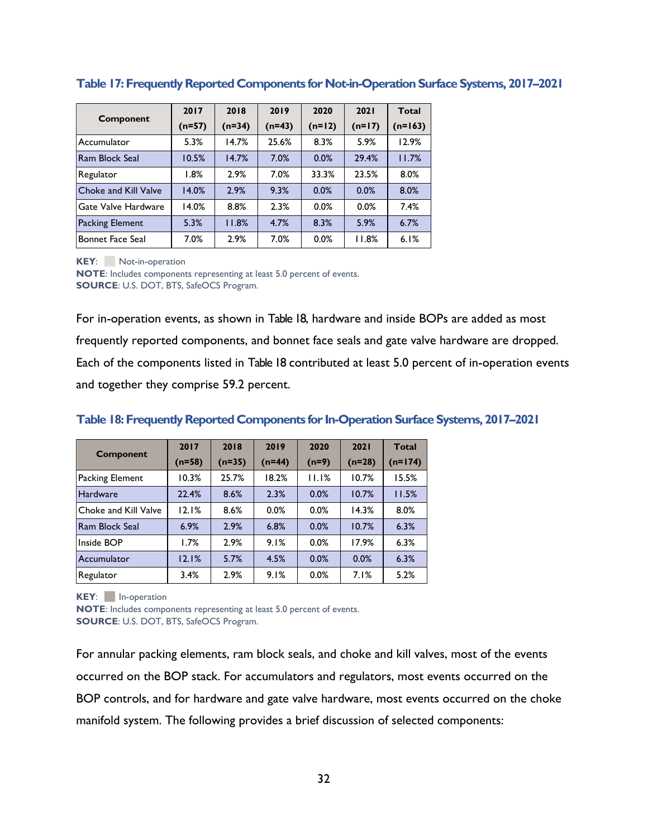|                         | 2017     | 2018   | 2019     | 2020     | 2021     | <b>Total</b> |
|-------------------------|----------|--------|----------|----------|----------|--------------|
| Component               | $(n=57)$ | (n=34) | $(n=43)$ | $(n=12)$ | $(n=17)$ | $(n=163)$    |
| Accumulator             | 5.3%     | 14.7%  | 25.6%    | 8.3%     | 5.9%     | 12.9%        |
| Ram Block Seal          | 10.5%    | 14.7%  | 7.0%     | 0.0%     | 29.4%    | 11.7%        |
| Regulator               | 1.8%     | 2.9%   | 7.0%     | 33.3%    | 23.5%    | 8.0%         |
| Choke and Kill Valve    | 14.0%    | 2.9%   | 9.3%     | 0.0%     | 0.0%     | 8.0%         |
| Gate Valve Hardware     | 14.0%    | 8.8%   | 2.3%     | 0.0%     | 0.0%     | 7.4%         |
| Packing Element         | 5.3%     | 11.8%  | 4.7%     | 8.3%     | 5.9%     | 6.7%         |
| <b>Bonnet Face Seal</b> | 7.0%     | 2.9%   | 7.0%     | 0.0%     | 11.8%    | 6.1%         |

#### <span id="page-41-0"></span>**Table 17: Frequently Reported Components for Not-in-Operation Surface Systems, 2017–2021**

**KEY:** Not-in-operation

**NOTE**: Includes components representing at least 5.0 percent of events. **SOURCE**: U.S. DOT, BTS, SafeOCS Program.

For in-operation events, as shown in [Table 18,](#page-41-1) hardware and inside BOPs are added as most frequently reported components, and bonnet face seals and gate valve hardware are dropped. Each of the components listed in [Table 18](#page-41-1) contributed at least 5.0 percent of in-operation events and together they comprise 59.2 percent.

| <b>Component</b>     | 2017     | 2018     | 2019     | 2020    | 2021     | <b>Total</b> |
|----------------------|----------|----------|----------|---------|----------|--------------|
|                      | $(n=58)$ | $(n=35)$ | $(n=44)$ | $(n=9)$ | $(n=28)$ | $(n=174)$    |
| Packing Element      | $10.3\%$ | 25.7%    | 18.2%    | 11.1%   | 10.7%    | 15.5%        |
| <b>Hardware</b>      | 22.4%    | 8.6%     | 2.3%     | 0.0%    | 10.7%    | 11.5%        |
| Choke and Kill Valve | 12.1%    | 8.6%     | 0.0%     | 0.0%    | 14.3%    | 8.0%         |
| Ram Block Seal       | 6.9%     | 2.9%     | 6.8%     | 0.0%    | 10.7%    | 6.3%         |
| Inside BOP           | 1.7%     | 2.9%     | 9.1%     | 0.0%    | 17.9%    | 6.3%         |
| Accumulator          | 12.1%    | 5.7%     | 4.5%     | 0.0%    | 0.0%     | 6.3%         |
| Regulator            | 3.4%     | 2.9%     | 9.1%     | 0.0%    | 7.1%     | 5.2%         |

#### <span id="page-41-1"></span>**Table 18: Frequently Reported Components for In-Operation SurfaceSystems, 2017–2021**

**KEY:** In-operation

**NOTE**: Includes components representing at least 5.0 percent of events. **SOURCE**: U.S. DOT, BTS, SafeOCS Program.

For annular packing elements, ram block seals, and choke and kill valves, most of the events occurred on the BOP stack. For accumulators and regulators, most events occurred on the BOP controls, and for hardware and gate valve hardware, most events occurred on the choke manifold system. The following provides a brief discussion of selected components: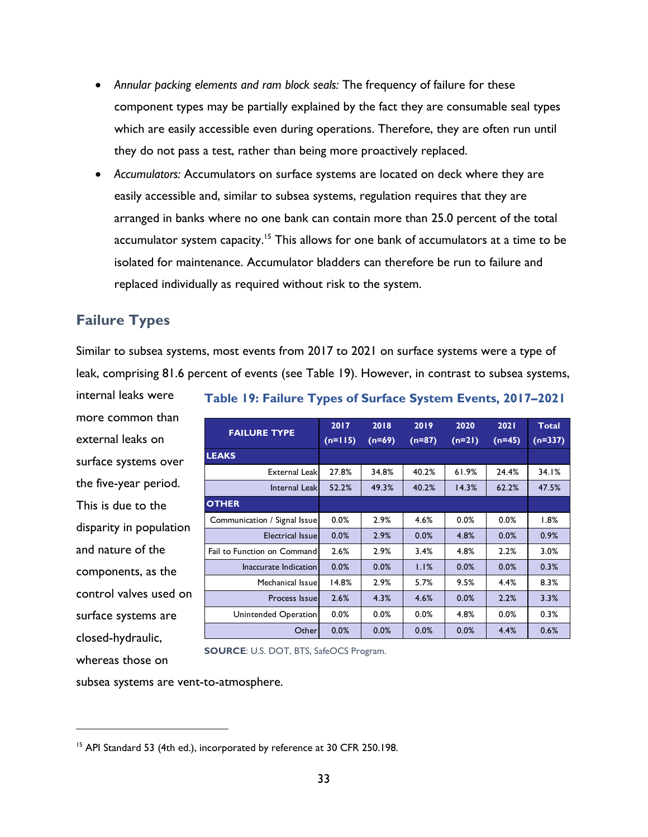- *Annular packing elements and ram block seals:* The frequency of failure for these component types may be partially explained by the fact they are consumable seal types which are easily accessible even during operations. Therefore, they are often run until they do not pass a test, rather than being more proactively replaced.
- *Accumulators:* Accumulators on surface systems are located on deck where they are easily accessible and, similar to subsea systems, regulation requires that they are arranged in banks where no one bank can contain more than 25.0 percent of the total accumulator system capacity.<sup>15</sup> This allows for one bank of accumulators at a time to be isolated for maintenance. Accumulator bladders can therefore be run to failure and replaced individually as required without risk to the system.

# <span id="page-42-0"></span>**Failure Types**

Similar to subsea systems, most events from 2017 to 2021 on surface systems were a type of leak, comprising 81.6 percent of events (see [Table 19\)](#page-42-1). However, in contrast to subsea systems,

internal leaks were more common than external leaks on surface systems over the five-year period. This is due to the disparity in population and nature of the components, as the control valves used on surface systems are closed-hydraulic, whereas those on

<span id="page-42-1"></span>

| Table 19: Failure Types of Surface System Events, 2017-2021 |  |  |  |
|-------------------------------------------------------------|--|--|--|
|                                                             |  |  |  |

| <b>FAILURE TYPE</b>          | 2017      | 2018     | 2019     | 2020     | 2021     | <b>Total</b> |
|------------------------------|-----------|----------|----------|----------|----------|--------------|
|                              | $(n=115)$ | $(n=69)$ | $(n=87)$ | $(n=21)$ | $(n=45)$ | $(n=337)$    |
| <b>LEAKS</b>                 |           |          |          |          |          |              |
| <b>External Leakl</b>        | 27.8%     | 34.8%    | 40.2%    | 61.9%    | 24.4%    | 34.1%        |
| Internal Leak                | 52.2%     | 49.3%    | 40.2%    | 14.3%    | 62.2%    | 47.5%        |
| <b>OTHER</b>                 |           |          |          |          |          |              |
| Communication / Signal Issue | 0.0%      | 2.9%     | 4.6%     | 0.0%     | 0.0%     | 1.8%         |
| <b>Electrical Issuel</b>     | 0.0%      | 2.9%     | 0.0%     | 4.8%     | 0.0%     | 0.9%         |
| Fail to Function on Command  | 2.6%      | 2.9%     | 3.4%     | 4.8%     | 2.2%     | 3.0%         |
| Inaccurate Indication        | 0.0%      | 0.0%     | 1.1%     | 0.0%     | 0.0%     | 0.3%         |
| Mechanical Issuel            | 14.8%     | 2.9%     | 5.7%     | 9.5%     | 4.4%     | 8.3%         |
| Process Issuel               | 2.6%      | 4.3%     | 4.6%     | 0.0%     | 2.2%     | 3.3%         |
| Unintended Operation         | $0.0\%$   | $0.0\%$  | 0.0%     | 4.8%     | $0.0\%$  | 0.3%         |
| Other                        | 0.0%      | 0.0%     | 0.0%     | 0.0%     | 4.4%     | 0.6%         |

**SOURCE**: U.S. DOT, BTS, SafeOCS Program.

subsea systems are vent-to-atmosphere.

<sup>&</sup>lt;sup>15</sup> API Standard 53 (4th ed.), incorporated by reference at 30 CFR 250.198.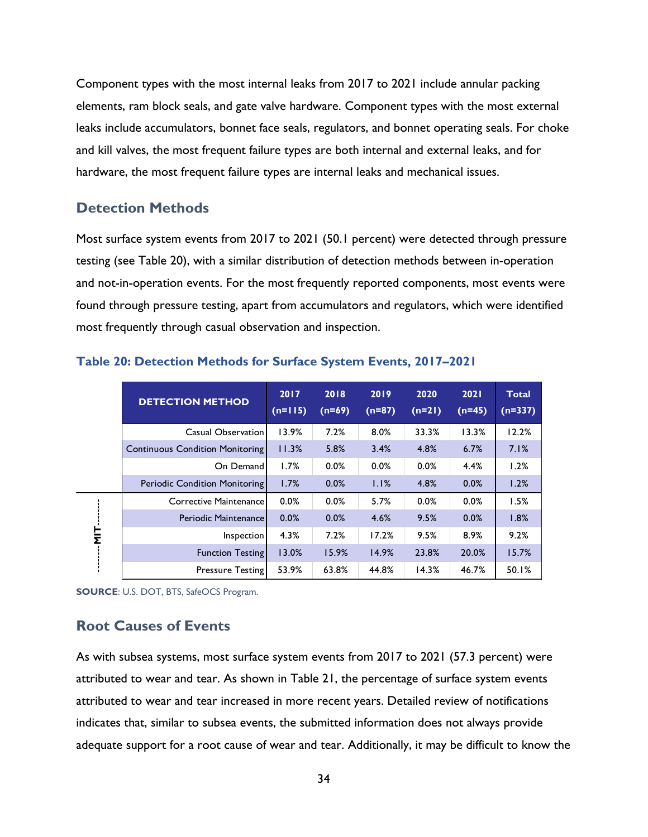Component types with the most internal leaks from 2017 to 2021 include annular packing elements, ram block seals, and gate valve hardware. Component types with the most external leaks include accumulators, bonnet face seals, regulators, and bonnet operating seals. For choke and kill valves, the most frequent failure types are both internal and external leaks, and for hardware, the most frequent failure types are internal leaks and mechanical issues.

#### <span id="page-43-0"></span>**Detection Methods**

Most surface system events from 2017 to 2021 (50.1 percent) were detected through pressure testing (see [Table 20\)](#page-43-2), with a similar distribution of detection methods between in-operation and not-in-operation events. For the most frequently reported components, most events were found through pressure testing, apart from accumulators and regulators, which were identified most frequently through casual observation and inspection.

|        | <b>DETECTION METHOD</b>              | 2017<br>$(n=115)$ | 2018<br>$(n=69)$ | 2019<br>$(n=87)$ | 2020<br>$(n=21)$ | 2021<br>$(n=45)$ | <b>Total</b><br>$(n=337)$ |
|--------|--------------------------------------|-------------------|------------------|------------------|------------------|------------------|---------------------------|
|        | Casual Observation                   | 13.9%             | 7.2%             | 8.0%             | 33.3%            | 13.3%            | 12.2%                     |
|        | Continuous Condition Monitoring      | 11.3%             | 5.8%             | 3.4%             | 4.8%             | 6.7%             | 7.1%                      |
|        | On Demand                            | 1.7%              | 0.0%             | 0.0%             | 0.0%             | 4.4%             | 1.2%                      |
|        | <b>Periodic Condition Monitoring</b> | 1.7%              | 0.0%             | 1.1%             | 4.8%             | 0.0%             | 1.2%                      |
|        | Corrective Maintenance               | 0.0%              | 0.0%             | 5.7%             | 0.0%             | 0.0%             | 1.5%                      |
|        | Periodic Maintenance                 | 0.0%              | 0.0%             | 4.6%             | 9.5%             | 0.0%             | 1.8%                      |
| Η<br>Σ | <b>Inspection</b>                    | 4.3%              | 7.2%             | 17.2%            | 9.5%             | 8.9%             | 9.2%                      |
|        | <b>Function Testing</b>              | 13.0%             | 15.9%            | 14.9%            | 23.8%            | 20.0%            | 15.7%                     |
|        | <b>Pressure Testing</b>              | 53.9%             | 63.8%            | 44.8%            | 14.3%            | 46.7%            | 50.1%                     |

#### <span id="page-43-2"></span>**Table 20: Detection Methods for Surface System Events, 2017–2021**

**SOURCE**: U.S. DOT, BTS, SafeOCS Program.

#### <span id="page-43-1"></span>**Root Causes of Events**

As with subsea systems, most surface system events from 2017 to 2021 (57.3 percent) were attributed to wear and tear. As shown in [Table 21,](#page-44-0) the percentage of surface system events attributed to wear and tear increased in more recent years. Detailed review of notifications indicates that, similar to subsea events, the submitted information does not always provide adequate support for a root cause of wear and tear. Additionally, it may be difficult to know the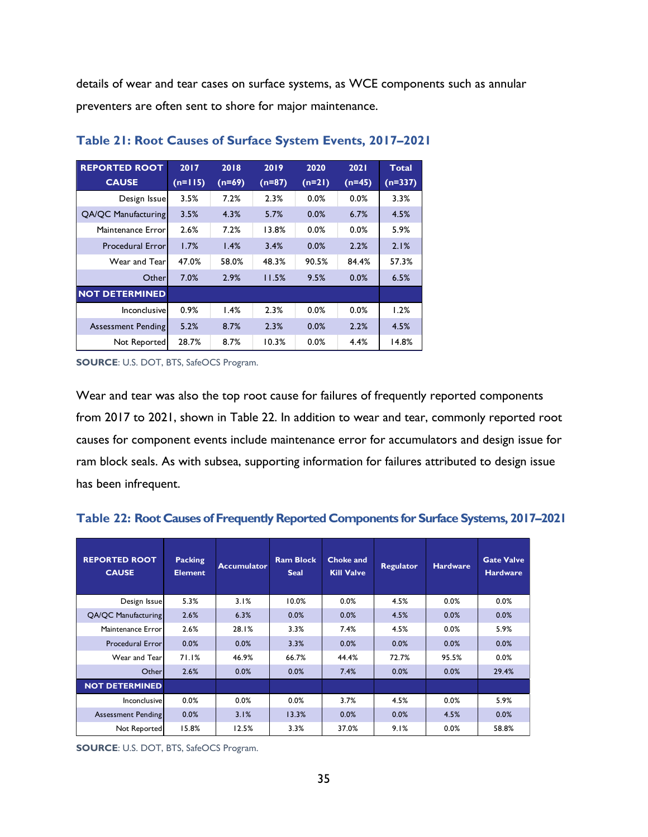details of wear and tear cases on surface systems, as WCE components such as annular preventers are often sent to shore for major maintenance.

| <b>REPORTED ROOT</b>      | 2017      | 2018     | 2019     | 2020     | 2021     | <b>Total</b> |
|---------------------------|-----------|----------|----------|----------|----------|--------------|
| <b>CAUSE</b>              | $(n=115)$ | $(n=69)$ | $(n=87)$ | $(n=21)$ | $(n=45)$ | $(n=337)$    |
| Design Issue              | 3.5%      | 7.2%     | 2.3%     | 0.0%     | 0.0%     | 3.3%         |
| QA/QC Manufacturing       | 3.5%      | 4.3%     | 5.7%     | 0.0%     | 6.7%     | 4.5%         |
| Maintenance Error         | 2.6%      | 7.2%     | 13.8%    | 0.0%     | 0.0%     | 5.9%         |
| <b>Procedural Error</b>   | 1.7%      | 1.4%     | 3.4%     | 0.0%     | 2.2%     | 2.1%         |
| Wear and Tear             | 47.0%     | 58.0%    | 48.3%    | 90.5%    | 84.4%    | 57.3%        |
| Otherl                    | 7.0%      | 2.9%     | 11.5%    | 9.5%     | 0.0%     | 6.5%         |
| <b>NOT DETERMINED</b>     |           |          |          |          |          |              |
| Inconclusive              | 0.9%      | 1.4%     | 2.3%     | 0.0%     | 0.0%     | 1.2%         |
| <b>Assessment Pending</b> | 5.2%      | 8.7%     | 2.3%     | 0.0%     | 2.2%     | 4.5%         |
| Not Reported              | 28.7%     | 8.7%     | 10.3%    | 0.0%     | 4.4%     | 14.8%        |

#### <span id="page-44-0"></span>**Table 21: Root Causes of Surface System Events, 2017–2021**

**SOURCE**: U.S. DOT, BTS, SafeOCS Program.

Wear and tear was also the top root cause for failures of frequently reported components from 2017 to 2021, shown in [Table 22.](#page-44-1) In addition to wear and tear, commonly reported root causes for component events include maintenance error for accumulators and design issue for ram block seals. As with subsea, supporting information for failures attributed to design issue has been infrequent.

<span id="page-44-1"></span>

| Table 22: Root Causes of Frequently Reported Components for Surface Systems, 2017-2021 |  |  |  |
|----------------------------------------------------------------------------------------|--|--|--|
|----------------------------------------------------------------------------------------|--|--|--|

| 5.3%<br>3.1%<br>10.0%<br>0.0%<br>0.0%<br>4.5%<br>Design Issue<br>2.6%<br>0.0%<br>0.0%<br><b>QA/QC Manufacturing</b><br>6.3%<br>0.0%<br>4.5%<br>2.6%<br>0.0%<br>28.1%<br>3.3%<br>7.4%<br>4.5%<br>Maintenance Error | <b>REPORTED ROOT</b><br><b>CAUSE</b> | <b>Packing</b><br><b>Element</b> | <b>Accumulator</b> | <b>Ram Block</b><br><b>Seal</b> | <b>Choke and</b><br><b>Kill Valve</b> | <b>Regulator</b> | <b>Hardware</b> | <b>Gate Valve</b><br><b>Hardware</b> |
|-------------------------------------------------------------------------------------------------------------------------------------------------------------------------------------------------------------------|--------------------------------------|----------------------------------|--------------------|---------------------------------|---------------------------------------|------------------|-----------------|--------------------------------------|
|                                                                                                                                                                                                                   |                                      |                                  |                    |                                 |                                       |                  |                 | 0.0%                                 |
|                                                                                                                                                                                                                   |                                      |                                  |                    |                                 |                                       |                  |                 | 0.0%                                 |
|                                                                                                                                                                                                                   |                                      |                                  |                    |                                 |                                       |                  |                 | 5.9%                                 |
|                                                                                                                                                                                                                   | <b>Procedural Error</b>              | 0.0%                             | 0.0%               | 3.3%                            | 0.0%                                  | 0.0%             | 0.0%            | 0.0%                                 |
| 71.1%<br>46.9%<br>95.5%<br>Wear and Tear<br>66.7%<br>44.4%<br>72.7%                                                                                                                                               |                                      |                                  |                    |                                 |                                       |                  |                 | 0.0%                                 |
| 2.6%<br>0.0%<br>0.0%<br>7.4%<br>0.0%<br>0.0%<br>Other                                                                                                                                                             |                                      |                                  |                    |                                 |                                       |                  |                 | 29.4%                                |
| <b>NOT DETERMINED</b>                                                                                                                                                                                             |                                      |                                  |                    |                                 |                                       |                  |                 |                                      |
| 0.0%<br>0.0%<br>0.0%<br>3.7%<br>0.0%<br>Inconclusive<br>4.5%                                                                                                                                                      |                                      |                                  |                    |                                 |                                       |                  |                 | 5.9%                                 |
| 0.0%<br>3.1%<br>13.3%<br>0.0%<br>0.0%<br>4.5%<br>Assessment Pending                                                                                                                                               |                                      |                                  |                    |                                 |                                       |                  |                 | 0.0%                                 |
| 15.8%<br>Not Reported<br>12.5%<br>3.3%<br>37.0%<br>9.1%<br>0.0%                                                                                                                                                   |                                      |                                  |                    |                                 |                                       |                  |                 | 58.8%                                |

**SOURCE**: U.S. DOT, BTS, SafeOCS Program.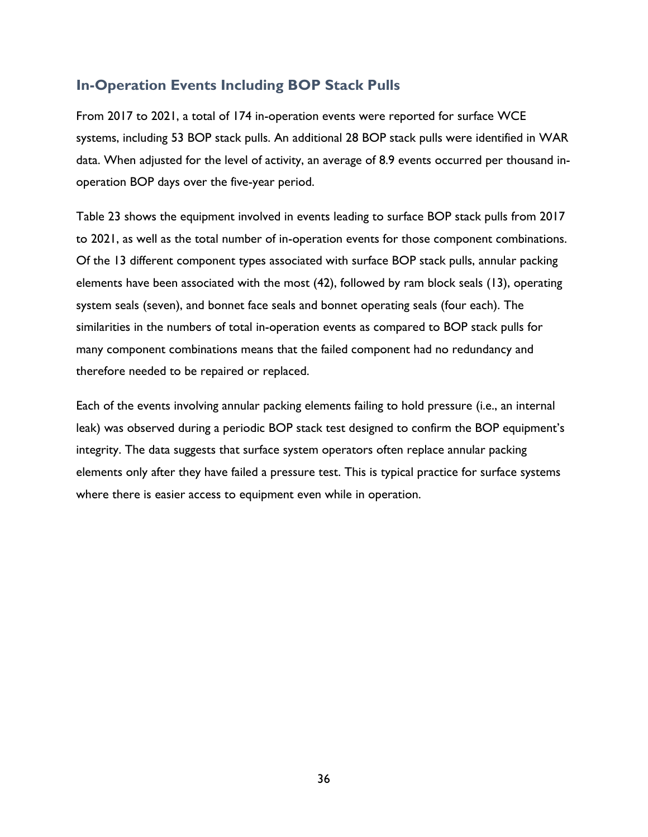# <span id="page-45-0"></span>**In-Operation Events Including BOP Stack Pulls**

From 2017 to 2021, a total of 174 in-operation events were reported for surface WCE systems, including 53 BOP stack pulls. An additional 28 BOP stack pulls were identified in WAR data. When adjusted for the level of activity, an average of 8.9 events occurred per thousand inoperation BOP days over the five-year period.

[Table 23](#page-46-0) shows the equipment involved in events leading to surface BOP stack pulls from 2017 to 2021, as well as the total number of in-operation events for those component combinations. Of the 13 different component types associated with surface BOP stack pulls, annular packing elements have been associated with the most (42), followed by ram block seals (13), operating system seals (seven), and bonnet face seals and bonnet operating seals (four each). The similarities in the numbers of total in-operation events as compared to BOP stack pulls for many component combinations means that the failed component had no redundancy and therefore needed to be repaired or replaced.

Each of the events involving annular packing elements failing to hold pressure (i.e., an internal leak) was observed during a periodic BOP stack test designed to confirm the BOP equipment's integrity. The data suggests that surface system operators often replace annular packing elements only after they have failed a pressure test. This is typical practice for surface systems where there is easier access to equipment even while in operation.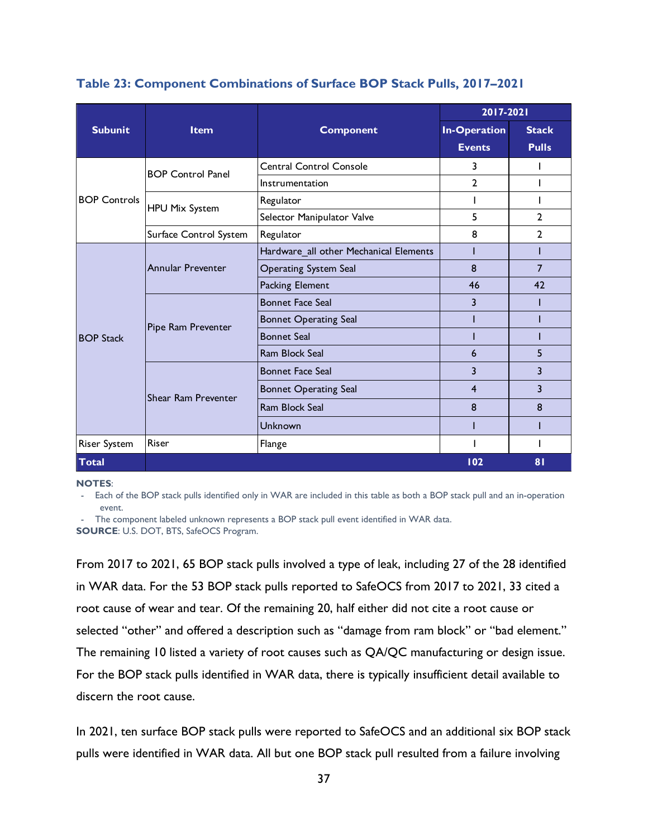|                     |                          |                                        | 2017-2021           |              |  |
|---------------------|--------------------------|----------------------------------------|---------------------|--------------|--|
| <b>Subunit</b>      | <b>Item</b>              | <b>Component</b>                       | <b>In-Operation</b> | <b>Stack</b> |  |
|                     |                          |                                        | <b>Events</b>       | <b>Pulls</b> |  |
|                     | <b>BOP Control Panel</b> | <b>Central Control Console</b>         | 3                   |              |  |
|                     |                          | Instrumentation                        | $\overline{2}$      |              |  |
| <b>BOP Controls</b> | <b>HPU Mix System</b>    | Regulator                              |                     |              |  |
|                     |                          | Selector Manipulator Valve             | 5                   | 2            |  |
|                     | Surface Control System   | Regulator                              | 8                   | 2            |  |
| <b>BOP Stack</b>    |                          | Hardware_all other Mechanical Elements |                     |              |  |
|                     | <b>Annular Preventer</b> | <b>Operating System Seal</b>           | 8                   | 7            |  |
|                     |                          | <b>Packing Element</b>                 | 46                  | 42           |  |
|                     | Pipe Ram Preventer       | <b>Bonnet Face Seal</b>                | 3                   |              |  |
|                     |                          | <b>Bonnet Operating Seal</b>           |                     |              |  |
|                     |                          | <b>Bonnet Seal</b>                     |                     |              |  |
|                     |                          | Ram Block Seal                         | 6                   | 5            |  |
|                     | Shear Ram Preventer      | <b>Bonnet Face Seal</b>                | 3                   | 3            |  |
|                     |                          | <b>Bonnet Operating Seal</b>           | 4                   | 3            |  |
|                     |                          | Ram Block Seal                         | 8                   | 8            |  |
|                     |                          | Unknown                                |                     |              |  |
| Riser System        | Riser                    | Flange                                 |                     |              |  |
| <b>Total</b>        |                          |                                        | 102                 | 81           |  |

#### <span id="page-46-0"></span>**Table 23: Component Combinations of Surface BOP Stack Pulls, 2017–2021**

**NOTES**:

- Each of the BOP stack pulls identified only in WAR are included in this table as both a BOP stack pull and an in-operation event.

- The component labeled unknown represents a BOP stack pull event identified in WAR data. **SOURCE**: U.S. DOT, BTS, SafeOCS Program.

From 2017 to 2021, 65 BOP stack pulls involved a type of leak, including 27 of the 28 identified in WAR data. For the 53 BOP stack pulls reported to SafeOCS from 2017 to 2021, 33 cited a root cause of wear and tear. Of the remaining 20, half either did not cite a root cause or selected "other" and offered a description such as "damage from ram block" or "bad element." The remaining 10 listed a variety of root causes such as QA/QC manufacturing or design issue. For the BOP stack pulls identified in WAR data, there is typically insufficient detail available to discern the root cause.

In 2021, ten surface BOP stack pulls were reported to SafeOCS and an additional six BOP stack pulls were identified in WAR data. All but one BOP stack pull resulted from a failure involving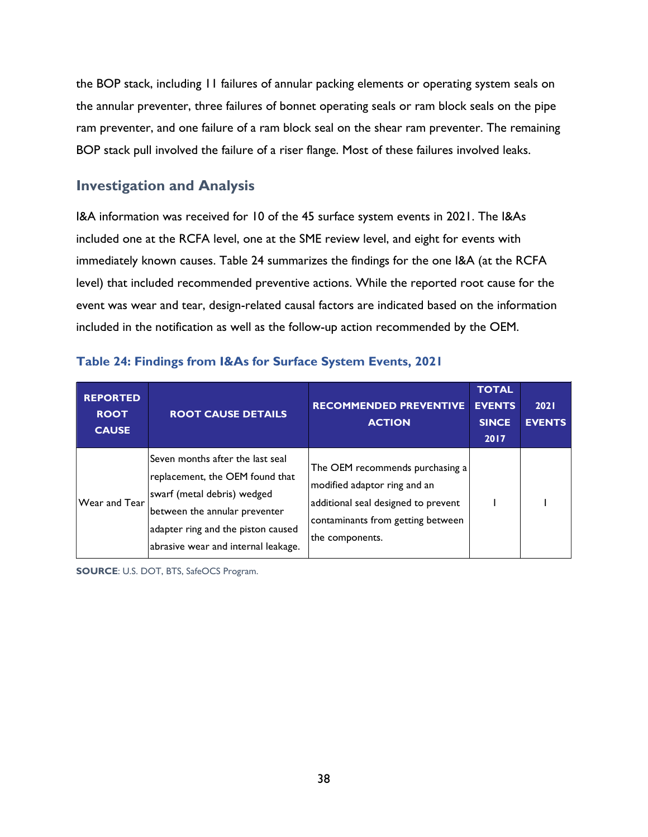the BOP stack, including 11 failures of annular packing elements or operating system seals on the annular preventer, three failures of bonnet operating seals or ram block seals on the pipe ram preventer, and one failure of a ram block seal on the shear ram preventer. The remaining BOP stack pull involved the failure of a riser flange. Most of these failures involved leaks.

## <span id="page-47-0"></span>**Investigation and Analysis**

I&A information was received for 10 of the 45 surface system events in 2021. The I&As included one at the RCFA level, one at the SME review level, and eight for events with immediately known causes. [Table 24](#page-47-1) summarizes the findings for the one I&A (at the RCFA level) that included recommended preventive actions. While the reported root cause for the event was wear and tear, design-related causal factors are indicated based on the information included in the notification as well as the follow-up action recommended by the OEM.

| <b>REPORTED</b><br><b>ROOT</b><br><b>CAUSE</b> | <b>ROOT CAUSE DETAILS</b>                                                                                                                                                                                        | <b>RECOMMENDED PREVENTIVE</b><br><b>ACTION</b>                                                                                                                 | <b>TOTAL</b><br><b>EVENTS</b><br><b>SINCE</b><br>2017 | 2021<br><b>EVENTS</b> |
|------------------------------------------------|------------------------------------------------------------------------------------------------------------------------------------------------------------------------------------------------------------------|----------------------------------------------------------------------------------------------------------------------------------------------------------------|-------------------------------------------------------|-----------------------|
| <b>Wear and Tear</b>                           | Seven months after the last seal<br>replacement, the OEM found that<br>swarf (metal debris) wedged<br>between the annular preventer<br>adapter ring and the piston caused<br>abrasive wear and internal leakage. | The OEM recommends purchasing a<br>modified adaptor ring and an<br>additional seal designed to prevent<br>contaminants from getting between<br>the components. |                                                       |                       |

#### <span id="page-47-1"></span>**Table 24: Findings from I&As for Surface System Events, 2021**

**SOURCE**: U.S. DOT, BTS, SafeOCS Program.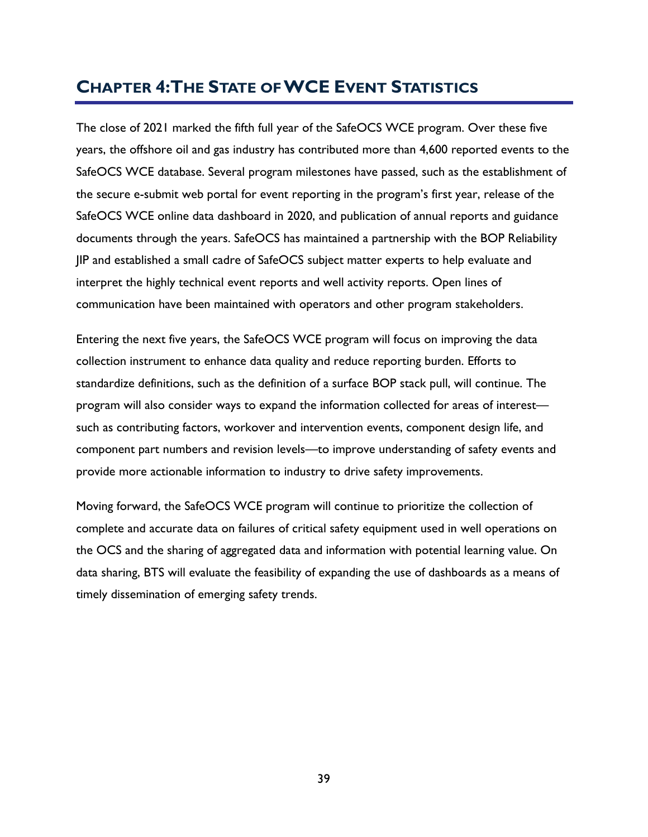# <span id="page-48-0"></span>**CHAPTER 4:THE STATE OF WCE EVENT STATISTICS**

The close of 2021 marked the fifth full year of the SafeOCS WCE program. Over these five years, the offshore oil and gas industry has contributed more than 4,600 reported events to the SafeOCS WCE database. Several program milestones have passed, such as the establishment of the secure e-submit web portal for event reporting in the program's first year, release of the SafeOCS WCE online data dashboard in 2020, and publication of annual reports and guidance documents through the years. SafeOCS has maintained a partnership with the BOP Reliability JIP and established a small cadre of SafeOCS subject matter experts to help evaluate and interpret the highly technical event reports and well activity reports. Open lines of communication have been maintained with operators and other program stakeholders.

Entering the next five years, the SafeOCS WCE program will focus on improving the data collection instrument to enhance data quality and reduce reporting burden. Efforts to standardize definitions, such as the definition of a surface BOP stack pull, will continue. The program will also consider ways to expand the information collected for areas of interest such as contributing factors, workover and intervention events, component design life, and component part numbers and revision levels—to improve understanding of safety events and provide more actionable information to industry to drive safety improvements.

Moving forward, the SafeOCS WCE program will continue to prioritize the collection of complete and accurate data on failures of critical safety equipment used in well operations on the OCS and the sharing of aggregated data and information with potential learning value. On data sharing, BTS will evaluate the feasibility of expanding the use of dashboards as a means of timely dissemination of emerging safety trends.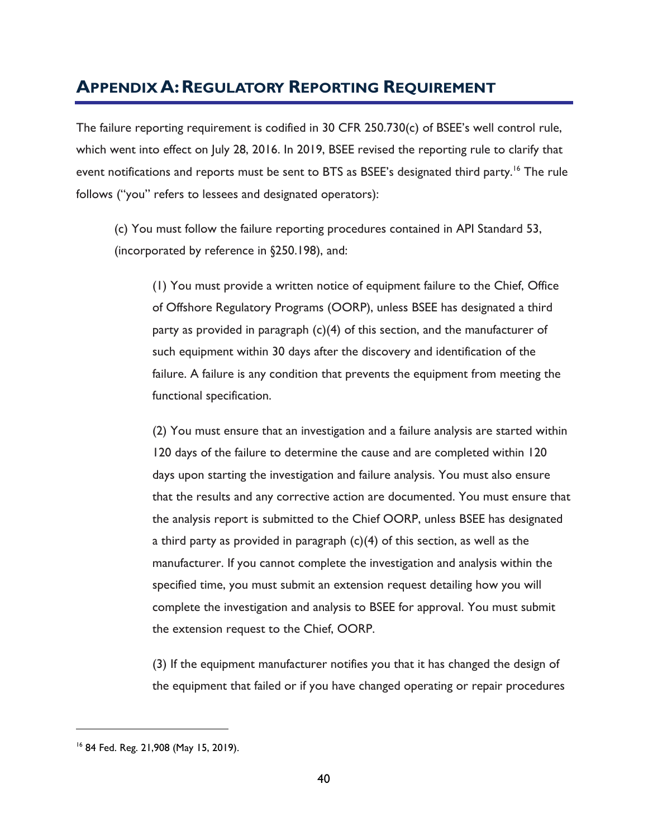# <span id="page-49-0"></span>**APPENDIX A:REGULATORY REPORTING REQUIREMENT**

The failure reporting requirement is codified in 30 CFR 250.730(c) of BSEE's well control rule, which went into effect on July 28, 2016. In 2019, BSEE revised the reporting rule to clarify that event notifications and reports must be sent to BTS as BSEE's designated third party.<sup>16</sup> The rule follows ("you" refers to lessees and designated operators):

(c) You must follow the failure reporting procedures contained in API Standard 53, (incorporated by reference in §250.198), and:

(1) You must provide a written notice of equipment failure to the Chief, Office of Offshore Regulatory Programs (OORP), unless BSEE has designated a third party as provided in paragraph  $(c)(4)$  of this section, and the manufacturer of such equipment within 30 days after the discovery and identification of the failure. A failure is any condition that prevents the equipment from meeting the functional specification.

(2) You must ensure that an investigation and a failure analysis are started within 120 days of the failure to determine the cause and are completed within 120 days upon starting the investigation and failure analysis. You must also ensure that the results and any corrective action are documented. You must ensure that the analysis report is submitted to the Chief OORP, unless BSEE has designated a third party as provided in paragraph (c)(4) of this section, as well as the manufacturer. If you cannot complete the investigation and analysis within the specified time, you must submit an extension request detailing how you will complete the investigation and analysis to BSEE for approval. You must submit the extension request to the Chief, OORP.

(3) If the equipment manufacturer notifies you that it has changed the design of the equipment that failed or if you have changed operating or repair procedures

<sup>16</sup> 84 Fed. Reg. 21,908 (May 15, 2019).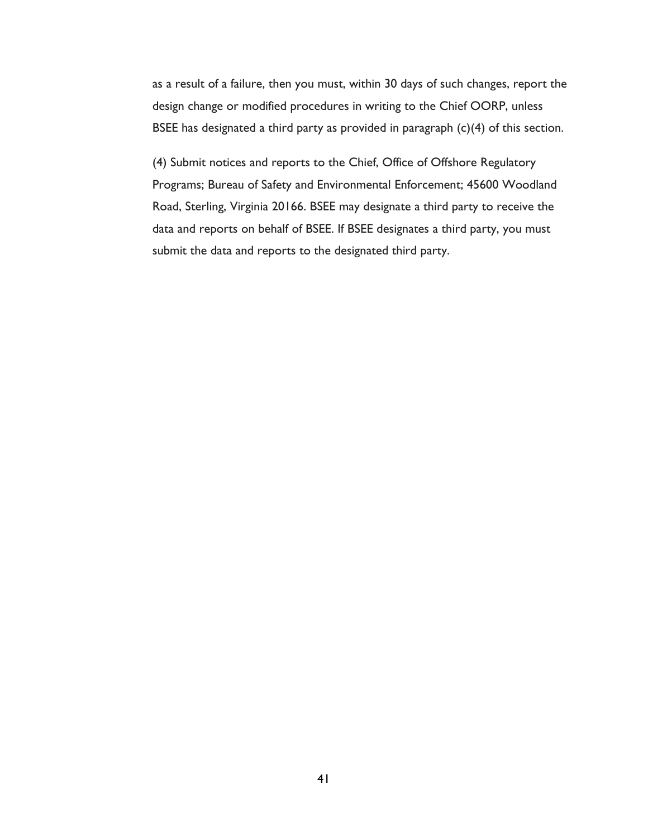as a result of a failure, then you must, within 30 days of such changes, report the design change or modified procedures in writing to the Chief OORP, unless BSEE has designated a third party as provided in paragraph (c)(4) of this section.

(4) Submit notices and reports to the Chief, Office of Offshore Regulatory Programs; Bureau of Safety and Environmental Enforcement; 45600 Woodland Road, Sterling, Virginia 20166. BSEE may designate a third party to receive the data and reports on behalf of BSEE. If BSEE designates a third party, you must submit the data and reports to the designated third party.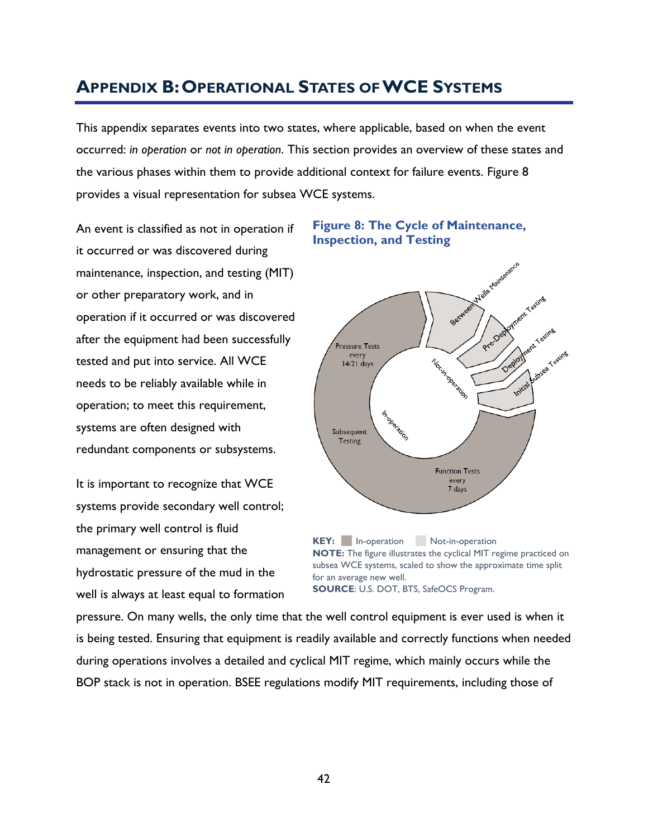# <span id="page-51-0"></span>**APPENDIX B:OPERATIONAL STATES OF WCE SYSTEMS**

This appendix separates events into two states, where applicable, based on when the event occurred: *in operation* or *not in operation*. This section provides an overview of these states and the various phases within them to provide additional context for failure events. [Figure 8](#page-51-1) provides a visual representation for subsea WCE systems.

An event is classified as not in operation if it occurred or was discovered during maintenance, inspection, and testing (MIT) or other preparatory work, and in operation if it occurred or was discovered after the equipment had been successfully tested and put into service. All WCE needs to be reliably available while in operation; to meet this requirement, systems are often designed with redundant components or subsystems.

It is important to recognize that WCE systems provide secondary well control; the primary well control is fluid management or ensuring that the hydrostatic pressure of the mud in the well is always at least equal to formation

#### <span id="page-51-1"></span>**Figure 8: The Cycle of Maintenance, Inspection, and Testing**



KEY: In-operation Not-in-operation **NOTE:** The figure illustrates the cyclical MIT regime practiced on subsea WCE systems, scaled to show the approximate time split for an average new well. **SOURCE**: U.S. DOT, BTS, SafeOCS Program.

pressure. On many wells, the only time that the well control equipment is ever used is when it is being tested. Ensuring that equipment is readily available and correctly functions when needed during operations involves a detailed and cyclical MIT regime, which mainly occurs while the BOP stack is not in operation. BSEE regulations modify MIT requirements, including those of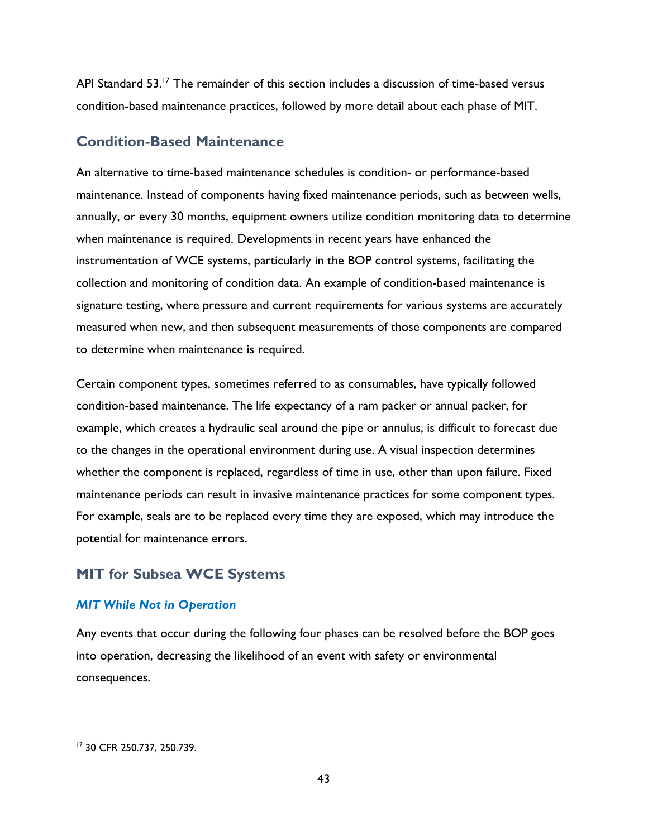API Standard 53.<sup>17</sup> The remainder of this section includes a discussion of time-based versus condition-based maintenance practices, followed by more detail about each phase of MIT.

## **Condition-Based Maintenance**

An alternative to time-based maintenance schedules is condition- or performance-based maintenance. Instead of components having fixed maintenance periods, such as between wells, annually, or every 30 months, equipment owners utilize condition monitoring data to determine when maintenance is required. Developments in recent years have enhanced the instrumentation of WCE systems, particularly in the BOP control systems, facilitating the collection and monitoring of condition data. An example of condition-based maintenance is signature testing, where pressure and current requirements for various systems are accurately measured when new, and then subsequent measurements of those components are compared to determine when maintenance is required.

Certain component types, sometimes referred to as consumables, have typically followed condition-based maintenance. The life expectancy of a ram packer or annual packer, for example, which creates a hydraulic seal around the pipe or annulus, is difficult to forecast due to the changes in the operational environment during use. A visual inspection determines whether the component is replaced, regardless of time in use, other than upon failure. Fixed maintenance periods can result in invasive maintenance practices for some component types. For example, seals are to be replaced every time they are exposed, which may introduce the potential for maintenance errors.

# **MIT for Subsea WCE Systems**

#### *MIT While Not in Operation*

Any events that occur during the following four phases can be resolved before the BOP goes into operation, decreasing the likelihood of an event with safety or environmental consequences.

<sup>17</sup> 30 CFR 250.737, 250.739.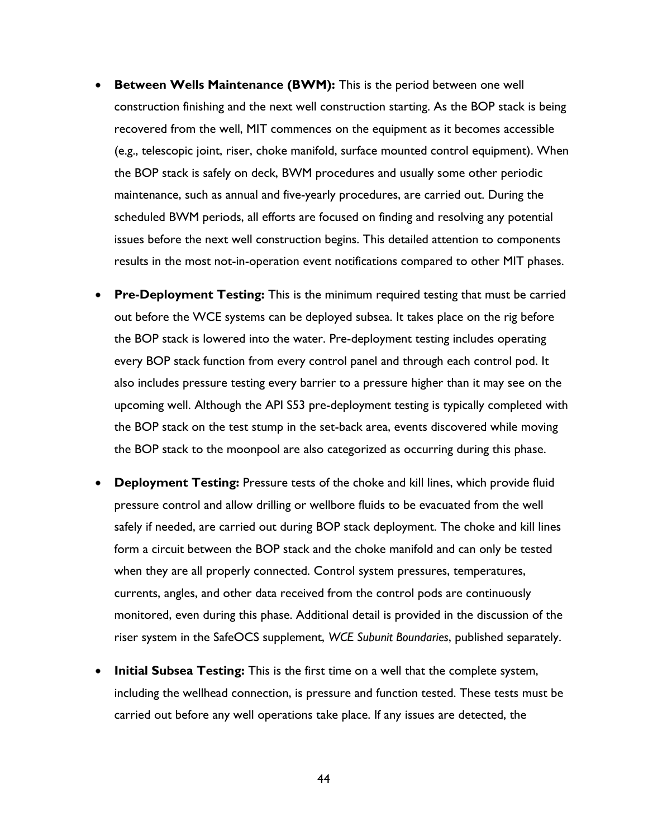- **Between Wells Maintenance (BWM):** This is the period between one well construction finishing and the next well construction starting. As the BOP stack is being recovered from the well, MIT commences on the equipment as it becomes accessible (e.g., telescopic joint, riser, choke manifold, surface mounted control equipment). When the BOP stack is safely on deck, BWM procedures and usually some other periodic maintenance, such as annual and five-yearly procedures, are carried out. During the scheduled BWM periods, all efforts are focused on finding and resolving any potential issues before the next well construction begins. This detailed attention to components results in the most not-in-operation event notifications compared to other MIT phases.
- **Pre-Deployment Testing:** This is the minimum required testing that must be carried out before the WCE systems can be deployed subsea. It takes place on the rig before the BOP stack is lowered into the water. Pre-deployment testing includes operating every BOP stack function from every control panel and through each control pod. It also includes pressure testing every barrier to a pressure higher than it may see on the upcoming well. Although the API S53 pre-deployment testing is typically completed with the BOP stack on the test stump in the set-back area, events discovered while moving the BOP stack to the moonpool are also categorized as occurring during this phase.
- **Deployment Testing:** Pressure tests of the choke and kill lines, which provide fluid pressure control and allow drilling or wellbore fluids to be evacuated from the well safely if needed, are carried out during BOP stack deployment. The choke and kill lines form a circuit between the BOP stack and the choke manifold and can only be tested when they are all properly connected. Control system pressures, temperatures, currents, angles, and other data received from the control pods are continuously monitored, even during this phase. Additional detail is provided in the discussion of the riser system in the SafeOCS supplement, *WCE Subunit Boundaries*, published separately.
- **Initial Subsea Testing:** This is the first time on a well that the complete system, including the wellhead connection, is pressure and function tested. These tests must be carried out before any well operations take place. If any issues are detected, the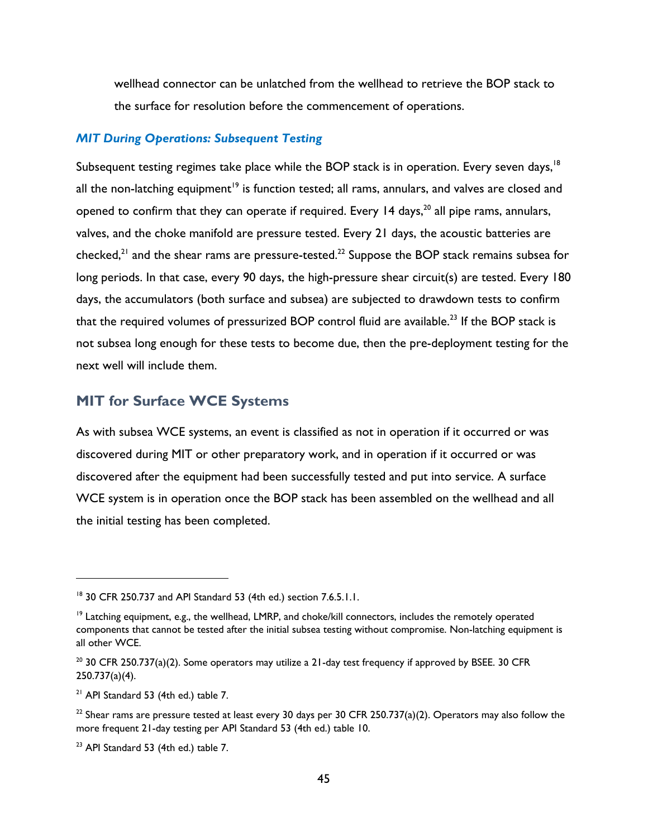wellhead connector can be unlatched from the wellhead to retrieve the BOP stack to the surface for resolution before the commencement of operations.

#### *MIT During Operations: Subsequent Testing*

Subsequent testing regimes take place while the BOP stack is in operation. Every seven days,<sup>18</sup> all the non-latching equipment<sup>19</sup> is function tested; all rams, annulars, and valves are closed and opened to confirm that they can operate if required. Every 14 days,  $20$  all pipe rams, annulars, valves, and the choke manifold are pressure tested. Every 21 days, the acoustic batteries are checked, $21$  and the shear rams are pressure-tested.<sup>22</sup> Suppose the BOP stack remains subsea for long periods. In that case, every 90 days, the high-pressure shear circuit(s) are tested. Every 180 days, the accumulators (both surface and subsea) are subjected to drawdown tests to confirm that the required volumes of pressurized BOP control fluid are available.<sup>23</sup> If the BOP stack is not subsea long enough for these tests to become due, then the pre-deployment testing for the next well will include them.

# **MIT for Surface WCE Systems**

As with subsea WCE systems, an event is classified as not in operation if it occurred or was discovered during MIT or other preparatory work, and in operation if it occurred or was discovered after the equipment had been successfully tested and put into service. A surface WCE system is in operation once the BOP stack has been assembled on the wellhead and all the initial testing has been completed.

<sup>18</sup> 30 CFR 250.737 and API Standard 53 (4th ed.) section 7.6.5.1.1.

 $19$  Latching equipment, e.g., the wellhead, LMRP, and choke/kill connectors, includes the remotely operated components that cannot be tested after the initial subsea testing without compromise. Non-latching equipment is all other WCE.

 $20$  30 CFR 250.737(a)(2). Some operators may utilize a 21-day test frequency if approved by BSEE. 30 CFR 250.737(a)(4).

 $21$  API Standard 53 (4th ed.) table 7.

 $22$  Shear rams are pressure tested at least every 30 days per 30 CFR 250.737(a)(2). Operators may also follow the more frequent 21-day testing per API Standard 53 (4th ed.) table 10.

<sup>&</sup>lt;sup>23</sup> API Standard 53 (4th ed.) table 7.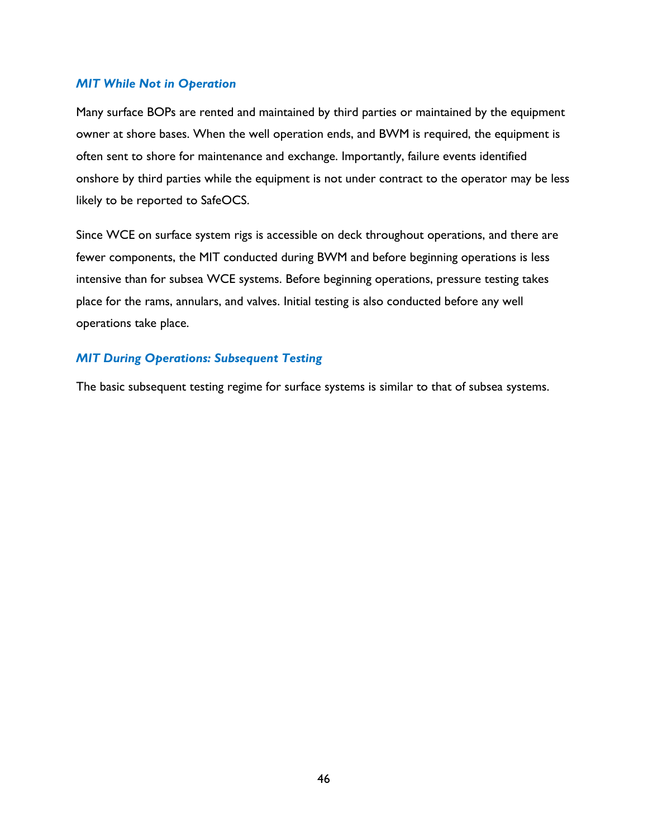#### *MIT While Not in Operation*

Many surface BOPs are rented and maintained by third parties or maintained by the equipment owner at shore bases. When the well operation ends, and BWM is required, the equipment is often sent to shore for maintenance and exchange. Importantly, failure events identified onshore by third parties while the equipment is not under contract to the operator may be less likely to be reported to SafeOCS.

Since WCE on surface system rigs is accessible on deck throughout operations, and there are fewer components, the MIT conducted during BWM and before beginning operations is less intensive than for subsea WCE systems. Before beginning operations, pressure testing takes place for the rams, annulars, and valves. Initial testing is also conducted before any well operations take place.

#### *MIT During Operations: Subsequent Testing*

The basic subsequent testing regime for surface systems is similar to that of subsea systems.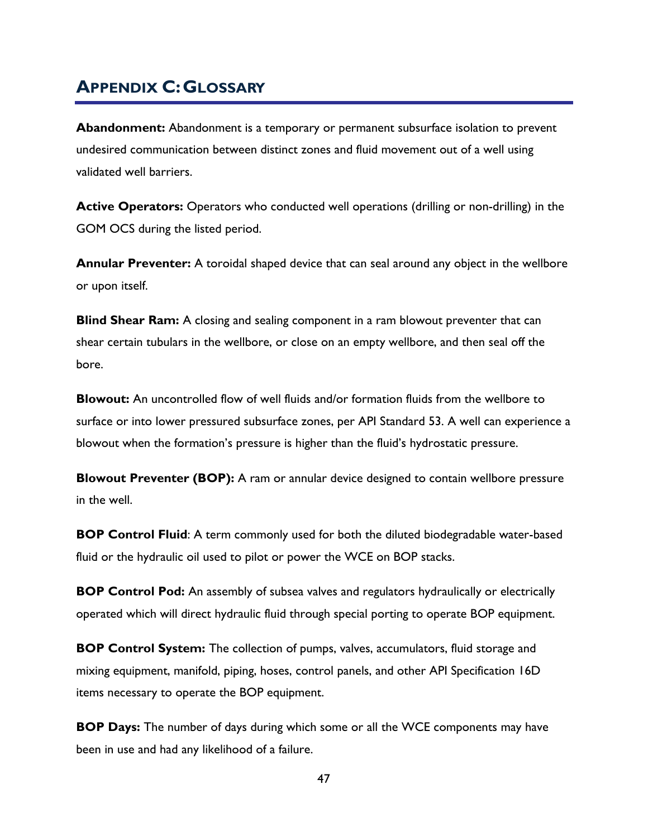# <span id="page-56-0"></span>**APPENDIX C:GLOSSARY**

**Abandonment:** Abandonment is a temporary or permanent subsurface isolation to prevent undesired communication between distinct zones and fluid movement out of a well using validated well barriers.

**Active Operators:** Operators who conducted well operations (drilling or non-drilling) in the GOM OCS during the listed period.

**Annular Preventer:** A toroidal shaped device that can seal around any object in the wellbore or upon itself.

**Blind Shear Ram:** A closing and sealing component in a ram blowout preventer that can shear certain tubulars in the wellbore, or close on an empty wellbore, and then seal off the bore.

**Blowout:** An uncontrolled flow of well fluids and/or formation fluids from the wellbore to surface or into lower pressured subsurface zones, per API Standard 53. A well can experience a blowout when the formation's pressure is higher than the fluid's hydrostatic pressure.

**Blowout Preventer (BOP):** A ram or annular device designed to contain wellbore pressure in the well.

**BOP Control Fluid:** A term commonly used for both the diluted biodegradable water-based fluid or the hydraulic oil used to pilot or power the WCE on BOP stacks.

**BOP Control Pod:** An assembly of subsea valves and regulators hydraulically or electrically operated which will direct hydraulic fluid through special porting to operate BOP equipment.

**BOP Control System:** The collection of pumps, valves, accumulators, fluid storage and mixing equipment, manifold, piping, hoses, control panels, and other API Specification 16D items necessary to operate the BOP equipment.

**BOP Days:** The number of days during which some or all the WCE components may have been in use and had any likelihood of a failure.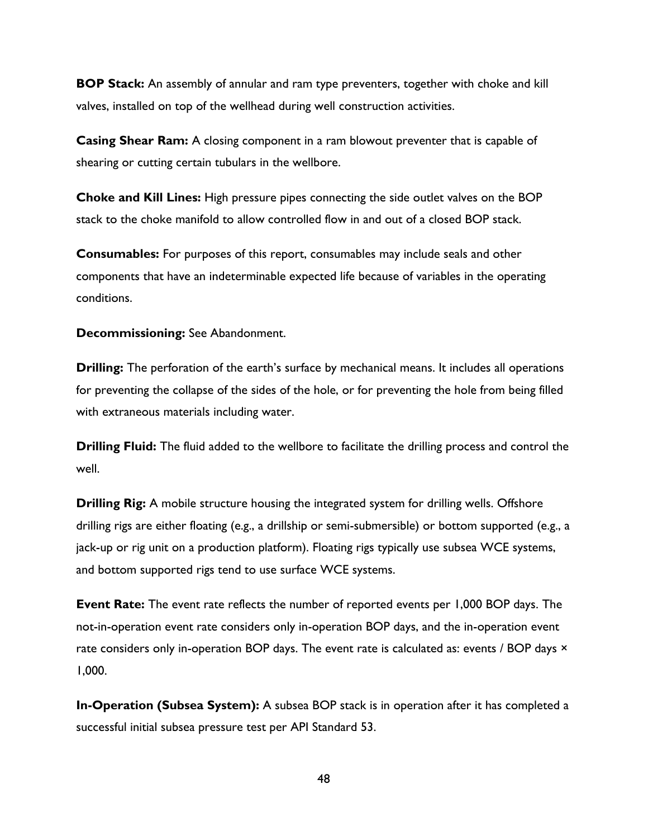**BOP Stack:** An assembly of annular and ram type preventers, together with choke and kill valves, installed on top of the wellhead during well construction activities.

**Casing Shear Ram:** A closing component in a ram blowout preventer that is capable of shearing or cutting certain tubulars in the wellbore.

**Choke and Kill Lines:** High pressure pipes connecting the side outlet valves on the BOP stack to the choke manifold to allow controlled flow in and out of a closed BOP stack.

**Consumables:** For purposes of this report, consumables may include seals and other components that have an indeterminable expected life because of variables in the operating conditions.

**Decommissioning:** See Abandonment.

**Drilling:** The perforation of the earth's surface by mechanical means. It includes all operations for preventing the collapse of the sides of the hole, or for preventing the hole from being filled with extraneous materials including water.

**Drilling Fluid:** The fluid added to the wellbore to facilitate the drilling process and control the well.

**Drilling Rig:** A mobile structure housing the integrated system for drilling wells. Offshore drilling rigs are either floating (e.g., a drillship or semi-submersible) or bottom supported (e.g., a jack-up or rig unit on a production platform). Floating rigs typically use subsea WCE systems, and bottom supported rigs tend to use surface WCE systems.

**Event Rate:** The event rate reflects the number of reported events per 1,000 BOP days. The not-in-operation event rate considers only in-operation BOP days, and the in-operation event rate considers only in-operation BOP days. The event rate is calculated as: events / BOP days  $\times$ 1,000.

**In-Operation (Subsea System):** A subsea BOP stack is in operation after it has completed a successful initial subsea pressure test per API Standard 53.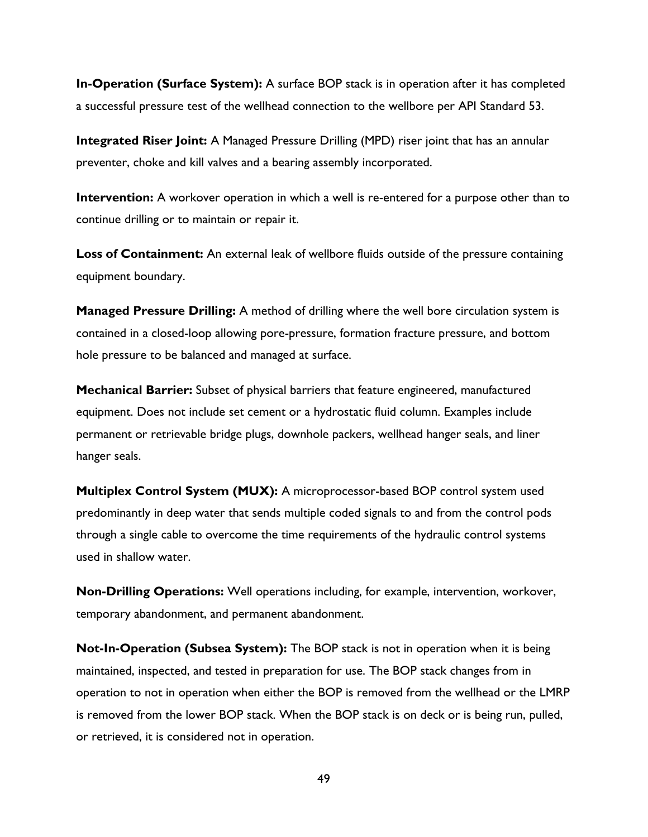**In-Operation (Surface System):** A surface BOP stack is in operation after it has completed a successful pressure test of the wellhead connection to the wellbore per API Standard 53.

**Integrated Riser Joint:** A Managed Pressure Drilling (MPD) riser joint that has an annular preventer, choke and kill valves and a bearing assembly incorporated.

**Intervention:** A workover operation in which a well is re-entered for a purpose other than to continue drilling or to maintain or repair it.

**Loss of Containment:** An external leak of wellbore fluids outside of the pressure containing equipment boundary.

**Managed Pressure Drilling:** A method of drilling where the well bore circulation system is contained in a closed-loop allowing pore-pressure, formation fracture pressure, and bottom hole pressure to be balanced and managed at surface.

**Mechanical Barrier:** Subset of physical barriers that feature engineered, manufactured equipment. Does not include set cement or a hydrostatic fluid column. Examples include permanent or retrievable bridge plugs, downhole packers, wellhead hanger seals, and liner hanger seals.

**Multiplex Control System (MUX):** A microprocessor-based BOP control system used predominantly in deep water that sends multiple coded signals to and from the control pods through a single cable to overcome the time requirements of the hydraulic control systems used in shallow water.

**Non-Drilling Operations:** Well operations including, for example, intervention, workover, temporary abandonment, and permanent abandonment.

**Not-In-Operation (Subsea System):** The BOP stack is not in operation when it is being maintained, inspected, and tested in preparation for use. The BOP stack changes from in operation to not in operation when either the BOP is removed from the wellhead or the LMRP is removed from the lower BOP stack. When the BOP stack is on deck or is being run, pulled, or retrieved, it is considered not in operation.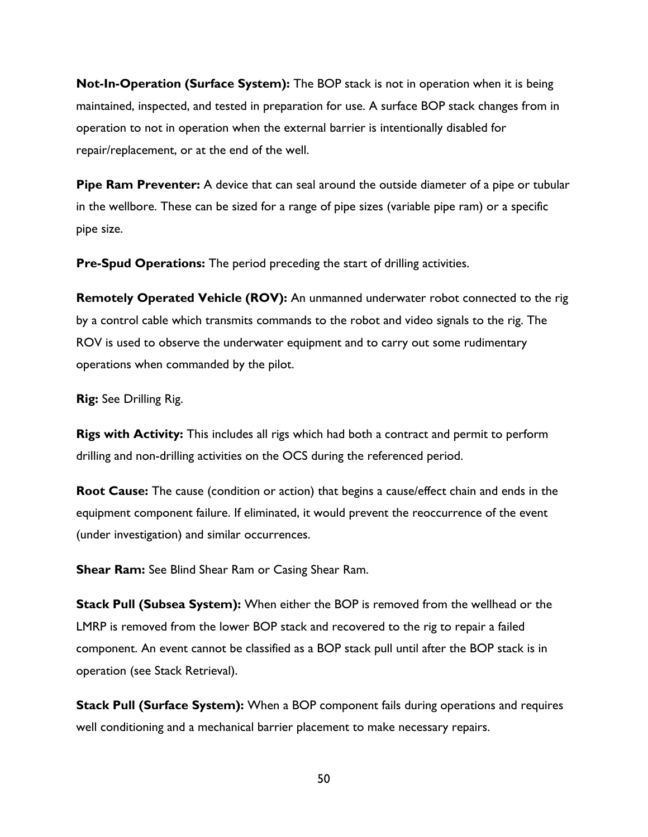**Not-In-Operation (Surface System):** The BOP stack is not in operation when it is being maintained, inspected, and tested in preparation for use. A surface BOP stack changes from in operation to not in operation when the external barrier is intentionally disabled for repair/replacement, or at the end of the well.

**Pipe Ram Preventer:** A device that can seal around the outside diameter of a pipe or tubular in the wellbore. These can be sized for a range of pipe sizes (variable pipe ram) or a specific pipe size.

**Pre-Spud Operations:** The period preceding the start of drilling activities.

**Remotely Operated Vehicle (ROV):** An unmanned underwater robot connected to the rig by a control cable which transmits commands to the robot and video signals to the rig. The ROV is used to observe the underwater equipment and to carry out some rudimentary operations when commanded by the pilot.

**Rig:** See Drilling Rig.

**Rigs with Activity:** This includes all rigs which had both a contract and permit to perform drilling and non-drilling activities on the OCS during the referenced period.

**Root Cause:** The cause (condition or action) that begins a cause/effect chain and ends in the equipment component failure. If eliminated, it would prevent the reoccurrence of the event (under investigation) and similar occurrences.

**Shear Ram:** See Blind Shear Ram or Casing Shear Ram.

**Stack Pull (Subsea System):** When either the BOP is removed from the wellhead or the LMRP is removed from the lower BOP stack and recovered to the rig to repair a failed component. An event cannot be classified as a BOP stack pull until after the BOP stack is in operation (see Stack Retrieval).

**Stack Pull (Surface System):** When a BOP component fails during operations and requires well conditioning and a mechanical barrier placement to make necessary repairs.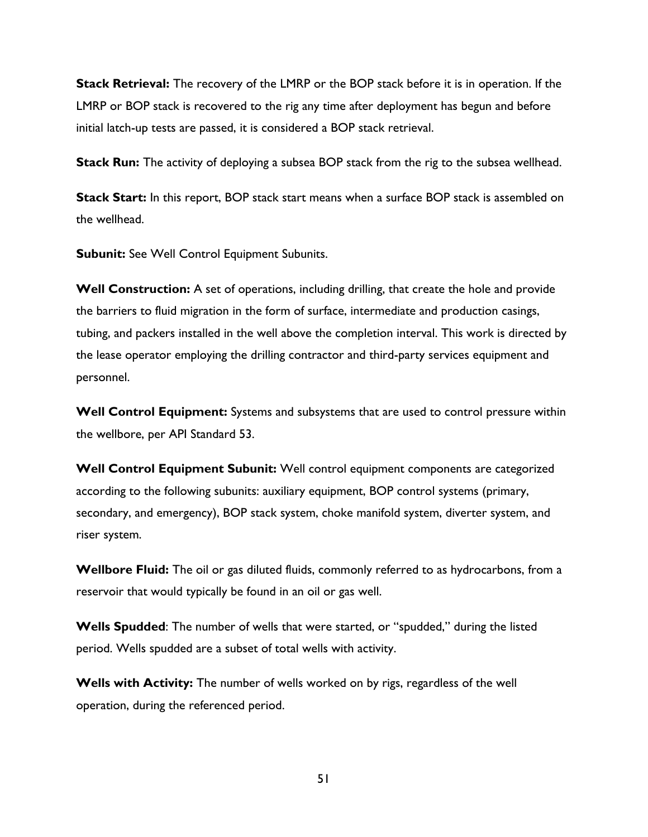**Stack Retrieval:** The recovery of the LMRP or the BOP stack before it is in operation. If the LMRP or BOP stack is recovered to the rig any time after deployment has begun and before initial latch-up tests are passed, it is considered a BOP stack retrieval.

**Stack Run:** The activity of deploying a subsea BOP stack from the rig to the subsea wellhead.

**Stack Start:** In this report, BOP stack start means when a surface BOP stack is assembled on the wellhead.

**Subunit:** See Well Control Equipment Subunits.

**Well Construction:** A set of operations, including drilling, that create the hole and provide the barriers to fluid migration in the form of surface, intermediate and production casings, tubing, and packers installed in the well above the completion interval. This work is directed by the lease operator employing the drilling contractor and third-party services equipment and personnel.

**Well Control Equipment:** Systems and subsystems that are used to control pressure within the wellbore, per API Standard 53.

**Well Control Equipment Subunit:** Well control equipment components are categorized according to the following subunits: auxiliary equipment, BOP control systems (primary, secondary, and emergency), BOP stack system, choke manifold system, diverter system, and riser system.

**Wellbore Fluid:** The oil or gas diluted fluids, commonly referred to as hydrocarbons, from a reservoir that would typically be found in an oil or gas well.

**Wells Spudded**: The number of wells that were started, or "spudded," during the listed period. Wells spudded are a subset of total wells with activity.

**Wells with Activity:** The number of wells worked on by rigs, regardless of the well operation, during the referenced period.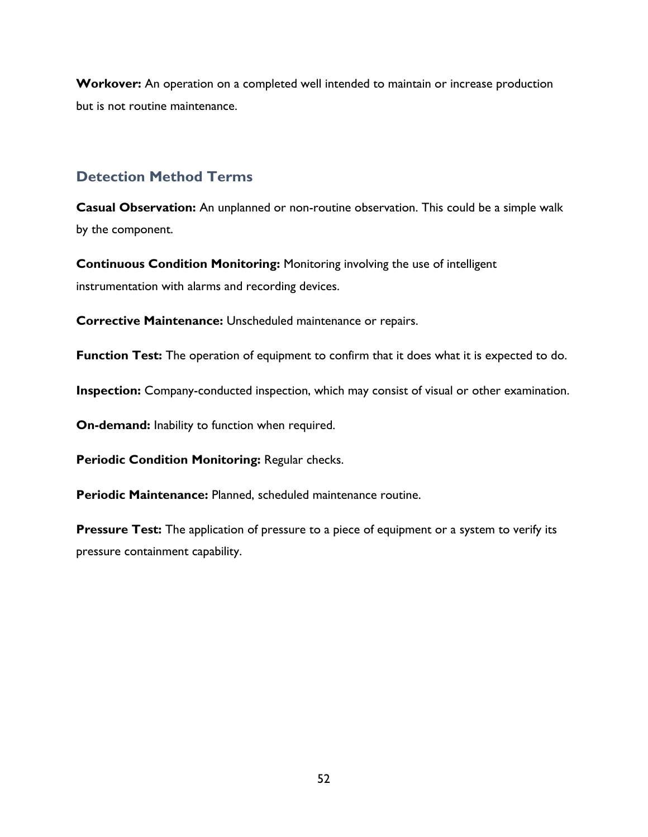**Workover:** An operation on a completed well intended to maintain or increase production but is not routine maintenance.

## **Detection Method Terms**

**Casual Observation:** An unplanned or non-routine observation. This could be a simple walk by the component.

**Continuous Condition Monitoring:** Monitoring involving the use of intelligent instrumentation with alarms and recording devices.

**Corrective Maintenance:** Unscheduled maintenance or repairs.

**Function Test:** The operation of equipment to confirm that it does what it is expected to do.

**Inspection:** Company-conducted inspection, which may consist of visual or other examination.

**On-demand:** Inability to function when required.

**Periodic Condition Monitoring:** Regular checks.

**Periodic Maintenance:** Planned, scheduled maintenance routine.

**Pressure Test:** The application of pressure to a piece of equipment or a system to verify its pressure containment capability.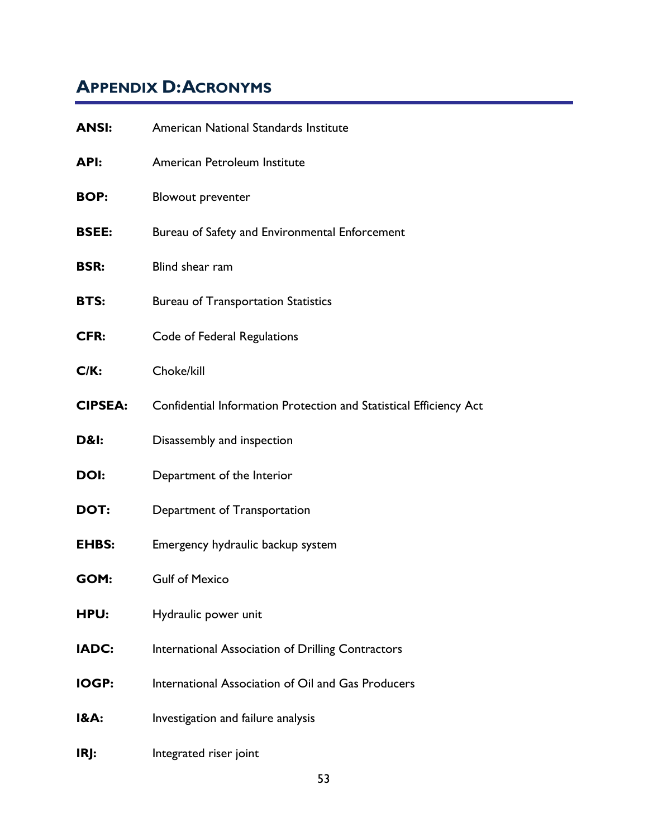# <span id="page-62-0"></span>**APPENDIX D:ACRONYMS**

| <b>ANSI:</b>   | American National Standards Institute                              |
|----------------|--------------------------------------------------------------------|
| API:           | American Petroleum Institute                                       |
| <b>BOP:</b>    | <b>Blowout preventer</b>                                           |
| <b>BSEE:</b>   | Bureau of Safety and Environmental Enforcement                     |
| <b>BSR:</b>    | Blind shear ram                                                    |
| BTS:           | <b>Bureau of Transportation Statistics</b>                         |
| CFR:           | Code of Federal Regulations                                        |
| C/K:           | Choke/kill                                                         |
| <b>CIPSEA:</b> | Confidential Information Protection and Statistical Efficiency Act |
| D&l:           | Disassembly and inspection                                         |
| <b>DOI:</b>    | Department of the Interior                                         |
| DOT:           | Department of Transportation                                       |
| <b>EHBS:</b>   | Emergency hydraulic backup system                                  |
| GOM:           | <b>Gulf of Mexico</b>                                              |
| <b>HPU:</b>    | Hydraulic power unit                                               |
| <b>IADC:</b>   | International Association of Drilling Contractors                  |
| <b>IOGP:</b>   | International Association of Oil and Gas Producers                 |
| I&A:           | Investigation and failure analysis                                 |
| IRJ:           | Integrated riser joint                                             |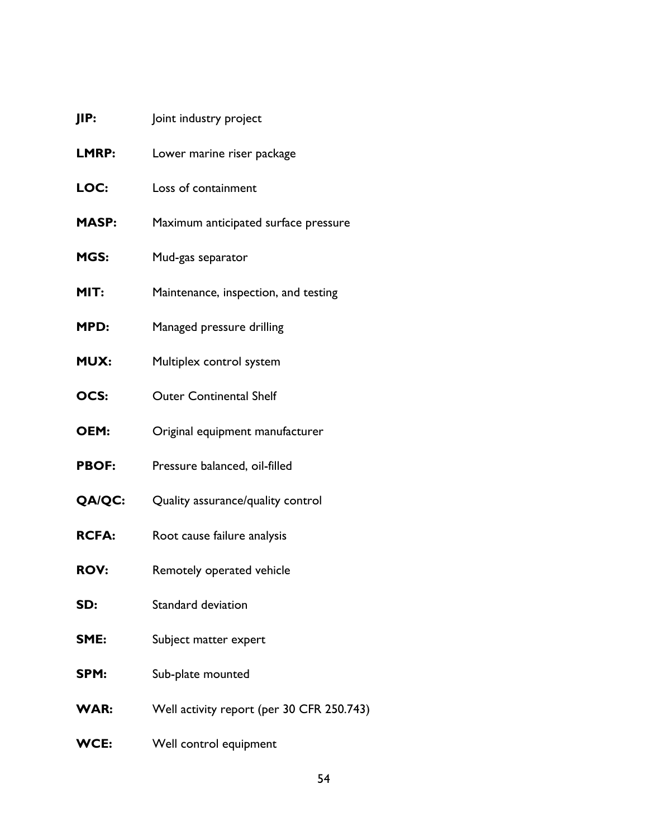| JIP:          | Joint industry project                    |
|---------------|-------------------------------------------|
| LMRP:         | Lower marine riser package                |
| LOC:          | Loss of containment                       |
| <b>MASP:</b>  | Maximum anticipated surface pressure      |
| MGS:          | Mud-gas separator                         |
| MIT:          | Maintenance, inspection, and testing      |
| MPD:          | Managed pressure drilling                 |
| <b>MUX:</b>   | Multiplex control system                  |
| OCS:          | <b>Outer Continental Shelf</b>            |
| OEM:          | Original equipment manufacturer           |
| <b>PBOF:</b>  | Pressure balanced, oil-filled             |
| <b>QA/QC:</b> | Quality assurance/quality control         |
| <b>RCFA:</b>  | Root cause failure analysis               |
| <b>ROV:</b>   | Remotely operated vehicle                 |
| SD:           | Standard deviation                        |
| SME:          | Subject matter expert                     |
| SPM:          | Sub-plate mounted                         |
| <b>WAR:</b>   | Well activity report (per 30 CFR 250.743) |
| <b>WCE:</b>   | Well control equipment                    |